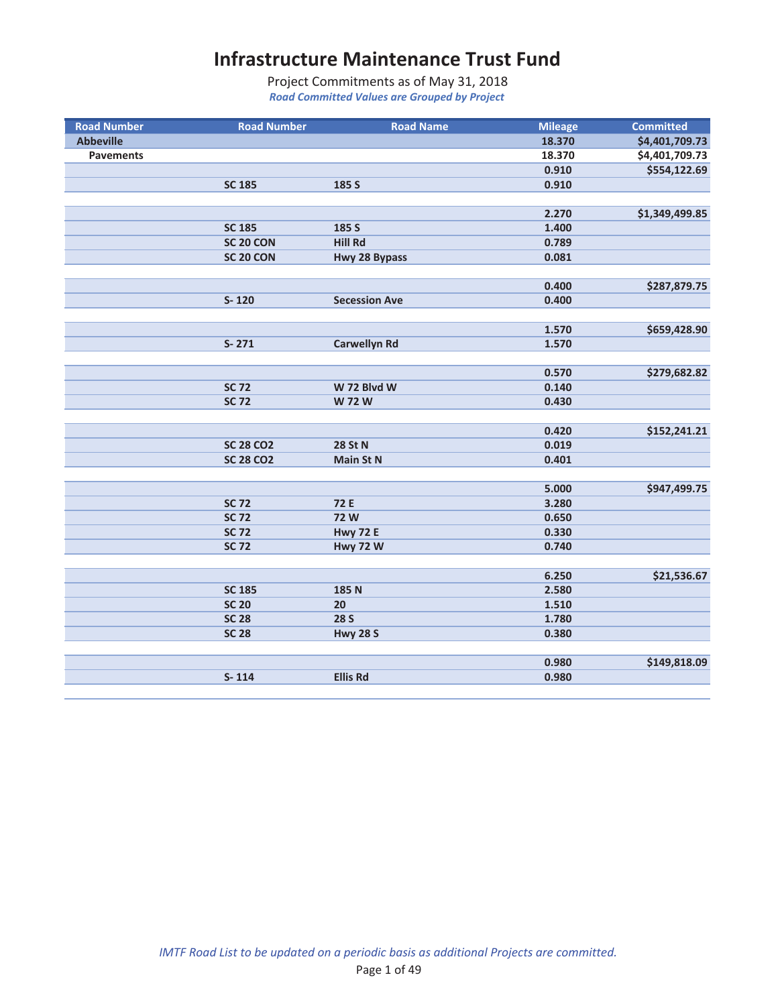| <b>Road Number</b> | <b>Road Number</b> | <b>Road Name</b>     | <b>Mileage</b> | <b>Committed</b> |
|--------------------|--------------------|----------------------|----------------|------------------|
| <b>Abbeville</b>   |                    |                      | 18.370         | \$4,401,709.73   |
| <b>Pavements</b>   |                    |                      | 18.370         | \$4,401,709.73   |
|                    |                    |                      | 0.910          | \$554,122.69     |
|                    | <b>SC 185</b>      | 185 S                | 0.910          |                  |
|                    |                    |                      |                |                  |
|                    |                    |                      | 2.270          | \$1,349,499.85   |
|                    | <b>SC 185</b>      | 185 S                | 1.400          |                  |
|                    | SC 20 CON          | <b>Hill Rd</b>       | 0.789          |                  |
|                    | SC 20 CON          | Hwy 28 Bypass        | 0.081          |                  |
|                    |                    |                      |                |                  |
|                    |                    |                      | 0.400          | \$287,879.75     |
|                    | $S - 120$          | <b>Secession Ave</b> | 0.400          |                  |
|                    |                    |                      |                |                  |
|                    |                    |                      | 1.570          | \$659,428.90     |
|                    | $S - 271$          | <b>Carwellyn Rd</b>  | 1.570          |                  |
|                    |                    |                      |                |                  |
|                    |                    |                      | 0.570          | \$279,682.82     |
|                    | <b>SC 72</b>       | W 72 Blvd W          | 0.140          |                  |
|                    | <b>SC 72</b>       | <b>W 72 W</b>        | 0.430          |                  |
|                    |                    |                      |                |                  |
|                    |                    |                      | 0.420          | \$152,241.21     |
|                    | <b>SC 28 CO2</b>   | <b>28 St N</b>       | 0.019          |                  |
|                    | <b>SC 28 CO2</b>   | <b>Main St N</b>     | 0.401          |                  |
|                    |                    |                      |                |                  |
|                    |                    |                      | 5.000          | \$947,499.75     |
|                    | <b>SC 72</b>       | 72 E                 | 3.280          |                  |
|                    | <b>SC 72</b>       | <b>72W</b>           | 0.650          |                  |
|                    | <b>SC 72</b>       | <b>Hwy 72 E</b>      | 0.330          |                  |
|                    | <b>SC 72</b>       | <b>Hwy 72 W</b>      | 0.740          |                  |
|                    |                    |                      |                |                  |
|                    |                    |                      | 6.250          | \$21,536.67      |
|                    | <b>SC 185</b>      | 185 N                | 2.580          |                  |
|                    | <b>SC 20</b>       | 20                   | 1.510          |                  |
|                    | <b>SC 28</b>       | <b>28 S</b>          | 1.780          |                  |
|                    | <b>SC 28</b>       | <b>Hwy 28 S</b>      | 0.380          |                  |
|                    |                    |                      |                |                  |
|                    |                    |                      | 0.980          | \$149,818.09     |
|                    | $S - 114$          | <b>Ellis Rd</b>      | 0.980          |                  |
|                    |                    |                      |                |                  |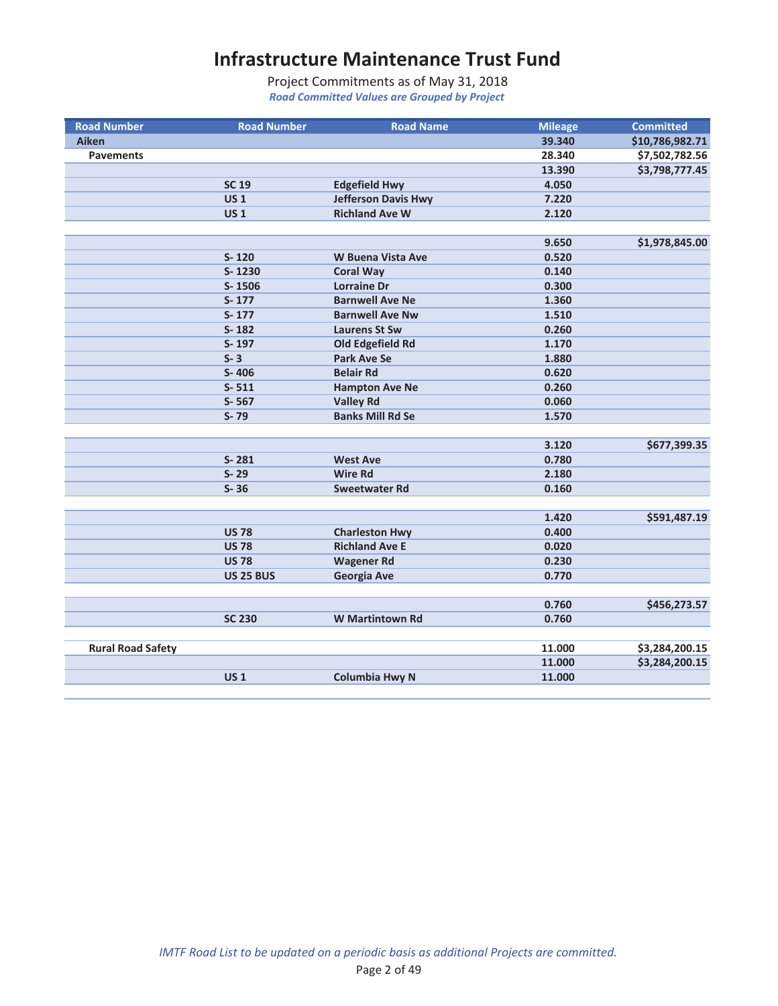| <b>Road Number</b>       | <b>Road Number</b> | <b>Road Name</b>           | <b>Mileage</b> | <b>Committed</b> |
|--------------------------|--------------------|----------------------------|----------------|------------------|
| Aiken                    |                    |                            | 39.340         | \$10,786,982.71  |
| <b>Pavements</b>         |                    |                            | 28.340         | \$7,502,782.56   |
|                          |                    |                            | 13.390         | \$3,798,777.45   |
|                          | <b>SC 19</b>       | <b>Edgefield Hwy</b>       | 4.050          |                  |
|                          | US <sub>1</sub>    | <b>Jefferson Davis Hwy</b> | 7.220          |                  |
|                          | <b>US1</b>         | <b>Richland Ave W</b>      | 2.120          |                  |
|                          |                    |                            |                |                  |
|                          |                    |                            | 9.650          | \$1,978,845.00   |
|                          | $S - 120$          | <b>W Buena Vista Ave</b>   | 0.520          |                  |
|                          | S-1230             | <b>Coral Way</b>           | 0.140          |                  |
|                          | S-1506             | <b>Lorraine Dr</b>         | 0.300          |                  |
|                          | $S-177$            | <b>Barnwell Ave Ne</b>     | 1.360          |                  |
|                          | $S - 177$          | <b>Barnwell Ave Nw</b>     | 1.510          |                  |
|                          | $S - 182$          | <b>Laurens St Sw</b>       | 0.260          |                  |
|                          | S-197              | Old Edgefield Rd           | 1.170          |                  |
|                          | $S - 3$            | <b>Park Ave Se</b>         | 1.880          |                  |
|                          | S-406              | <b>Belair Rd</b>           | 0.620          |                  |
|                          | $S - 511$          | <b>Hampton Ave Ne</b>      | 0.260          |                  |
|                          | S-567              | <b>Valley Rd</b>           | 0.060          |                  |
|                          | $S - 79$           | <b>Banks Mill Rd Se</b>    | 1.570          |                  |
|                          |                    |                            |                |                  |
|                          |                    |                            | 3.120          | \$677,399.35     |
|                          | $S - 281$          | <b>West Ave</b>            | 0.780          |                  |
|                          | $S - 29$           | <b>Wire Rd</b>             | 2.180          |                  |
|                          | $S-36$             | <b>Sweetwater Rd</b>       | 0.160          |                  |
|                          |                    |                            |                |                  |
|                          |                    |                            | 1.420          | \$591,487.19     |
|                          | <b>US78</b>        | <b>Charleston Hwy</b>      | 0.400          |                  |
|                          | <b>US 78</b>       | <b>Richland Ave E</b>      | 0.020          |                  |
|                          | <b>US 78</b>       | <b>Wagener Rd</b>          | 0.230          |                  |
|                          | <b>US 25 BUS</b>   | <b>Georgia Ave</b>         | 0.770          |                  |
|                          |                    |                            |                |                  |
|                          |                    |                            | 0.760          | \$456,273.57     |
|                          | <b>SC 230</b>      | <b>W</b> Martintown Rd     | 0.760          |                  |
|                          |                    |                            |                |                  |
| <b>Rural Road Safety</b> |                    |                            | 11.000         | \$3,284,200.15   |
|                          |                    |                            | 11.000         | \$3,284,200.15   |
|                          | <b>US1</b>         | <b>Columbia Hwy N</b>      | 11.000         |                  |
|                          |                    |                            |                |                  |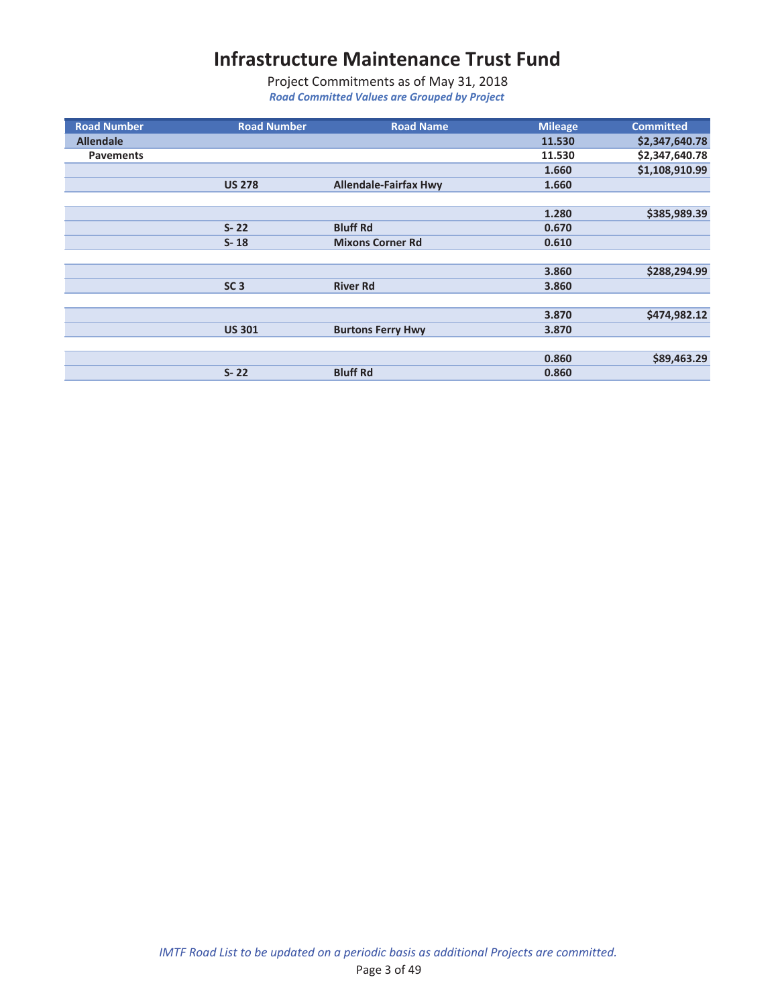| <b>Road Number</b> | <b>Road Number</b> | <b>Road Name</b>             | <b>Mileage</b> | <b>Committed</b> |
|--------------------|--------------------|------------------------------|----------------|------------------|
| <b>Allendale</b>   |                    |                              | 11.530         | \$2,347,640.78   |
| <b>Pavements</b>   |                    |                              | 11.530         | \$2,347,640.78   |
|                    |                    |                              | 1.660          | \$1,108,910.99   |
|                    | <b>US 278</b>      | <b>Allendale-Fairfax Hwy</b> | 1.660          |                  |
|                    |                    |                              |                |                  |
|                    |                    |                              | 1.280          | \$385,989.39     |
|                    | $S - 22$           | <b>Bluff Rd</b>              | 0.670          |                  |
|                    | $S - 18$           | <b>Mixons Corner Rd</b>      | 0.610          |                  |
|                    |                    |                              |                |                  |
|                    |                    |                              | 3.860          | \$288,294.99     |
|                    | SC <sub>3</sub>    | <b>River Rd</b>              | 3.860          |                  |
|                    |                    |                              |                |                  |
|                    |                    |                              | 3.870          | \$474,982.12     |
|                    | <b>US 301</b>      | <b>Burtons Ferry Hwy</b>     | 3.870          |                  |
|                    |                    |                              |                |                  |
|                    |                    |                              | 0.860          | \$89,463.29      |
|                    | $S - 22$           | <b>Bluff Rd</b>              | 0.860          |                  |
|                    |                    |                              |                |                  |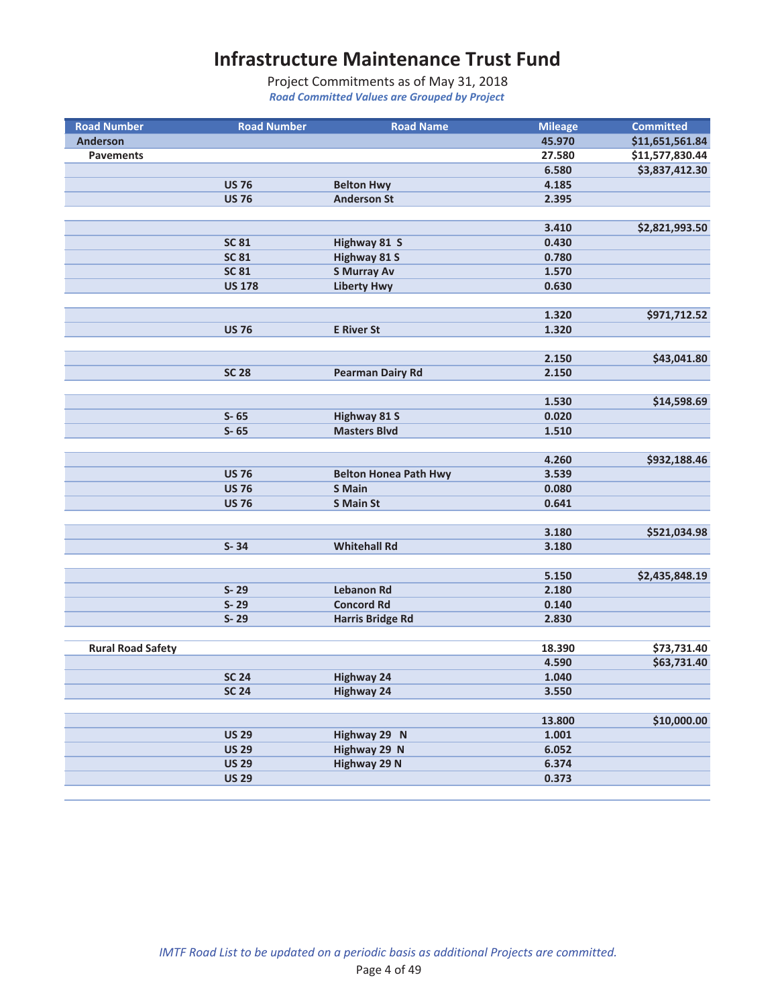| <b>Road Number</b>       | <b>Road Number</b> | <b>Road Name</b>                              | <b>Mileage</b> | <b>Committed</b> |
|--------------------------|--------------------|-----------------------------------------------|----------------|------------------|
| <b>Anderson</b>          |                    |                                               | 45.970         | \$11,651,561.84  |
| <b>Pavements</b>         |                    |                                               | 27.580         | \$11,577,830.44  |
|                          |                    |                                               | 6.580          | \$3,837,412.30   |
|                          | <b>US 76</b>       | <b>Belton Hwy</b>                             | 4.185          |                  |
|                          | <b>US 76</b>       | <b>Anderson St</b>                            | 2.395          |                  |
|                          |                    |                                               |                |                  |
|                          |                    |                                               | 3.410          | \$2,821,993.50   |
|                          | <b>SC 81</b>       | Highway 81 S                                  | 0.430          |                  |
|                          | <b>SC 81</b>       | <b>Highway 81 S</b>                           | 0.780          |                  |
|                          | <b>SC 81</b>       | <b>S Murray Av</b>                            | 1.570          |                  |
|                          | <b>US 178</b>      | <b>Liberty Hwy</b>                            | 0.630          |                  |
|                          |                    |                                               |                |                  |
|                          |                    |                                               | 1.320          | \$971,712.52     |
|                          | <b>US 76</b>       | <b>E</b> River St                             | 1.320          |                  |
|                          |                    |                                               |                |                  |
|                          |                    |                                               | 2.150          | \$43,041.80      |
|                          | <b>SC 28</b>       | <b>Pearman Dairy Rd</b>                       | 2.150          |                  |
|                          |                    |                                               |                |                  |
|                          |                    |                                               | 1.530          | \$14,598.69      |
|                          | $S - 65$           | <b>Highway 81 S</b>                           | 0.020          |                  |
|                          | $S - 65$           | <b>Masters Blvd</b>                           | 1.510          |                  |
|                          |                    |                                               | 4.260          |                  |
|                          | <b>US 76</b>       |                                               | 3.539          | \$932,188.46     |
|                          | <b>US 76</b>       | <b>Belton Honea Path Hwy</b><br><b>S</b> Main | 0.080          |                  |
|                          | <b>US 76</b>       | <b>S Main St</b>                              | 0.641          |                  |
|                          |                    |                                               |                |                  |
|                          |                    |                                               | 3.180          | \$521,034.98     |
|                          | $S - 34$           | <b>Whitehall Rd</b>                           | 3.180          |                  |
|                          |                    |                                               |                |                  |
|                          |                    |                                               | 5.150          | \$2,435,848.19   |
|                          | $S - 29$           | <b>Lebanon Rd</b>                             | 2.180          |                  |
|                          | $S - 29$           | <b>Concord Rd</b>                             | 0.140          |                  |
|                          | $S - 29$           | <b>Harris Bridge Rd</b>                       | 2.830          |                  |
|                          |                    |                                               |                |                  |
| <b>Rural Road Safety</b> |                    |                                               | 18.390         | \$73,731.40      |
|                          |                    |                                               | 4.590          | \$63,731.40      |
|                          | <b>SC 24</b>       | <b>Highway 24</b>                             | 1.040          |                  |
|                          | <b>SC 24</b>       | <b>Highway 24</b>                             | 3.550          |                  |
|                          |                    |                                               |                |                  |
|                          |                    |                                               | 13.800         | \$10,000.00      |
|                          | <b>US 29</b>       | Highway 29 N                                  | 1.001          |                  |
|                          | <b>US 29</b>       | Highway 29 N                                  | 6.052          |                  |
|                          | <b>US 29</b>       | <b>Highway 29 N</b>                           | 6.374          |                  |
|                          | <b>US 29</b>       |                                               | 0.373          |                  |
|                          |                    |                                               |                |                  |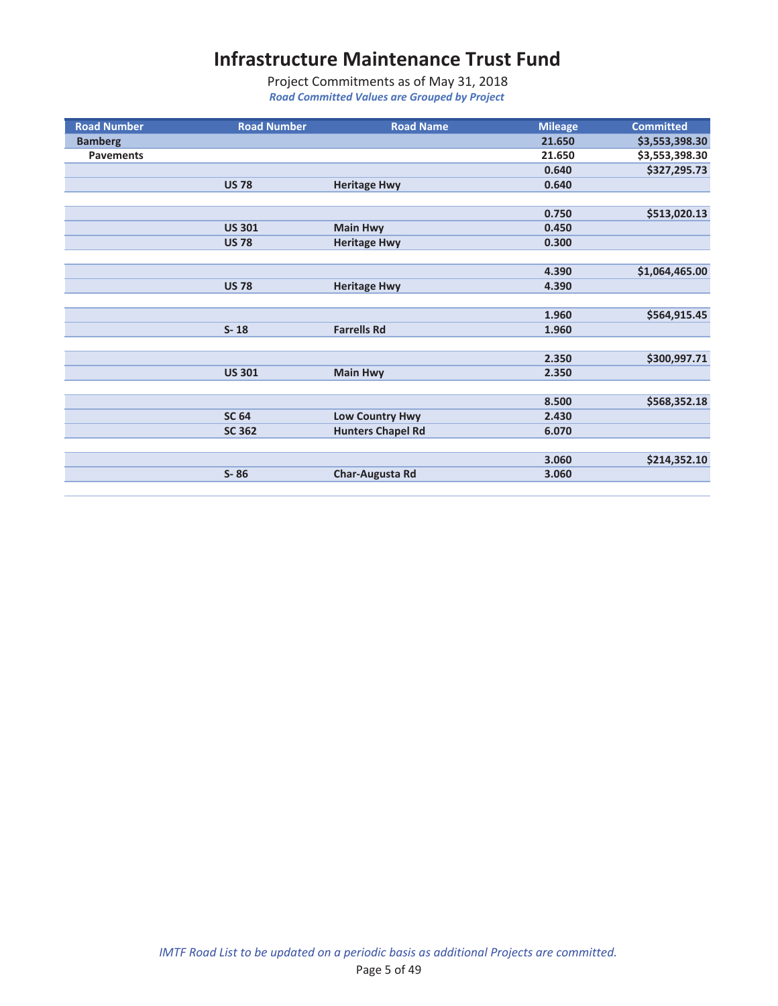| <b>Road Number</b> | <b>Road Number</b> | <b>Road Name</b>         | <b>Mileage</b> | <b>Committed</b> |
|--------------------|--------------------|--------------------------|----------------|------------------|
| <b>Bamberg</b>     |                    |                          | 21.650         | \$3,553,398.30   |
| <b>Pavements</b>   |                    |                          | 21.650         | \$3,553,398.30   |
|                    |                    |                          | 0.640          | \$327,295.73     |
|                    | <b>US78</b>        | <b>Heritage Hwy</b>      | 0.640          |                  |
|                    |                    |                          |                |                  |
|                    |                    |                          | 0.750          | \$513,020.13     |
|                    | <b>US 301</b>      | <b>Main Hwy</b>          | 0.450          |                  |
|                    | <b>US 78</b>       | <b>Heritage Hwy</b>      | 0.300          |                  |
|                    |                    |                          |                |                  |
|                    |                    |                          | 4.390          | \$1,064,465.00   |
|                    | <b>US 78</b>       | <b>Heritage Hwy</b>      | 4.390          |                  |
|                    |                    |                          |                |                  |
|                    |                    |                          | 1.960          | \$564,915.45     |
|                    | $S - 18$           | <b>Farrells Rd</b>       | 1.960          |                  |
|                    |                    |                          |                |                  |
|                    |                    |                          | 2.350          | \$300,997.71     |
|                    | <b>US 301</b>      | <b>Main Hwy</b>          | 2.350          |                  |
|                    |                    |                          |                |                  |
|                    |                    |                          | 8.500          | \$568,352.18     |
|                    | <b>SC 64</b>       | <b>Low Country Hwy</b>   | 2.430          |                  |
|                    | <b>SC 362</b>      | <b>Hunters Chapel Rd</b> | 6.070          |                  |
|                    |                    |                          |                |                  |
|                    |                    |                          | 3.060          | \$214,352.10     |
|                    | $S - 86$           | <b>Char-Augusta Rd</b>   | 3.060          |                  |
|                    |                    |                          |                |                  |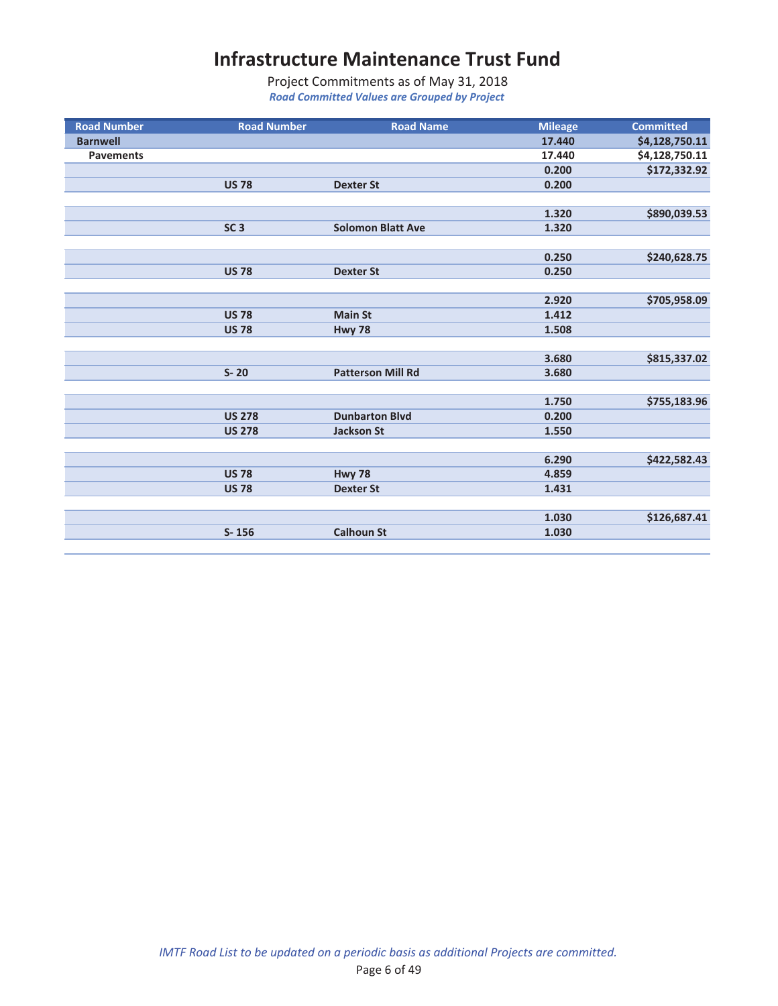| <b>Road Number</b> | <b>Road Number</b> | <b>Road Name</b>         | <b>Mileage</b> | <b>Committed</b> |
|--------------------|--------------------|--------------------------|----------------|------------------|
| <b>Barnwell</b>    |                    |                          | 17,440         | \$4,128,750.11   |
| <b>Pavements</b>   |                    |                          | 17.440         | \$4,128,750.11   |
|                    |                    |                          | 0.200          | \$172,332.92     |
|                    | <b>US 78</b>       | <b>Dexter St</b>         | 0.200          |                  |
|                    |                    |                          |                |                  |
|                    |                    |                          | 1.320          | \$890,039.53     |
|                    | SC <sub>3</sub>    | <b>Solomon Blatt Ave</b> | 1.320          |                  |
|                    |                    |                          |                |                  |
|                    |                    |                          | 0.250          | \$240,628.75     |
|                    | <b>US 78</b>       | <b>Dexter St</b>         | 0.250          |                  |
|                    |                    |                          |                |                  |
|                    |                    |                          | 2.920          | \$705,958.09     |
|                    | <b>US78</b>        | <b>Main St</b>           | 1.412          |                  |
|                    | <b>US 78</b>       | <b>Hwy 78</b>            | 1.508          |                  |
|                    |                    |                          |                |                  |
|                    |                    |                          | 3.680          | \$815,337.02     |
|                    | $S-20$             | <b>Patterson Mill Rd</b> | 3.680          |                  |
|                    |                    |                          |                |                  |
|                    |                    |                          | 1.750          | \$755,183.96     |
|                    | <b>US 278</b>      | <b>Dunbarton Blvd</b>    | 0.200          |                  |
|                    | <b>US 278</b>      | <b>Jackson St</b>        | 1.550          |                  |
|                    |                    |                          |                |                  |
|                    |                    |                          | 6.290          | \$422,582.43     |
|                    | <b>US 78</b>       | Hwy 78                   | 4.859          |                  |
|                    | <b>US 78</b>       | <b>Dexter St</b>         | 1.431          |                  |
|                    |                    |                          |                |                  |
|                    |                    |                          | 1.030          | \$126,687.41     |
|                    | $S - 156$          | <b>Calhoun St</b>        | 1.030          |                  |
|                    |                    |                          |                |                  |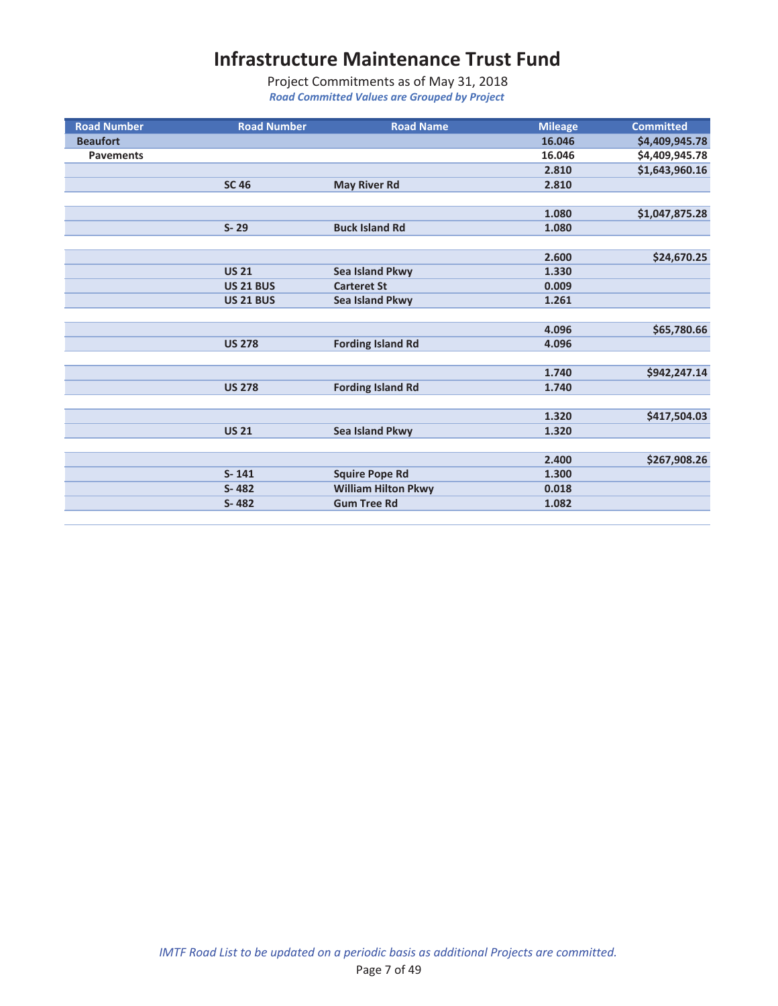| <b>Road Number</b> | <b>Road Number</b> | <b>Road Name</b>           | <b>Mileage</b> | <b>Committed</b> |
|--------------------|--------------------|----------------------------|----------------|------------------|
| <b>Beaufort</b>    |                    |                            | 16.046         | \$4,409,945.78   |
| <b>Pavements</b>   |                    |                            | 16.046         | \$4,409,945.78   |
|                    |                    |                            | 2.810          | \$1,643,960.16   |
|                    | <b>SC 46</b>       | <b>May River Rd</b>        | 2.810          |                  |
|                    |                    |                            |                |                  |
|                    |                    |                            | 1.080          | \$1,047,875.28   |
|                    | $S - 29$           | <b>Buck Island Rd</b>      | 1.080          |                  |
|                    |                    |                            |                |                  |
|                    |                    |                            | 2.600          | \$24,670.25      |
|                    | <b>US 21</b>       | Sea Island Pkwy            | 1.330          |                  |
|                    | <b>US 21 BUS</b>   | <b>Carteret St</b>         | 0.009          |                  |
|                    | <b>US 21 BUS</b>   | Sea Island Pkwy            | 1.261          |                  |
|                    |                    |                            |                |                  |
|                    |                    |                            | 4.096          | \$65,780.66      |
|                    | <b>US 278</b>      | <b>Fording Island Rd</b>   | 4.096          |                  |
|                    |                    |                            |                |                  |
|                    |                    |                            | 1.740          | \$942,247.14     |
|                    | <b>US 278</b>      | <b>Fording Island Rd</b>   | 1.740          |                  |
|                    |                    |                            |                |                  |
|                    |                    |                            | 1.320          | \$417,504.03     |
|                    | <b>US 21</b>       | Sea Island Pkwy            | 1.320          |                  |
|                    |                    |                            |                |                  |
|                    |                    |                            | 2.400          | \$267,908.26     |
|                    | $S - 141$          | <b>Squire Pope Rd</b>      | 1.300          |                  |
|                    | S-482              | <b>William Hilton Pkwy</b> | 0.018          |                  |
|                    | S-482              | <b>Gum Tree Rd</b>         | 1.082          |                  |
|                    |                    |                            |                |                  |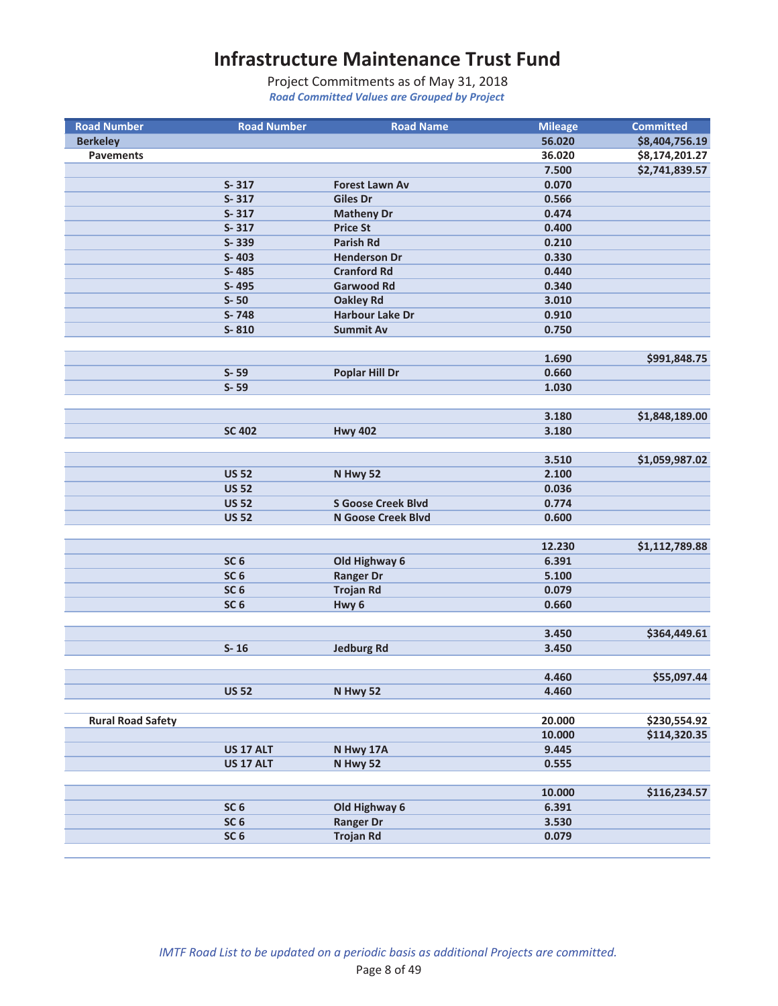| <b>Road Number</b>       | <b>Road Number</b> | <b>Road Name</b>          | <b>Mileage</b>  | <b>Committed</b>             |
|--------------------------|--------------------|---------------------------|-----------------|------------------------------|
| <b>Berkeley</b>          |                    |                           | 56.020          | \$8,404,756.19               |
| <b>Pavements</b>         |                    |                           | 36.020          | \$8,174,201.27               |
|                          |                    |                           | 7.500           | \$2,741,839.57               |
|                          | $S - 317$          | <b>Forest Lawn Av</b>     | 0.070           |                              |
|                          | $S - 317$          | <b>Giles Dr</b>           | 0.566           |                              |
|                          | $S - 317$          | <b>Matheny Dr</b>         | 0.474           |                              |
|                          | $S - 317$          | <b>Price St</b>           | 0.400           |                              |
|                          | S-339              | <b>Parish Rd</b>          | 0.210           |                              |
|                          | S-403              | <b>Henderson Dr</b>       | 0.330           |                              |
|                          | S-485              | <b>Cranford Rd</b>        | 0.440           |                              |
|                          | S-495              | <b>Garwood Rd</b>         | 0.340           |                              |
|                          | $S-50$             | <b>Oakley Rd</b>          | 3.010           |                              |
|                          | S-748              | <b>Harbour Lake Dr</b>    | 0.910           |                              |
|                          | S-810              | <b>Summit Av</b>          | 0.750           |                              |
|                          |                    |                           |                 |                              |
|                          |                    |                           | 1.690           | \$991,848.75                 |
|                          | $S - 59$           | <b>Poplar Hill Dr</b>     | 0.660           |                              |
|                          | $S - 59$           |                           | 1.030           |                              |
|                          |                    |                           |                 |                              |
|                          |                    |                           | 3.180           | \$1,848,189.00               |
|                          | <b>SC 402</b>      | <b>Hwy 402</b>            | 3.180           |                              |
|                          |                    |                           |                 |                              |
|                          |                    |                           | 3.510           | \$1,059,987.02               |
|                          | <b>US 52</b>       | N Hwy 52                  | 2.100           |                              |
|                          | <b>US 52</b>       |                           | 0.036           |                              |
|                          | <b>US 52</b>       | <b>S Goose Creek Blvd</b> | 0.774           |                              |
|                          | <b>US 52</b>       | N Goose Creek Blvd        | 0.600           |                              |
|                          |                    |                           |                 |                              |
|                          |                    |                           | 12.230          | \$1,112,789.88               |
|                          | SC <sub>6</sub>    | Old Highway 6             | 6.391           |                              |
|                          | SC <sub>6</sub>    | <b>Ranger Dr</b>          | 5.100           |                              |
|                          | SC <sub>6</sub>    | <b>Trojan Rd</b>          | 0.079           |                              |
|                          | SC <sub>6</sub>    | Hwy <sub>6</sub>          | 0.660           |                              |
|                          |                    |                           |                 |                              |
|                          |                    |                           | 3.450           | \$364,449.61                 |
|                          | $S-16$             | <b>Jedburg Rd</b>         | 3.450           |                              |
|                          |                    |                           |                 |                              |
|                          |                    |                           | 4.460           | \$55,097.44                  |
|                          | <b>US 52</b>       | N Hwy 52                  | 4.460           |                              |
|                          |                    |                           |                 |                              |
| <b>Rural Road Safety</b> |                    |                           | 20.000          | \$230,554.92<br>\$114,320.35 |
|                          |                    |                           | 10.000          |                              |
|                          | <b>US 17 ALT</b>   | N Hwy 17A                 | 9.445           |                              |
|                          | <b>US 17 ALT</b>   | N Hwy 52                  | 0.555           |                              |
|                          |                    |                           |                 |                              |
|                          | SC <sub>6</sub>    | Old Highway 6             | 10.000<br>6.391 | \$116,234.57                 |
|                          | SC <sub>6</sub>    | <b>Ranger Dr</b>          | 3.530           |                              |
|                          | SC <sub>6</sub>    | <b>Trojan Rd</b>          | 0.079           |                              |
|                          |                    |                           |                 |                              |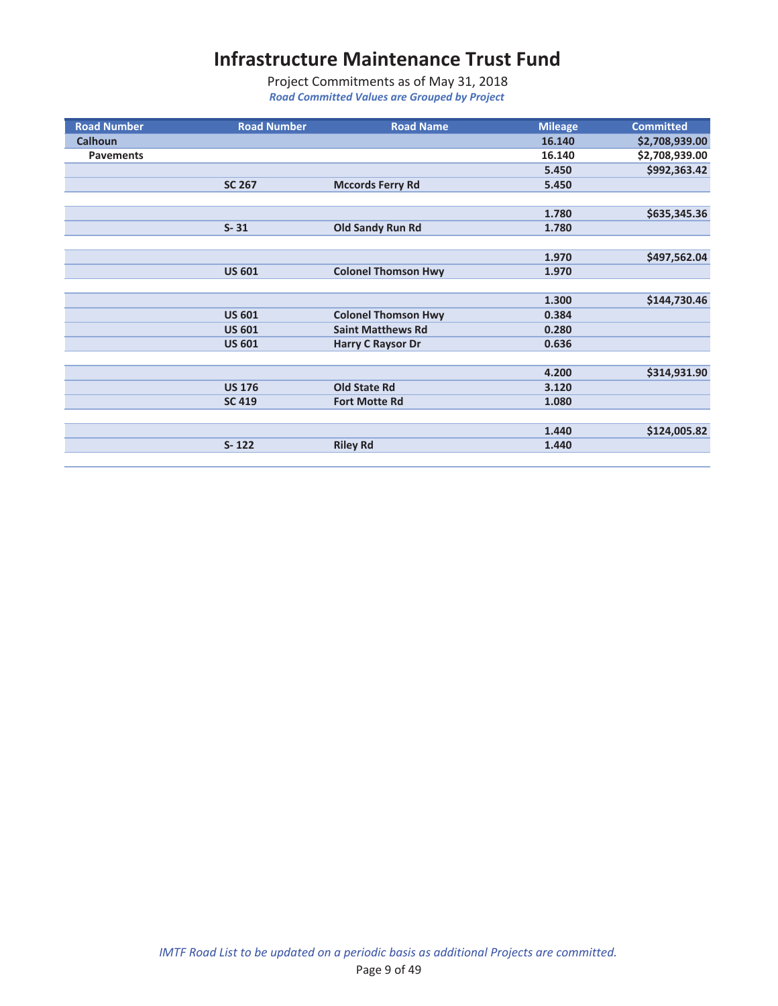| <b>Road Number</b> | <b>Road Number</b> | <b>Road Name</b>           | <b>Mileage</b> | <b>Committed</b> |
|--------------------|--------------------|----------------------------|----------------|------------------|
| <b>Calhoun</b>     |                    |                            | 16.140         | \$2,708,939.00   |
| <b>Pavements</b>   |                    |                            | 16.140         | \$2,708,939.00   |
|                    |                    |                            | 5.450          | \$992,363.42     |
|                    | <b>SC 267</b>      | <b>Mccords Ferry Rd</b>    | 5.450          |                  |
|                    |                    |                            |                |                  |
|                    |                    |                            | 1.780          | \$635,345.36     |
|                    | $S - 31$           | <b>Old Sandy Run Rd</b>    | 1.780          |                  |
|                    |                    |                            |                |                  |
|                    |                    |                            | 1.970          | \$497,562.04     |
|                    | <b>US 601</b>      | <b>Colonel Thomson Hwy</b> | 1.970          |                  |
|                    |                    |                            |                |                  |
|                    |                    |                            | 1.300          | \$144,730.46     |
|                    | <b>US 601</b>      | <b>Colonel Thomson Hwy</b> | 0.384          |                  |
|                    | <b>US 601</b>      | <b>Saint Matthews Rd</b>   | 0.280          |                  |
|                    | <b>US 601</b>      | <b>Harry C Raysor Dr</b>   | 0.636          |                  |
|                    |                    |                            |                |                  |
|                    |                    |                            | 4.200          | \$314,931.90     |
|                    | <b>US 176</b>      | <b>Old State Rd</b>        | 3.120          |                  |
|                    | <b>SC 419</b>      | <b>Fort Motte Rd</b>       | 1.080          |                  |
|                    |                    |                            |                |                  |
|                    |                    |                            | 1.440          | \$124,005.82     |
|                    | $S - 122$          | <b>Riley Rd</b>            | 1.440          |                  |
|                    |                    |                            |                |                  |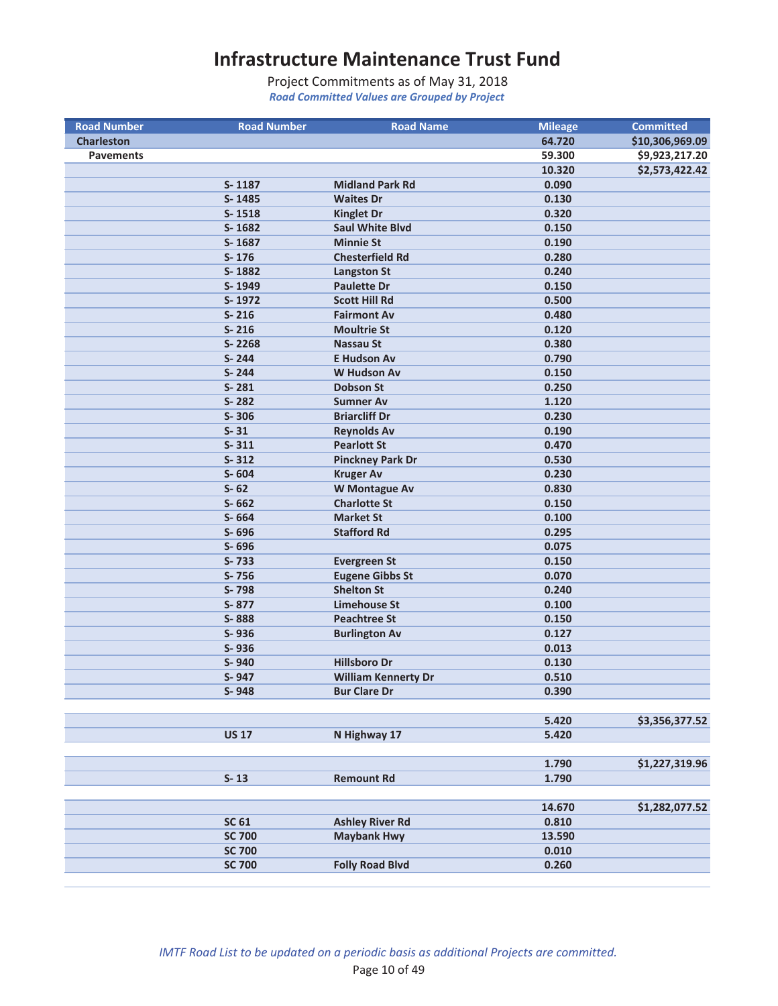| <b>Road Number</b> | <b>Road Number</b> | <b>Road Name</b>           | <b>Mileage</b>  | <b>Committed</b> |
|--------------------|--------------------|----------------------------|-----------------|------------------|
| <b>Charleston</b>  |                    |                            | 64.720          | \$10,306,969.09  |
| <b>Pavements</b>   |                    |                            | 59.300          | \$9,923,217.20   |
|                    |                    |                            | 10.320          | \$2,573,422.42   |
|                    | S-1187             | <b>Midland Park Rd</b>     | 0.090           |                  |
|                    | S-1485             | <b>Waites Dr</b>           | 0.130           |                  |
|                    | S-1518             | <b>Kinglet Dr</b>          | 0.320           |                  |
|                    | S-1682             | <b>Saul White Blvd</b>     | 0.150           |                  |
|                    | S-1687             | <b>Minnie St</b>           | 0.190           |                  |
|                    | S-176              | <b>Chesterfield Rd</b>     | 0.280           |                  |
|                    | S-1882             | <b>Langston St</b>         | 0.240           |                  |
|                    | S-1949             | <b>Paulette Dr</b>         | 0.150           |                  |
|                    | S-1972             | <b>Scott Hill Rd</b>       | 0.500           |                  |
|                    | $S - 216$          | <b>Fairmont Av</b>         | 0.480           |                  |
|                    | $S - 216$          | <b>Moultrie St</b>         | 0.120           |                  |
|                    | S-2268             | <b>Nassau St</b>           | 0.380           |                  |
|                    | S-244              | <b>E Hudson Av</b>         | 0.790           |                  |
|                    | S-244              | <b>W Hudson Av</b>         | 0.150           |                  |
|                    | $S - 281$          | Dobson St                  | 0.250           |                  |
|                    | S-282              | <b>Sumner Av</b>           | 1.120           |                  |
|                    | $S - 306$          | <b>Briarcliff Dr</b>       | 0.230           |                  |
|                    | $S - 31$           | <b>Reynolds Av</b>         | 0.190           |                  |
|                    | $S - 311$          | <b>Pearlott St</b>         | 0.470           |                  |
|                    | $S - 312$          | <b>Pinckney Park Dr</b>    | 0.530           |                  |
|                    | $S - 604$          | <b>Kruger Av</b>           | 0.230           |                  |
|                    | $S - 62$           | W Montague Av              | 0.830           |                  |
|                    | $S - 662$          | <b>Charlotte St</b>        | 0.150           |                  |
|                    | S-664              | <b>Market St</b>           | 0.100           |                  |
|                    | S-696              | <b>Stafford Rd</b>         | 0.295           |                  |
|                    | S-696              |                            | 0.075           |                  |
|                    | S-733              | <b>Evergreen St</b>        | 0.150           |                  |
|                    | S-756              | <b>Eugene Gibbs St</b>     | 0.070           |                  |
|                    | S-798              | <b>Shelton St</b>          | 0.240           |                  |
|                    | S-877              | <b>Limehouse St</b>        | 0.100           |                  |
|                    | S-888              | <b>Peachtree St</b>        | 0.150           |                  |
|                    | S-936              | <b>Burlington Av</b>       | 0.127           |                  |
|                    | S-936              |                            | 0.013           |                  |
|                    | S-940              | <b>Hillsboro Dr</b>        | 0.130           |                  |
|                    | S-947              | <b>William Kennerty Dr</b> | 0.510           |                  |
|                    | S-948              | <b>Bur Clare Dr</b>        | 0.390           |                  |
|                    |                    |                            |                 |                  |
|                    |                    |                            | 5.420           | \$3,356,377.52   |
|                    | <b>US 17</b>       | N Highway 17               | 5.420           |                  |
|                    |                    |                            |                 |                  |
|                    |                    |                            | 1.790           | \$1,227,319.96   |
|                    |                    | <b>Remount Rd</b>          |                 |                  |
|                    | $S-13$             |                            | 1.790           |                  |
|                    |                    |                            |                 |                  |
|                    |                    |                            | 14.670<br>0.810 | \$1,282,077.52   |
|                    | <b>SC 61</b>       | <b>Ashley River Rd</b>     |                 |                  |
|                    | <b>SC 700</b>      | <b>Maybank Hwy</b>         | 13.590          |                  |
|                    | <b>SC 700</b>      |                            | 0.010           |                  |
|                    | <b>SC 700</b>      | <b>Folly Road Blvd</b>     | 0.260           |                  |
|                    |                    |                            |                 |                  |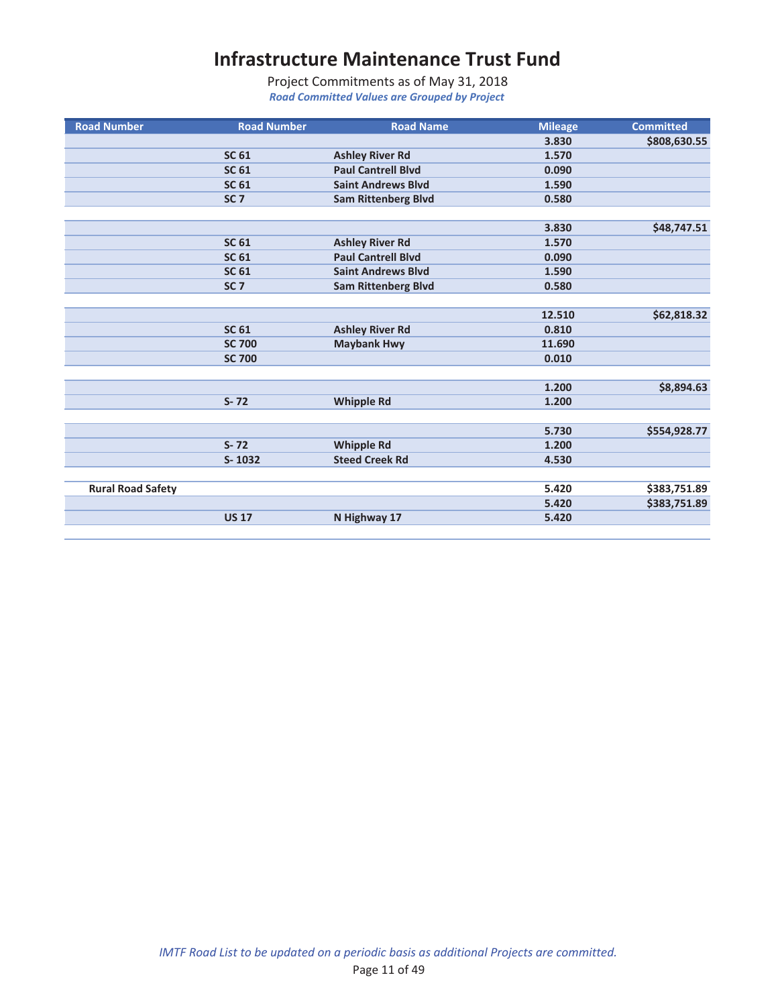| <b>Road Number</b>       | <b>Road Number</b> | <b>Road Name</b>           | <b>Mileage</b> | <b>Committed</b> |
|--------------------------|--------------------|----------------------------|----------------|------------------|
|                          |                    |                            | 3.830          | \$808,630.55     |
|                          | <b>SC 61</b>       | <b>Ashley River Rd</b>     | 1.570          |                  |
|                          | <b>SC 61</b>       | <b>Paul Cantrell Blvd</b>  | 0.090          |                  |
|                          | <b>SC 61</b>       | <b>Saint Andrews Blvd</b>  | 1.590          |                  |
|                          | SC <sub>7</sub>    | <b>Sam Rittenberg Blvd</b> | 0.580          |                  |
|                          |                    |                            |                |                  |
|                          |                    |                            | 3.830          | \$48,747.51      |
|                          | <b>SC 61</b>       | <b>Ashley River Rd</b>     | 1.570          |                  |
|                          | <b>SC 61</b>       | <b>Paul Cantrell Blvd</b>  | 0.090          |                  |
|                          | <b>SC 61</b>       | <b>Saint Andrews Blvd</b>  | 1.590          |                  |
|                          | SC <sub>7</sub>    | <b>Sam Rittenberg Blvd</b> | 0.580          |                  |
|                          |                    |                            |                |                  |
|                          |                    |                            | 12.510         | \$62,818.32      |
|                          | <b>SC 61</b>       | <b>Ashley River Rd</b>     | 0.810          |                  |
|                          | <b>SC 700</b>      | <b>Maybank Hwy</b>         | 11.690         |                  |
|                          | <b>SC 700</b>      |                            | 0.010          |                  |
|                          |                    |                            |                |                  |
|                          |                    |                            | 1.200          | \$8,894.63       |
|                          | $S - 72$           | <b>Whipple Rd</b>          | 1.200          |                  |
|                          |                    |                            |                |                  |
|                          |                    |                            | 5.730          | \$554,928.77     |
|                          | $S - 72$           | <b>Whipple Rd</b>          | 1.200          |                  |
|                          | $S-1032$           | <b>Steed Creek Rd</b>      | 4.530          |                  |
|                          |                    |                            |                |                  |
| <b>Rural Road Safety</b> |                    |                            | 5.420          | \$383,751.89     |
|                          |                    |                            | 5.420          | \$383,751.89     |
|                          | <b>US 17</b>       | N Highway 17               | 5.420          |                  |
|                          |                    |                            |                |                  |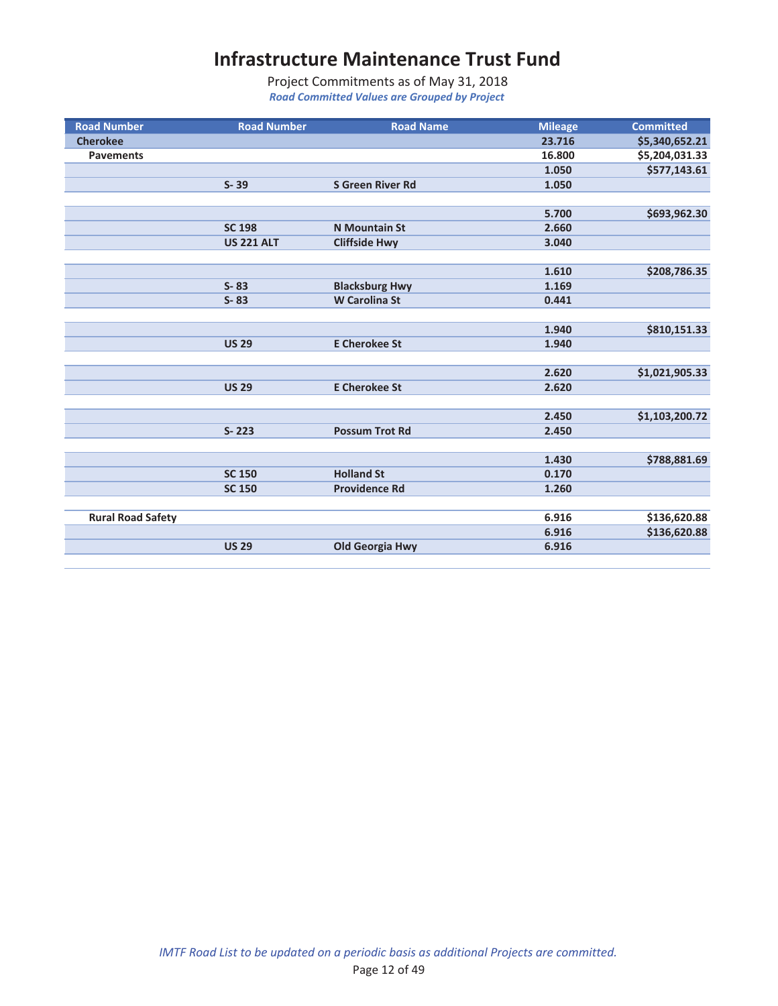| <b>Road Number</b>       | <b>Road Number</b> | <b>Road Name</b>        | <b>Mileage</b> | <b>Committed</b> |
|--------------------------|--------------------|-------------------------|----------------|------------------|
| <b>Cherokee</b>          |                    |                         | 23.716         | \$5,340,652.21   |
| <b>Pavements</b>         |                    |                         | 16.800         | \$5,204,031.33   |
|                          |                    |                         | 1.050          | \$577,143.61     |
|                          | $S - 39$           | <b>S Green River Rd</b> | 1.050          |                  |
|                          |                    |                         |                |                  |
|                          |                    |                         | 5.700          | \$693,962.30     |
|                          | <b>SC 198</b>      | <b>N</b> Mountain St    | 2.660          |                  |
|                          | <b>US 221 ALT</b>  | <b>Cliffside Hwy</b>    | 3.040          |                  |
|                          |                    |                         |                |                  |
|                          |                    |                         | 1.610          | \$208,786.35     |
|                          | $S - 83$           | <b>Blacksburg Hwy</b>   | 1.169          |                  |
|                          | $S - 83$           | <b>W</b> Carolina St    | 0.441          |                  |
|                          |                    |                         |                |                  |
|                          |                    |                         | 1.940          | \$810,151.33     |
|                          | <b>US 29</b>       | <b>E Cherokee St</b>    | 1.940          |                  |
|                          |                    |                         |                |                  |
|                          |                    |                         | 2.620          | \$1,021,905.33   |
|                          | <b>US 29</b>       | <b>E Cherokee St</b>    | 2.620          |                  |
|                          |                    |                         |                |                  |
|                          |                    |                         | 2.450          | \$1,103,200.72   |
|                          | $S - 223$          | <b>Possum Trot Rd</b>   | 2.450          |                  |
|                          |                    |                         |                |                  |
|                          |                    |                         | 1.430          | \$788,881.69     |
|                          | <b>SC 150</b>      | <b>Holland St</b>       | 0.170          |                  |
|                          | <b>SC 150</b>      | <b>Providence Rd</b>    | 1.260          |                  |
|                          |                    |                         |                |                  |
| <b>Rural Road Safety</b> |                    |                         | 6.916          | \$136,620.88     |
|                          |                    |                         | 6.916          | \$136,620.88     |
|                          | <b>US 29</b>       | <b>Old Georgia Hwy</b>  | 6.916          |                  |
|                          |                    |                         |                |                  |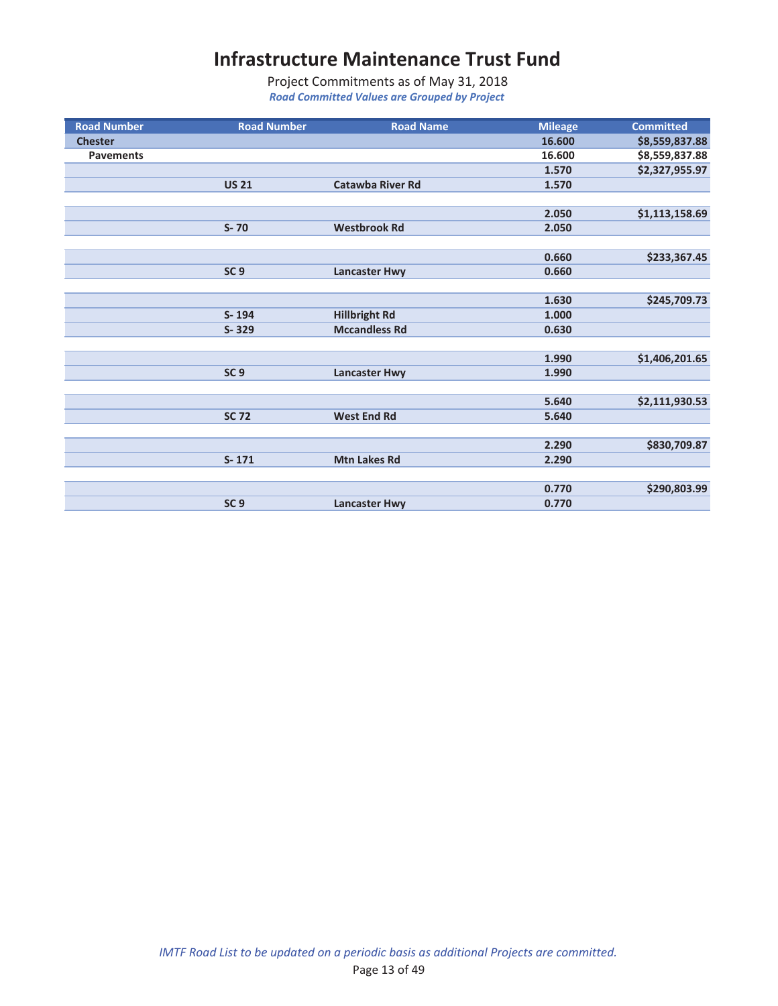| <b>Road Number</b> | <b>Road Number</b> | <b>Road Name</b>        | <b>Mileage</b> | <b>Committed</b> |
|--------------------|--------------------|-------------------------|----------------|------------------|
| <b>Chester</b>     |                    |                         | 16.600         | \$8,559,837.88   |
| <b>Pavements</b>   |                    |                         | 16.600         | \$8,559,837.88   |
|                    |                    |                         | 1.570          | \$2,327,955.97   |
|                    | <b>US 21</b>       | <b>Catawba River Rd</b> | 1.570          |                  |
|                    |                    |                         |                |                  |
|                    |                    |                         | 2.050          | \$1,113,158.69   |
|                    | $S-70$             | <b>Westbrook Rd</b>     | 2.050          |                  |
|                    |                    |                         |                |                  |
|                    |                    |                         | 0.660          | \$233,367.45     |
|                    | SC <sub>9</sub>    | <b>Lancaster Hwy</b>    | 0.660          |                  |
|                    |                    |                         |                |                  |
|                    |                    |                         | 1.630          | \$245,709.73     |
|                    | $S - 194$          | <b>Hillbright Rd</b>    | 1.000          |                  |
|                    | S-329              | <b>Mccandless Rd</b>    | 0.630          |                  |
|                    |                    |                         |                |                  |
|                    |                    |                         | 1.990          | \$1,406,201.65   |
|                    | SC <sub>9</sub>    | <b>Lancaster Hwy</b>    | 1.990          |                  |
|                    |                    |                         |                |                  |
|                    |                    |                         | 5.640          | \$2,111,930.53   |
|                    | <b>SC 72</b>       | <b>West End Rd</b>      | 5.640          |                  |
|                    |                    |                         |                |                  |
|                    |                    |                         | 2.290          | \$830,709.87     |
|                    | $S - 171$          | <b>Mtn Lakes Rd</b>     | 2.290          |                  |
|                    |                    |                         |                |                  |
|                    |                    |                         | 0.770          | \$290,803.99     |
|                    | SC <sub>9</sub>    | <b>Lancaster Hwy</b>    | 0.770          |                  |
|                    |                    |                         |                |                  |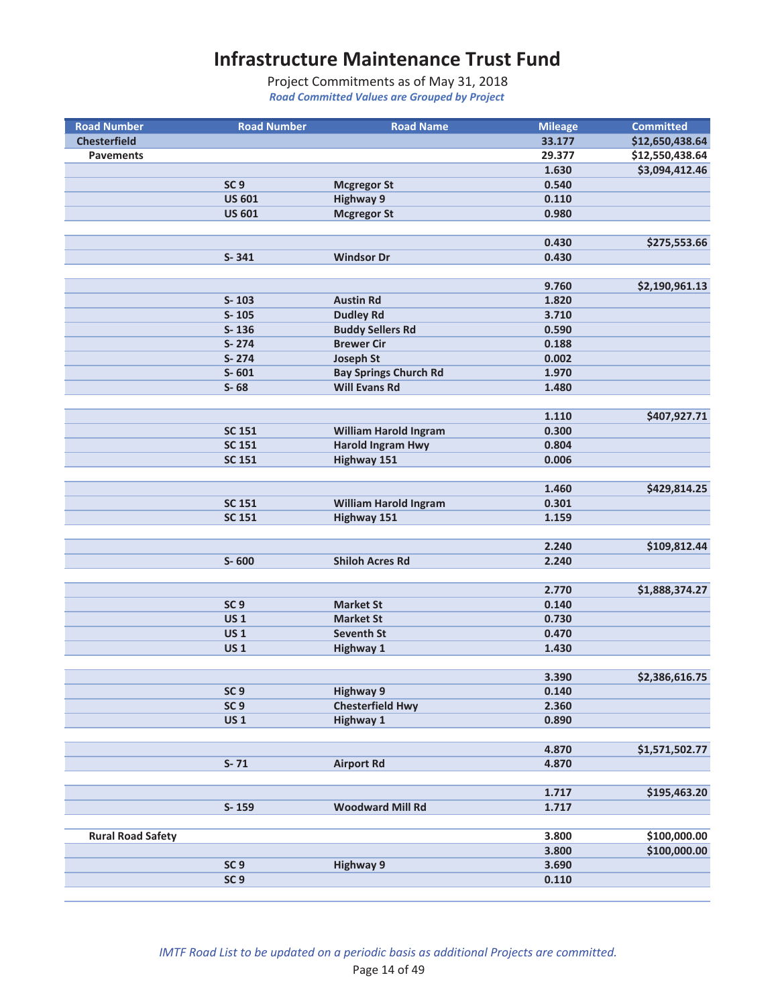| <b>Road Number</b>       | <b>Road Number</b> | <b>Road Name</b>             | <b>Mileage</b> | <b>Committed</b> |
|--------------------------|--------------------|------------------------------|----------------|------------------|
| <b>Chesterfield</b>      |                    |                              | 33.177         | \$12,650,438.64  |
| <b>Pavements</b>         |                    |                              | 29.377         | \$12,550,438.64  |
|                          |                    |                              | 1.630          | \$3,094,412.46   |
|                          | SC <sub>9</sub>    | <b>Mcgregor St</b>           | 0.540          |                  |
|                          | <b>US 601</b>      | <b>Highway 9</b>             | 0.110          |                  |
|                          | <b>US 601</b>      | <b>Mcgregor St</b>           | 0.980          |                  |
|                          |                    |                              |                |                  |
|                          |                    |                              | 0.430          | \$275,553.66     |
|                          | $S - 341$          | <b>Windsor Dr</b>            | 0.430          |                  |
|                          |                    |                              |                |                  |
|                          |                    |                              | 9.760          | \$2,190,961.13   |
|                          | $S - 103$          | <b>Austin Rd</b>             | 1.820          |                  |
|                          | $S-105$            | <b>Dudley Rd</b>             | 3.710          |                  |
|                          | $S - 136$          | <b>Buddy Sellers Rd</b>      | 0.590          |                  |
|                          | S-274              | <b>Brewer Cir</b>            | 0.188          |                  |
|                          | S-274              | <b>Joseph St</b>             | 0.002          |                  |
|                          | $S - 601$          |                              |                |                  |
|                          |                    | <b>Bay Springs Church Rd</b> | 1.970          |                  |
|                          | $S-68$             | <b>Will Evans Rd</b>         | 1.480          |                  |
|                          |                    |                              |                |                  |
|                          |                    |                              | 1.110          | \$407,927.71     |
|                          | <b>SC 151</b>      | <b>William Harold Ingram</b> | 0.300          |                  |
|                          | <b>SC 151</b>      | <b>Harold Ingram Hwy</b>     | 0.804          |                  |
|                          | <b>SC 151</b>      | <b>Highway 151</b>           | 0.006          |                  |
|                          |                    |                              |                |                  |
|                          |                    |                              | 1.460          | \$429,814.25     |
|                          | <b>SC 151</b>      | <b>William Harold Ingram</b> | 0.301          |                  |
|                          | <b>SC 151</b>      | <b>Highway 151</b>           | 1.159          |                  |
|                          |                    |                              |                |                  |
|                          |                    |                              | 2.240          | \$109,812.44     |
|                          | $S - 600$          | <b>Shiloh Acres Rd</b>       | 2.240          |                  |
|                          |                    |                              |                |                  |
|                          |                    |                              | 2.770          | \$1,888,374.27   |
|                          | SC <sub>9</sub>    | <b>Market St</b>             | 0.140          |                  |
|                          | <b>US1</b>         | <b>Market St</b>             | 0.730          |                  |
|                          | <b>US1</b>         | Seventh St                   | 0.470          |                  |
|                          | <b>US1</b>         | <b>Highway 1</b>             | 1.430          |                  |
|                          |                    |                              |                |                  |
|                          |                    |                              | 3.390          | \$2,386,616.75   |
|                          | SC <sub>9</sub>    | <b>Highway 9</b>             | 0.140          |                  |
|                          | SC <sub>9</sub>    | <b>Chesterfield Hwy</b>      | 2.360          |                  |
|                          | <b>US1</b>         | <b>Highway 1</b>             | 0.890          |                  |
|                          |                    |                              |                |                  |
|                          |                    |                              |                |                  |
|                          |                    |                              | 4.870          | \$1,571,502.77   |
|                          | $S - 71$           | <b>Airport Rd</b>            | 4.870          |                  |
|                          |                    |                              |                |                  |
|                          |                    |                              | 1.717          | \$195,463.20     |
|                          | S-159              | <b>Woodward Mill Rd</b>      | 1.717          |                  |
|                          |                    |                              |                |                  |
| <b>Rural Road Safety</b> |                    |                              | 3.800          | \$100,000.00     |
|                          |                    |                              | 3.800          | \$100,000.00     |
|                          | SC <sub>9</sub>    | <b>Highway 9</b>             | 3.690          |                  |
|                          | SC <sub>9</sub>    |                              | 0.110          |                  |
|                          |                    |                              |                |                  |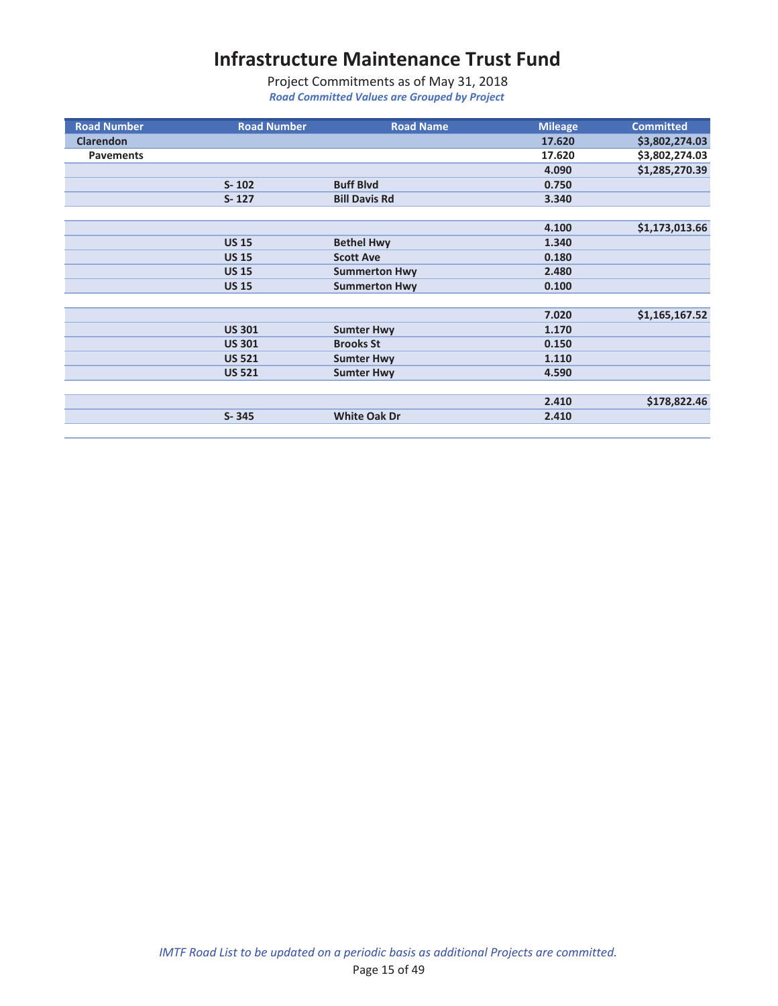| <b>Road Number</b> | <b>Road Number</b> | <b>Road Name</b>     | <b>Mileage</b> | <b>Committed</b> |
|--------------------|--------------------|----------------------|----------------|------------------|
| <b>Clarendon</b>   |                    |                      | 17.620         | \$3,802,274.03   |
| <b>Pavements</b>   |                    |                      | 17.620         | \$3,802,274.03   |
|                    |                    |                      | 4.090          | \$1,285,270.39   |
|                    | $S - 102$          | <b>Buff Blvd</b>     | 0.750          |                  |
|                    | $S - 127$          | <b>Bill Davis Rd</b> | 3.340          |                  |
|                    |                    |                      |                |                  |
|                    |                    |                      | 4.100          | \$1,173,013.66   |
|                    | <b>US 15</b>       | <b>Bethel Hwy</b>    | 1.340          |                  |
|                    | <b>US 15</b>       | <b>Scott Ave</b>     | 0.180          |                  |
|                    | <b>US 15</b>       | <b>Summerton Hwy</b> | 2.480          |                  |
|                    | <b>US 15</b>       | <b>Summerton Hwy</b> | 0.100          |                  |
|                    |                    |                      |                |                  |
|                    |                    |                      | 7.020          | \$1,165,167.52   |
|                    | <b>US 301</b>      | <b>Sumter Hwy</b>    | 1.170          |                  |
|                    | <b>US 301</b>      | <b>Brooks St</b>     | 0.150          |                  |
|                    | <b>US 521</b>      | <b>Sumter Hwy</b>    | 1.110          |                  |
|                    | <b>US 521</b>      | <b>Sumter Hwy</b>    | 4.590          |                  |
|                    |                    |                      |                |                  |
|                    |                    |                      | 2.410          | \$178,822.46     |
|                    | $S - 345$          | <b>White Oak Dr</b>  | 2.410          |                  |
|                    |                    |                      |                |                  |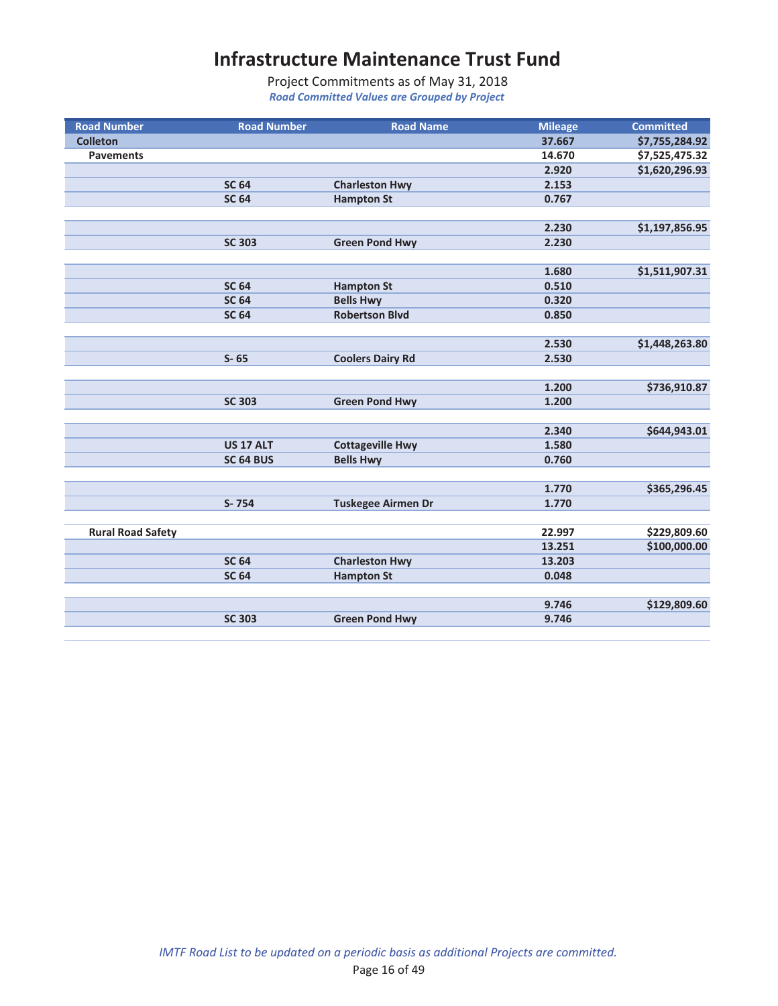| <b>Road Number</b>       | <b>Road Number</b> | <b>Road Name</b>          | <b>Mileage</b> | <b>Committed</b> |
|--------------------------|--------------------|---------------------------|----------------|------------------|
| <b>Colleton</b>          |                    |                           | 37.667         | \$7,755,284.92   |
| <b>Pavements</b>         |                    |                           | 14.670         | \$7,525,475.32   |
|                          |                    |                           | 2.920          | \$1,620,296.93   |
|                          | <b>SC 64</b>       | <b>Charleston Hwy</b>     | 2.153          |                  |
|                          | <b>SC 64</b>       | <b>Hampton St</b>         | 0.767          |                  |
|                          |                    |                           |                |                  |
|                          |                    |                           | 2.230          | \$1,197,856.95   |
|                          | <b>SC 303</b>      | <b>Green Pond Hwy</b>     | 2.230          |                  |
|                          |                    |                           |                |                  |
|                          |                    |                           | 1.680          | \$1,511,907.31   |
|                          | <b>SC 64</b>       | <b>Hampton St</b>         | 0.510          |                  |
|                          | <b>SC 64</b>       | <b>Bells Hwy</b>          | 0.320          |                  |
|                          | <b>SC 64</b>       | <b>Robertson Blvd</b>     | 0.850          |                  |
|                          |                    |                           |                |                  |
|                          |                    |                           | 2.530          | \$1,448,263.80   |
|                          | $S - 65$           | <b>Coolers Dairy Rd</b>   | 2.530          |                  |
|                          |                    |                           |                |                  |
|                          |                    |                           | 1.200          | \$736,910.87     |
|                          | <b>SC 303</b>      | <b>Green Pond Hwy</b>     | 1.200          |                  |
|                          |                    |                           |                |                  |
|                          |                    |                           | 2.340          | \$644,943.01     |
|                          | <b>US 17 ALT</b>   | <b>Cottageville Hwy</b>   | 1.580          |                  |
|                          | SC 64 BUS          | <b>Bells Hwy</b>          | 0.760          |                  |
|                          |                    |                           |                |                  |
|                          |                    |                           | 1.770          | \$365,296.45     |
|                          | S-754              | <b>Tuskegee Airmen Dr</b> | 1.770          |                  |
|                          |                    |                           |                |                  |
| <b>Rural Road Safety</b> |                    |                           | 22.997         | \$229,809.60     |
|                          |                    |                           | 13.251         | \$100,000.00     |
|                          | <b>SC 64</b>       | <b>Charleston Hwy</b>     | 13.203         |                  |
|                          | <b>SC 64</b>       | <b>Hampton St</b>         | 0.048          |                  |
|                          |                    |                           |                |                  |
|                          |                    |                           | 9.746          | \$129,809.60     |
|                          | <b>SC 303</b>      | <b>Green Pond Hwy</b>     | 9.746          |                  |
|                          |                    |                           |                |                  |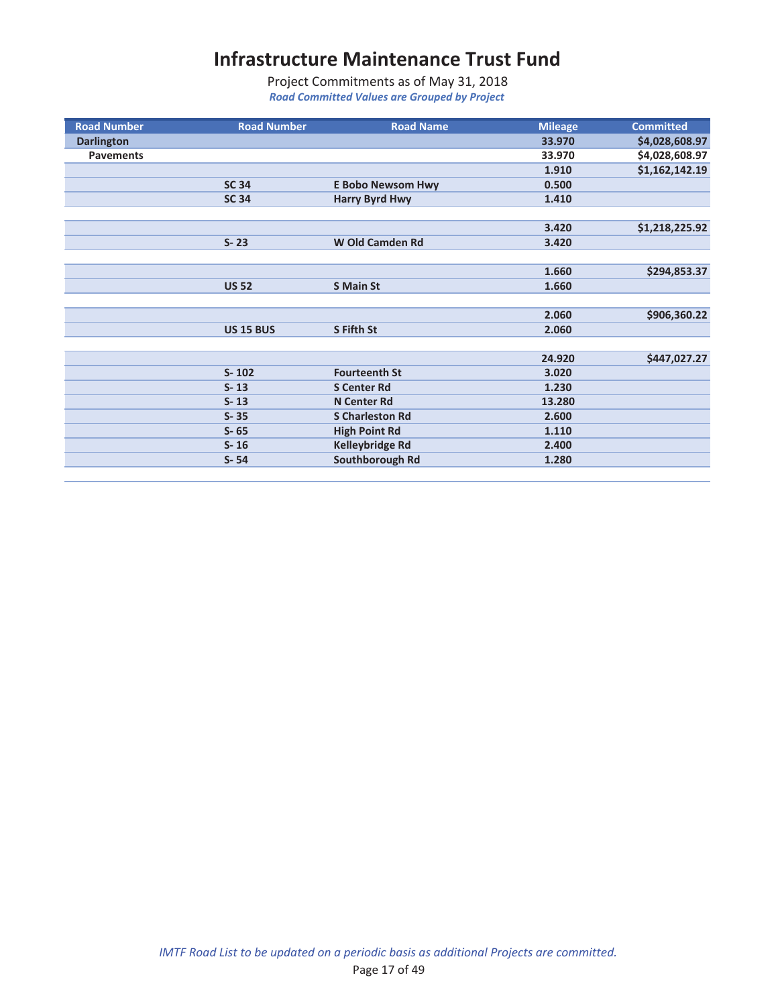| <b>Road Number</b> | <b>Road Number</b> | <b>Road Name</b>         | <b>Mileage</b> | <b>Committed</b> |
|--------------------|--------------------|--------------------------|----------------|------------------|
| <b>Darlington</b>  |                    |                          | 33.970         | \$4,028,608.97   |
| <b>Pavements</b>   |                    |                          | 33.970         | \$4,028,608.97   |
|                    |                    |                          | 1.910          | \$1,162,142.19   |
|                    | <b>SC 34</b>       | <b>E Bobo Newsom Hwy</b> | 0.500          |                  |
|                    | <b>SC 34</b>       | <b>Harry Byrd Hwy</b>    | 1.410          |                  |
|                    |                    |                          |                |                  |
|                    |                    |                          | 3.420          | \$1,218,225.92   |
|                    | $S - 23$           | <b>W Old Camden Rd</b>   | 3.420          |                  |
|                    |                    |                          |                |                  |
|                    |                    |                          | 1.660          | \$294,853.37     |
|                    | <b>US 52</b>       | <b>S Main St</b>         | 1.660          |                  |
|                    |                    |                          |                |                  |
|                    |                    |                          | 2.060          | \$906,360.22     |
|                    | <b>US 15 BUS</b>   | S Fifth St               | 2.060          |                  |
|                    |                    |                          |                |                  |
|                    |                    |                          | 24.920         | \$447,027.27     |
|                    | $S - 102$          | <b>Fourteenth St</b>     | 3.020          |                  |
|                    | $S - 13$           | <b>S Center Rd</b>       | 1.230          |                  |
|                    | $S - 13$           | <b>N</b> Center Rd       | 13.280         |                  |
|                    | $S - 35$           | <b>S Charleston Rd</b>   | 2.600          |                  |
|                    | $S - 65$           | <b>High Point Rd</b>     | 1.110          |                  |
|                    | $S - 16$           | <b>Kelleybridge Rd</b>   | 2.400          |                  |
|                    | $S - 54$           | Southborough Rd          | 1.280          |                  |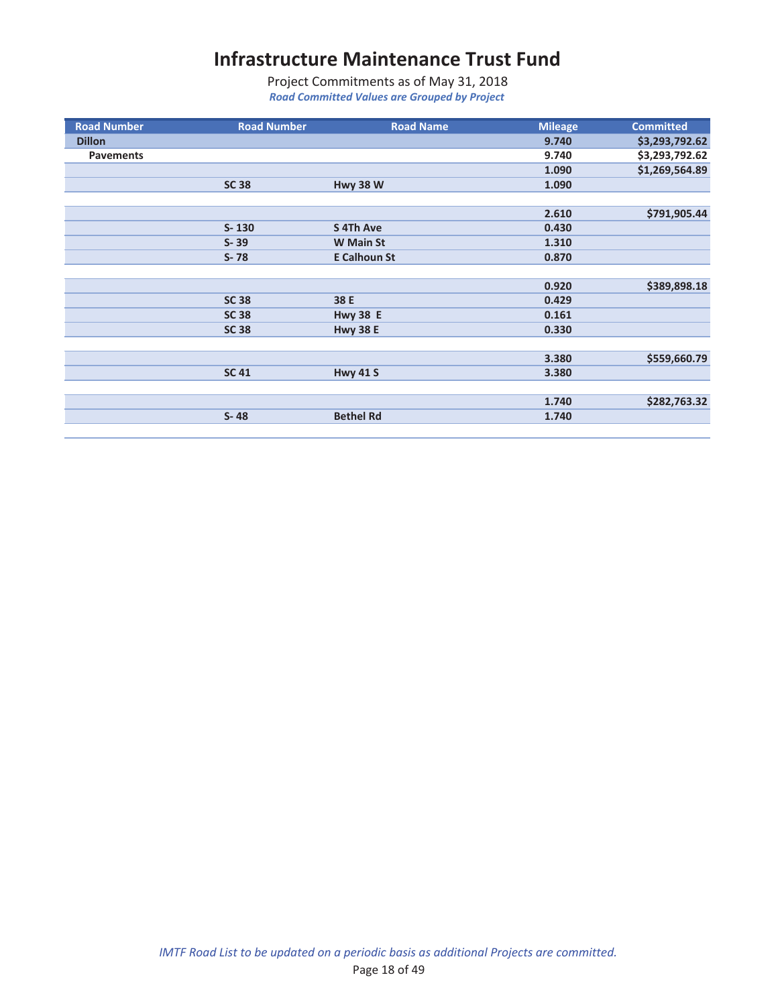| <b>Road Number</b> | <b>Road Number</b> | <b>Road Name</b>    | <b>Mileage</b> | <b>Committed</b> |
|--------------------|--------------------|---------------------|----------------|------------------|
| <b>Dillon</b>      |                    |                     | 9.740          | \$3,293,792.62   |
| <b>Pavements</b>   |                    |                     | 9.740          | \$3,293,792.62   |
|                    |                    |                     | 1.090          | \$1,269,564.89   |
|                    | <b>SC 38</b>       | <b>Hwy 38 W</b>     | 1.090          |                  |
|                    |                    |                     |                |                  |
|                    |                    |                     | 2.610          | \$791,905.44     |
|                    | $S - 130$          | S 4Th Ave           | 0.430          |                  |
|                    | $S - 39$           | <b>W</b> Main St    | 1.310          |                  |
|                    | $S - 78$           | <b>E Calhoun St</b> | 0.870          |                  |
|                    |                    |                     |                |                  |
|                    |                    |                     | 0.920          | \$389,898.18     |
|                    | <b>SC 38</b>       | 38 E                | 0.429          |                  |
|                    | <b>SC 38</b>       | <b>Hwy 38 E</b>     | 0.161          |                  |
|                    | <b>SC 38</b>       | <b>Hwy 38 E</b>     | 0.330          |                  |
|                    |                    |                     |                |                  |
|                    |                    |                     | 3.380          | \$559,660.79     |
|                    | <b>SC 41</b>       | <b>Hwy 41 S</b>     | 3.380          |                  |
|                    |                    |                     |                |                  |
|                    |                    |                     | 1.740          | \$282,763.32     |
|                    | $S - 48$           | <b>Bethel Rd</b>    | 1.740          |                  |
|                    |                    |                     |                |                  |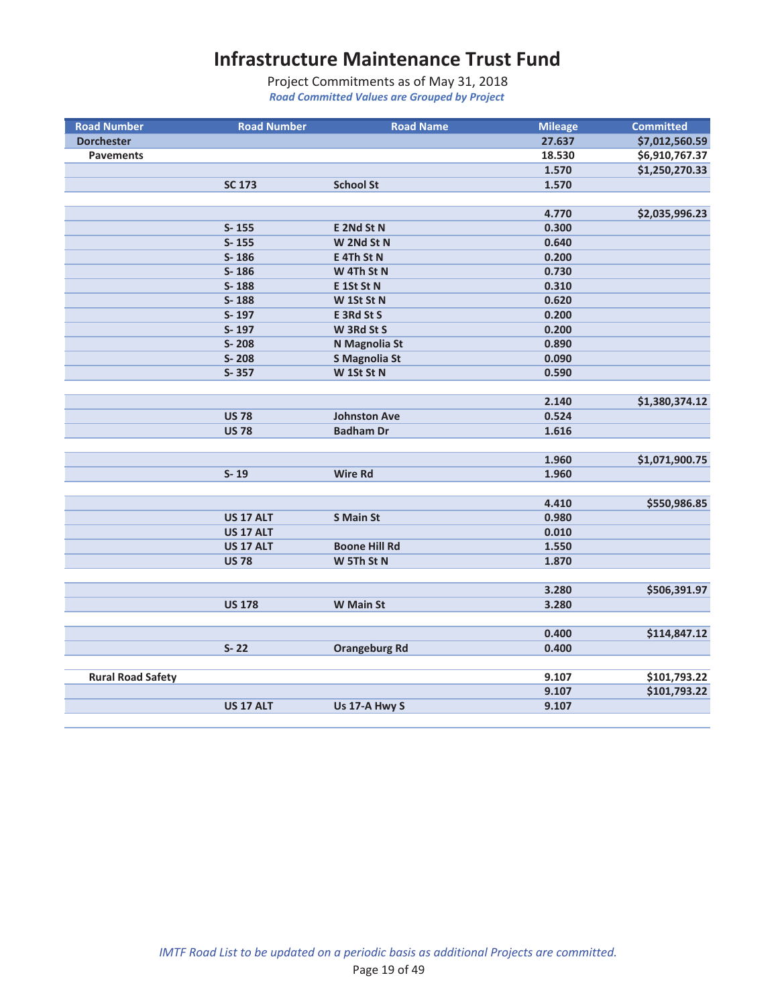| <b>Road Number</b>       | <b>Road Number</b> | <b>Road Name</b>     | <b>Mileage</b> | <b>Committed</b> |
|--------------------------|--------------------|----------------------|----------------|------------------|
| <b>Dorchester</b>        |                    |                      | 27.637         | \$7,012,560.59   |
| <b>Pavements</b>         |                    |                      | 18.530         | \$6,910,767.37   |
|                          |                    |                      | 1.570          | \$1,250,270.33   |
|                          | <b>SC 173</b>      | <b>School St</b>     | 1.570          |                  |
|                          |                    |                      |                |                  |
|                          |                    |                      | 4.770          | \$2,035,996.23   |
|                          | $S - 155$          | E 2Nd St N           | 0.300          |                  |
|                          | $S - 155$          | W 2Nd St N           | 0.640          |                  |
|                          | $S-186$            | E 4Th St N           | 0.200          |                  |
|                          | $S - 186$          | W 4Th St N           | 0.730          |                  |
|                          | S-188              | E 1St St N           | 0.310          |                  |
|                          | S-188              | W 1St St N           | 0.620          |                  |
|                          | S-197              | E 3Rd St S           | 0.200          |                  |
|                          | S-197              | W 3Rd St S           | 0.200          |                  |
|                          | S-208              | N Magnolia St        | 0.890          |                  |
|                          | S-208              | <b>S Magnolia St</b> | 0.090          |                  |
|                          | S-357              | W 1St St N           | 0.590          |                  |
|                          |                    |                      |                |                  |
|                          |                    |                      | 2.140          | \$1,380,374.12   |
|                          | <b>US 78</b>       | <b>Johnston Ave</b>  | 0.524          |                  |
|                          | <b>US 78</b>       | <b>Badham Dr</b>     | 1.616          |                  |
|                          |                    |                      |                |                  |
|                          |                    |                      | 1.960          | \$1,071,900.75   |
|                          | $S-19$             | <b>Wire Rd</b>       | 1.960          |                  |
|                          |                    |                      |                |                  |
|                          |                    |                      | 4.410          | \$550,986.85     |
|                          | <b>US 17 ALT</b>   | <b>S</b> Main St     | 0.980          |                  |
|                          | <b>US 17 ALT</b>   |                      | 0.010          |                  |
|                          | <b>US 17 ALT</b>   | <b>Boone Hill Rd</b> | 1.550          |                  |
|                          | <b>US 78</b>       | W 5Th St N           | 1.870          |                  |
|                          |                    |                      |                |                  |
|                          |                    |                      | 3.280          | \$506,391.97     |
|                          | <b>US 178</b>      | W Main St            | 3.280          |                  |
|                          |                    |                      |                |                  |
|                          |                    |                      | 0.400          | \$114,847.12     |
|                          | $S - 22$           | <b>Orangeburg Rd</b> | 0.400          |                  |
|                          |                    |                      |                |                  |
| <b>Rural Road Safety</b> |                    |                      | 9.107          | \$101,793.22     |
|                          |                    |                      | 9.107          | \$101,793.22     |
|                          | <b>US 17 ALT</b>   | Us 17-A Hwy S        | 9.107          |                  |
|                          |                    |                      |                |                  |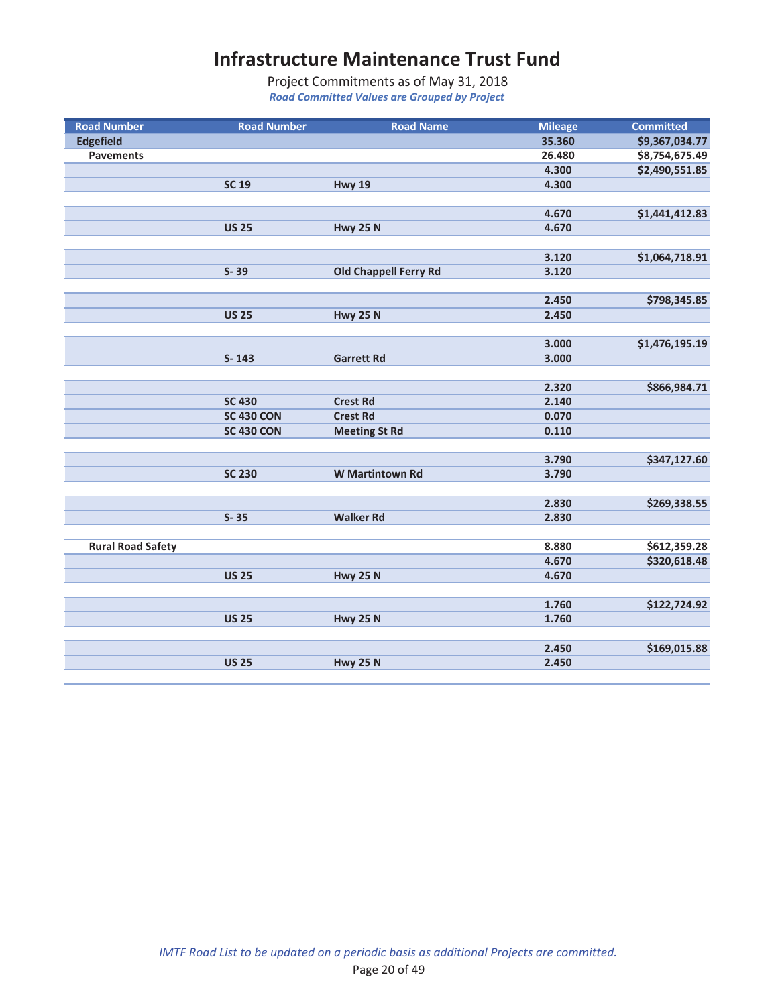| <b>Road Number</b>       | <b>Road Number</b> | <b>Road Name</b>       | <b>Mileage</b> | <b>Committed</b> |
|--------------------------|--------------------|------------------------|----------------|------------------|
| <b>Edgefield</b>         |                    |                        | 35.360         | \$9,367,034.77   |
| <b>Pavements</b>         |                    |                        | 26.480         | \$8,754,675.49   |
|                          |                    |                        | 4.300          | \$2,490,551.85   |
|                          | <b>SC 19</b>       | <b>Hwy 19</b>          | 4.300          |                  |
|                          |                    |                        |                |                  |
|                          |                    |                        | 4.670          | \$1,441,412.83   |
|                          | <b>US 25</b>       | <b>Hwy 25 N</b>        | 4.670          |                  |
|                          |                    |                        |                |                  |
|                          |                    |                        | 3.120          | \$1,064,718.91   |
|                          | $S - 39$           | Old Chappell Ferry Rd  | 3.120          |                  |
|                          |                    |                        |                |                  |
|                          |                    |                        | 2.450          | \$798,345.85     |
|                          | <b>US 25</b>       | <b>Hwy 25 N</b>        | 2.450          |                  |
|                          |                    |                        |                |                  |
|                          |                    |                        | 3.000          | \$1,476,195.19   |
|                          | $S - 143$          | <b>Garrett Rd</b>      | 3.000          |                  |
|                          |                    |                        |                |                  |
|                          |                    |                        | 2.320          | \$866,984.71     |
|                          | <b>SC 430</b>      | <b>Crest Rd</b>        | 2.140          |                  |
|                          | <b>SC 430 CON</b>  | <b>Crest Rd</b>        | 0.070          |                  |
|                          | <b>SC 430 CON</b>  | <b>Meeting St Rd</b>   | 0.110          |                  |
|                          |                    |                        |                |                  |
|                          |                    |                        | 3.790          | \$347,127.60     |
|                          | <b>SC 230</b>      | <b>W</b> Martintown Rd | 3.790          |                  |
|                          |                    |                        |                |                  |
|                          |                    |                        | 2.830          | \$269,338.55     |
|                          | $S - 35$           | <b>Walker Rd</b>       | 2.830          |                  |
|                          |                    |                        |                |                  |
| <b>Rural Road Safety</b> |                    |                        | 8.880          | \$612,359.28     |
|                          |                    |                        | 4.670          | \$320,618.48     |
|                          | <b>US 25</b>       | <b>Hwy 25 N</b>        | 4.670          |                  |
|                          |                    |                        |                |                  |
|                          |                    |                        | 1.760          | \$122,724.92     |
|                          | <b>US 25</b>       | <b>Hwy 25 N</b>        | 1.760          |                  |
|                          |                    |                        |                |                  |
|                          |                    |                        | 2.450          | \$169,015.88     |
|                          | <b>US 25</b>       | <b>Hwy 25 N</b>        | 2.450          |                  |
|                          |                    |                        |                |                  |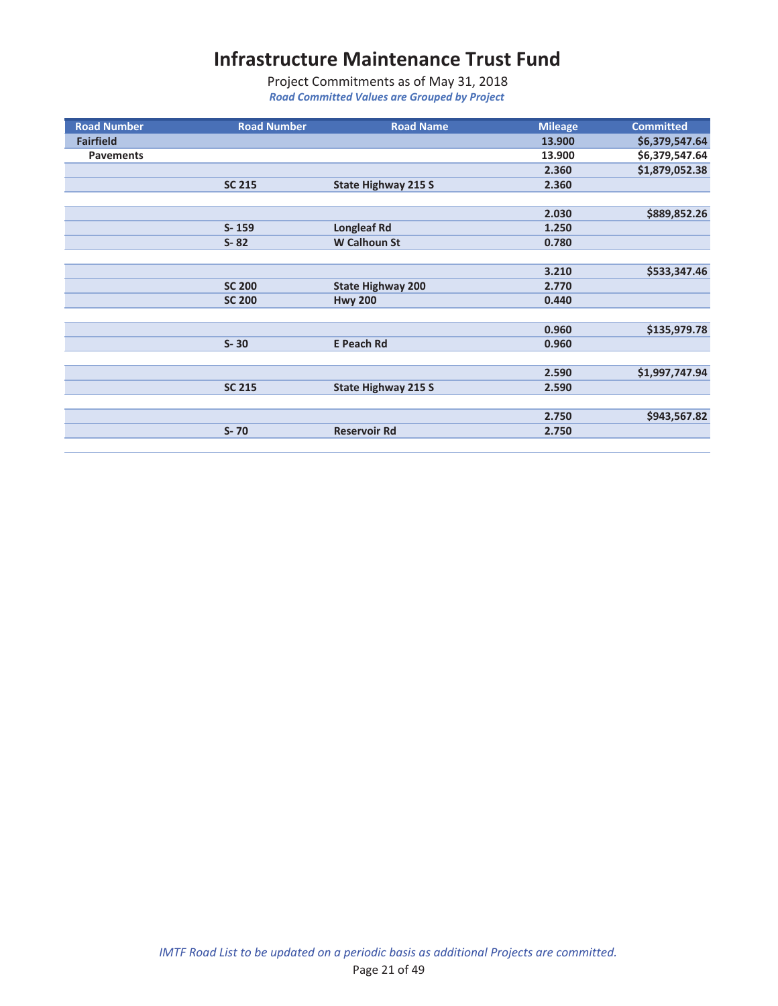| <b>Road Number</b> | <b>Road Number</b> | <b>Road Name</b>           | <b>Mileage</b> | <b>Committed</b> |
|--------------------|--------------------|----------------------------|----------------|------------------|
| <b>Fairfield</b>   |                    |                            | 13.900         | \$6,379,547.64   |
| <b>Pavements</b>   |                    |                            | 13.900         | \$6,379,547.64   |
|                    |                    |                            | 2.360          | \$1,879,052.38   |
|                    | <b>SC 215</b>      | <b>State Highway 215 S</b> | 2.360          |                  |
|                    |                    |                            |                |                  |
|                    |                    |                            | 2.030          | \$889,852.26     |
|                    | $S - 159$          | <b>Longleaf Rd</b>         | 1.250          |                  |
|                    | $S - 82$           | <b>W Calhoun St</b>        | 0.780          |                  |
|                    |                    |                            |                |                  |
|                    |                    |                            | 3.210          | \$533,347.46     |
|                    | <b>SC 200</b>      | <b>State Highway 200</b>   | 2.770          |                  |
|                    | <b>SC 200</b>      | <b>Hwy 200</b>             | 0.440          |                  |
|                    |                    |                            |                |                  |
|                    |                    |                            | 0.960          | \$135,979.78     |
|                    | $S - 30$           | <b>E Peach Rd</b>          | 0.960          |                  |
|                    |                    |                            |                |                  |
|                    |                    |                            | 2.590          | \$1,997,747.94   |
|                    | <b>SC 215</b>      | <b>State Highway 215 S</b> | 2.590          |                  |
|                    |                    |                            |                |                  |
|                    |                    |                            | 2.750          | \$943,567.82     |
|                    | $S - 70$           | <b>Reservoir Rd</b>        | 2.750          |                  |
|                    |                    |                            |                |                  |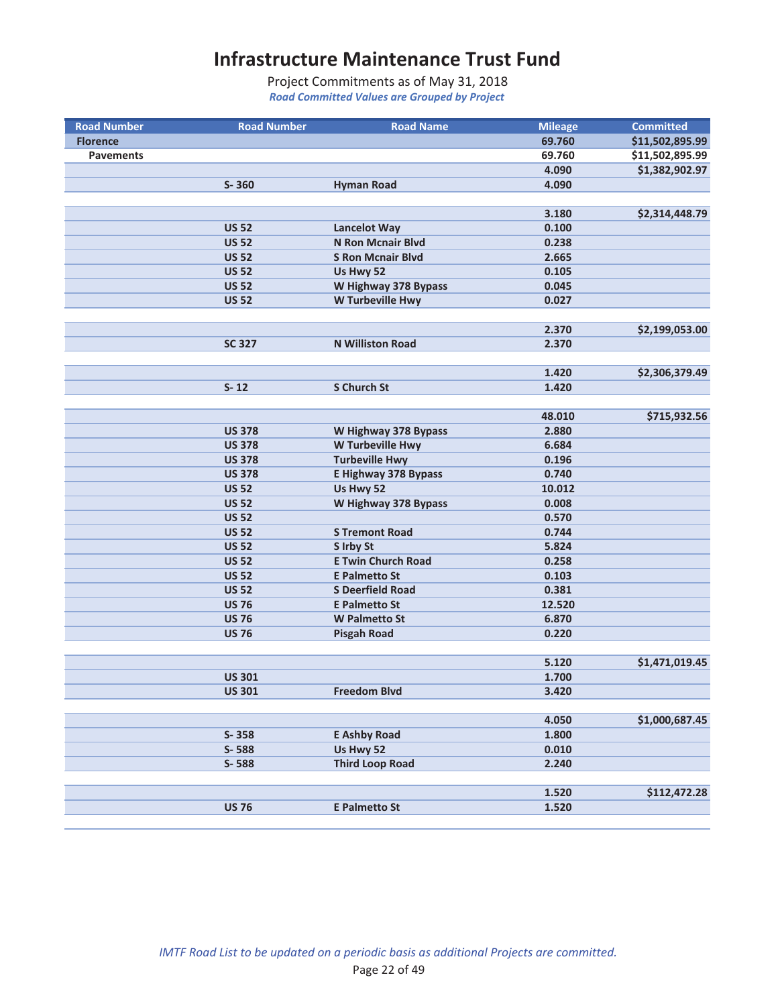| <b>Road Number</b> | <b>Road Number</b> | <b>Road Name</b>          | <b>Mileage</b> | <b>Committed</b> |
|--------------------|--------------------|---------------------------|----------------|------------------|
| <b>Florence</b>    |                    |                           | 69.760         | \$11,502,895.99  |
| <b>Pavements</b>   |                    |                           | 69.760         | \$11,502,895.99  |
|                    |                    |                           | 4.090          | \$1,382,902.97   |
|                    | $S - 360$          | <b>Hyman Road</b>         | 4.090          |                  |
|                    |                    |                           |                |                  |
|                    |                    |                           | 3.180          | \$2,314,448.79   |
|                    | <b>US 52</b>       | <b>Lancelot Way</b>       | 0.100          |                  |
|                    | <b>US 52</b>       | <b>N Ron Mcnair Blvd</b>  | 0.238          |                  |
|                    | <b>US 52</b>       | <b>S Ron Mcnair Blvd</b>  | 2.665          |                  |
|                    | <b>US 52</b>       | Us Hwy 52                 | 0.105          |                  |
|                    | <b>US 52</b>       | W Highway 378 Bypass      | 0.045          |                  |
|                    | <b>US 52</b>       | W Turbeville Hwy          | 0.027          |                  |
|                    |                    |                           |                |                  |
|                    |                    |                           | 2.370          | \$2,199,053.00   |
|                    | <b>SC 327</b>      | <b>N Williston Road</b>   | 2.370          |                  |
|                    |                    |                           |                |                  |
|                    |                    | <b>S Church St</b>        | 1.420          | \$2,306,379.49   |
|                    | $S-12$             |                           | 1.420          |                  |
|                    |                    |                           | 48.010         | \$715,932.56     |
|                    | <b>US 378</b>      | W Highway 378 Bypass      | 2.880          |                  |
|                    | <b>US 378</b>      | W Turbeville Hwy          | 6.684          |                  |
|                    | <b>US 378</b>      | <b>Turbeville Hwy</b>     | 0.196          |                  |
|                    | <b>US 378</b>      | E Highway 378 Bypass      | 0.740          |                  |
|                    | <b>US 52</b>       | Us Hwy 52                 | 10.012         |                  |
|                    | <b>US 52</b>       | W Highway 378 Bypass      | 0.008          |                  |
|                    | <b>US 52</b>       |                           | 0.570          |                  |
|                    | <b>US 52</b>       | <b>S Tremont Road</b>     | 0.744          |                  |
|                    | <b>US 52</b>       | S Irby St                 | 5.824          |                  |
|                    | <b>US 52</b>       | <b>E Twin Church Road</b> | 0.258          |                  |
|                    | <b>US 52</b>       | <b>E Palmetto St</b>      | 0.103          |                  |
|                    | <b>US 52</b>       | <b>S Deerfield Road</b>   | 0.381          |                  |
|                    | <b>US 76</b>       | <b>E Palmetto St</b>      | 12.520         |                  |
|                    | <b>US 76</b>       | <b>W Palmetto St</b>      | 6.870          |                  |
|                    | <b>US 76</b>       | <b>Pisgah Road</b>        | 0.220          |                  |
|                    |                    |                           |                |                  |
|                    |                    |                           | 5.120          | \$1,471,019.45   |
|                    | <b>US 301</b>      |                           | 1.700          |                  |
|                    | <b>US 301</b>      | <b>Freedom Blvd</b>       | 3.420          |                  |
|                    |                    |                           |                |                  |
|                    |                    |                           | 4.050          | \$1,000,687.45   |
|                    | S-358              | <b>E Ashby Road</b>       | 1.800          |                  |
|                    | S-588              | Us Hwy 52                 | 0.010          |                  |
|                    | S-588              | <b>Third Loop Road</b>    | 2.240          |                  |
|                    |                    |                           |                |                  |
|                    |                    |                           | 1.520          | \$112,472.28     |
|                    | <b>US 76</b>       | <b>E Palmetto St</b>      | 1.520          |                  |
|                    |                    |                           |                |                  |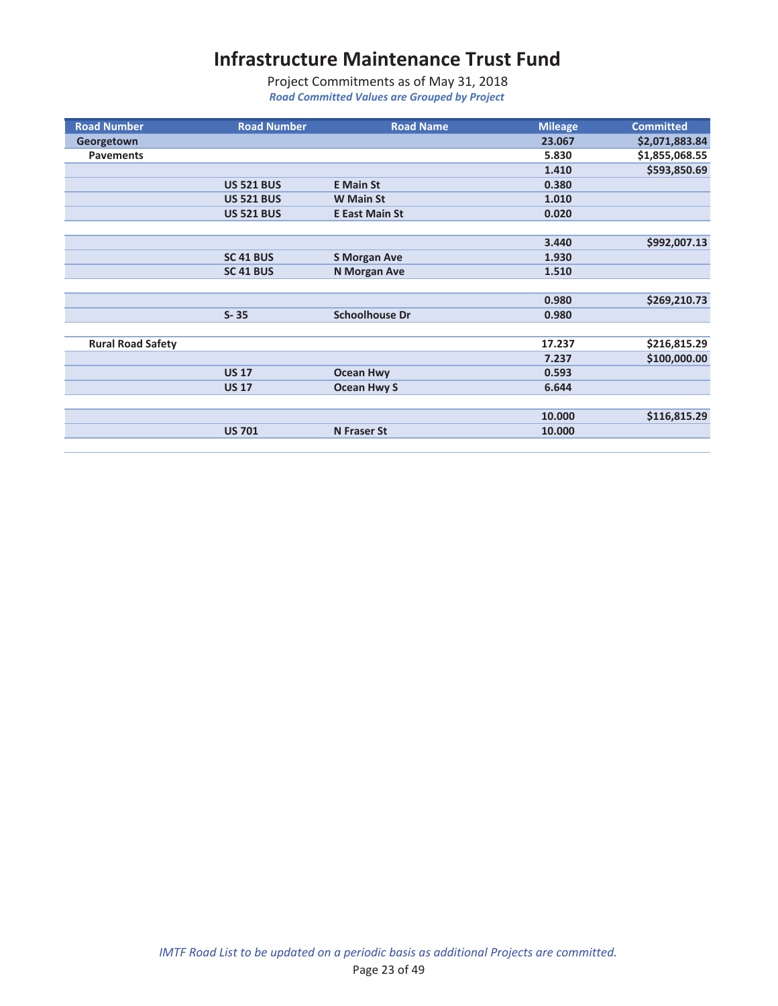| <b>Road Number</b>       | <b>Road Number</b> | <b>Road Name</b>      | <b>Mileage</b> | <b>Committed</b> |
|--------------------------|--------------------|-----------------------|----------------|------------------|
| Georgetown               |                    |                       | 23.067         | \$2,071,883.84   |
| <b>Pavements</b>         |                    |                       | 5.830          | \$1,855,068.55   |
|                          |                    |                       | 1.410          | \$593,850.69     |
|                          | <b>US 521 BUS</b>  | <b>E</b> Main St      | 0.380          |                  |
|                          | <b>US 521 BUS</b>  | <b>W</b> Main St      | 1.010          |                  |
|                          | <b>US 521 BUS</b>  | <b>E East Main St</b> | 0.020          |                  |
|                          |                    |                       |                |                  |
|                          |                    |                       | 3.440          | \$992,007.13     |
|                          | SC 41 BUS          | <b>S Morgan Ave</b>   | 1.930          |                  |
|                          | SC 41 BUS          | <b>N Morgan Ave</b>   | 1.510          |                  |
|                          |                    |                       |                |                  |
|                          |                    |                       | 0.980          | \$269,210.73     |
|                          | $S - 35$           | <b>Schoolhouse Dr</b> | 0.980          |                  |
|                          |                    |                       |                |                  |
| <b>Rural Road Safety</b> |                    |                       | 17.237         | \$216,815.29     |
|                          |                    |                       | 7.237          | \$100,000.00     |
|                          | <b>US 17</b>       | <b>Ocean Hwy</b>      | 0.593          |                  |
|                          | <b>US 17</b>       | <b>Ocean Hwy S</b>    | 6.644          |                  |
|                          |                    |                       |                |                  |
|                          |                    |                       | 10.000         | \$116,815.29     |
|                          | <b>US 701</b>      | <b>N</b> Fraser St    | 10.000         |                  |
|                          |                    |                       |                |                  |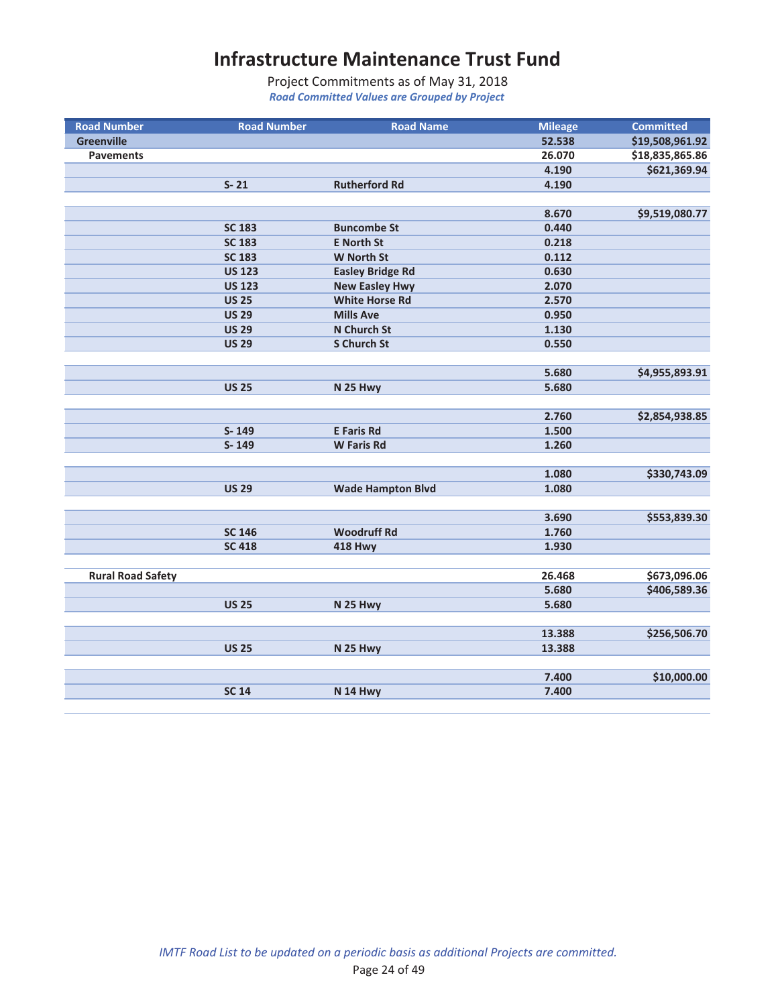| <b>Road Number</b>       | <b>Road Number</b> | <b>Road Name</b>         | <b>Mileage</b> | <b>Committed</b> |
|--------------------------|--------------------|--------------------------|----------------|------------------|
| <b>Greenville</b>        |                    |                          | 52.538         | \$19,508,961.92  |
| <b>Pavements</b>         |                    |                          | 26.070         | \$18,835,865.86  |
|                          |                    |                          | 4.190          | \$621,369.94     |
|                          | $S - 21$           | <b>Rutherford Rd</b>     | 4.190          |                  |
|                          |                    |                          |                |                  |
|                          |                    |                          | 8.670          | \$9,519,080.77   |
|                          | <b>SC 183</b>      | <b>Buncombe St</b>       | 0.440          |                  |
|                          | <b>SC 183</b>      | <b>E</b> North St        | 0.218          |                  |
|                          | <b>SC 183</b>      | <b>W North St</b>        | 0.112          |                  |
|                          | <b>US 123</b>      | <b>Easley Bridge Rd</b>  | 0.630          |                  |
|                          | <b>US 123</b>      | <b>New Easley Hwy</b>    | 2.070          |                  |
|                          | <b>US 25</b>       | <b>White Horse Rd</b>    | 2.570          |                  |
|                          | <b>US 29</b>       | <b>Mills Ave</b>         | 0.950          |                  |
|                          | <b>US 29</b>       | N Church St              | 1.130          |                  |
|                          | <b>US 29</b>       | <b>S Church St</b>       | 0.550          |                  |
|                          |                    |                          |                |                  |
|                          |                    |                          | 5.680          | \$4,955,893.91   |
|                          | <b>US 25</b>       | N 25 Hwy                 | 5.680          |                  |
|                          |                    |                          |                |                  |
|                          |                    |                          | 2.760          | \$2,854,938.85   |
|                          | S-149              | <b>E</b> Faris Rd        | 1.500          |                  |
|                          | S-149              | <b>W</b> Faris Rd        | 1.260          |                  |
|                          |                    |                          |                |                  |
|                          |                    |                          | 1.080          | \$330,743.09     |
|                          | <b>US 29</b>       | <b>Wade Hampton Blvd</b> | 1.080          |                  |
|                          |                    |                          |                |                  |
|                          |                    |                          | 3.690          | \$553,839.30     |
|                          | <b>SC 146</b>      | <b>Woodruff Rd</b>       | 1.760          |                  |
|                          | <b>SC 418</b>      | <b>418 Hwy</b>           | 1.930          |                  |
|                          |                    |                          |                |                  |
| <b>Rural Road Safety</b> |                    |                          | 26.468         | \$673,096.06     |
|                          |                    |                          | 5.680          | \$406,589.36     |
|                          | <b>US 25</b>       | N 25 Hwy                 | 5.680          |                  |
|                          |                    |                          |                |                  |
|                          |                    |                          | 13.388         | \$256,506.70     |
|                          | <b>US 25</b>       | N 25 Hwy                 | 13.388         |                  |
|                          |                    |                          |                |                  |
|                          |                    |                          | 7.400          | \$10,000.00      |
|                          | <b>SC 14</b>       | N 14 Hwy                 | 7.400          |                  |
|                          |                    |                          |                |                  |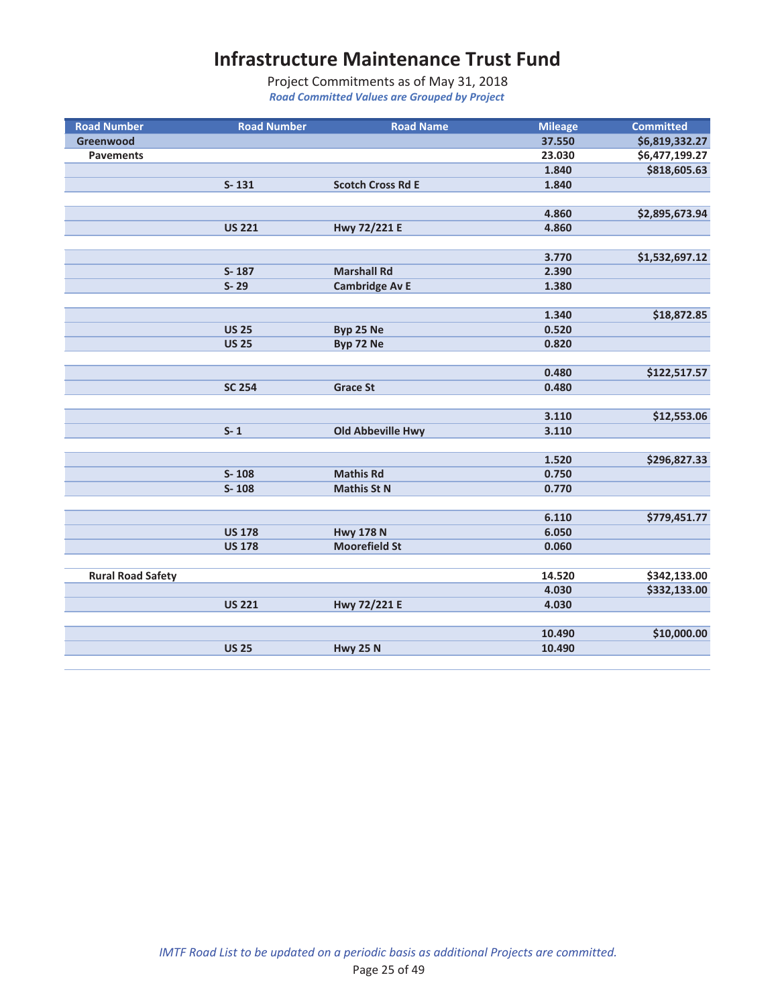| <b>Road Number</b>       | <b>Road Number</b> | <b>Road Name</b>         | <b>Mileage</b> | <b>Committed</b> |
|--------------------------|--------------------|--------------------------|----------------|------------------|
| Greenwood                |                    |                          | 37.550         | \$6,819,332.27   |
| <b>Pavements</b>         |                    |                          | 23.030         | \$6,477,199.27   |
|                          |                    |                          | 1.840          | \$818,605.63     |
|                          | $S - 131$          | <b>Scotch Cross Rd E</b> | 1.840          |                  |
|                          |                    |                          |                |                  |
|                          |                    |                          | 4.860          | \$2,895,673.94   |
|                          | <b>US 221</b>      | Hwy 72/221 E             | 4.860          |                  |
|                          |                    |                          |                |                  |
|                          |                    |                          | 3.770          | \$1,532,697.12   |
|                          | S-187              | <b>Marshall Rd</b>       | 2.390          |                  |
|                          | $S - 29$           | <b>Cambridge Av E</b>    | 1.380          |                  |
|                          |                    |                          |                |                  |
|                          |                    |                          | 1.340          | \$18,872.85      |
|                          | <b>US 25</b>       | Byp 25 Ne                | 0.520          |                  |
|                          | <b>US 25</b>       | Byp 72 Ne                | 0.820          |                  |
|                          |                    |                          |                |                  |
|                          |                    |                          | 0.480          | \$122,517.57     |
|                          | <b>SC 254</b>      | <b>Grace St</b>          | 0.480          |                  |
|                          |                    |                          |                |                  |
|                          |                    |                          | 3.110          | \$12,553.06      |
|                          | $S - 1$            | <b>Old Abbeville Hwy</b> | 3.110          |                  |
|                          |                    |                          |                |                  |
|                          |                    |                          | 1.520          | \$296,827.33     |
|                          | $S-108$            | <b>Mathis Rd</b>         | 0.750          |                  |
|                          | $S-108$            | <b>Mathis St N</b>       | 0.770          |                  |
|                          |                    |                          |                |                  |
|                          |                    |                          | 6.110          | \$779,451.77     |
|                          | <b>US 178</b>      | <b>Hwy 178 N</b>         | 6.050          |                  |
|                          | <b>US 178</b>      | <b>Moorefield St</b>     | 0.060          |                  |
|                          |                    |                          |                |                  |
| <b>Rural Road Safety</b> |                    |                          | 14.520         | \$342,133.00     |
|                          |                    |                          | 4.030          | \$332,133.00     |
|                          | <b>US 221</b>      | Hwy 72/221 E             | 4.030          |                  |
|                          |                    |                          |                |                  |
|                          |                    |                          | 10.490         | \$10,000.00      |
|                          | <b>US 25</b>       | <b>Hwy 25 N</b>          | 10.490         |                  |
|                          |                    |                          |                |                  |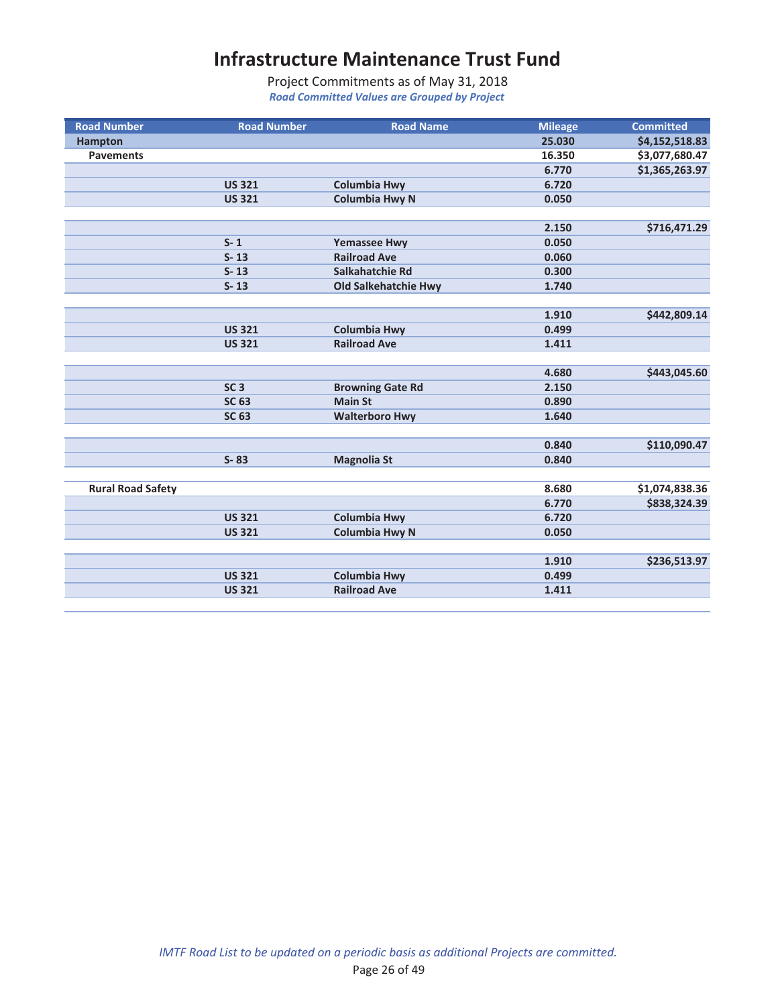| <b>Road Number</b>       | <b>Road Number</b> | <b>Road Name</b>            | <b>Mileage</b> | <b>Committed</b> |
|--------------------------|--------------------|-----------------------------|----------------|------------------|
| <b>Hampton</b>           |                    |                             | 25.030         | \$4,152,518.83   |
| <b>Pavements</b>         |                    |                             | 16.350         | \$3,077,680.47   |
|                          |                    |                             | 6.770          | \$1,365,263.97   |
|                          | <b>US 321</b>      | <b>Columbia Hwy</b>         | 6.720          |                  |
|                          | <b>US 321</b>      | <b>Columbia Hwy N</b>       | 0.050          |                  |
|                          |                    |                             |                |                  |
|                          |                    |                             | 2.150          | \$716,471.29     |
|                          | $S - 1$            | <b>Yemassee Hwy</b>         | 0.050          |                  |
|                          | $S - 13$           | <b>Railroad Ave</b>         | 0.060          |                  |
|                          | $S-13$             | Salkahatchie Rd             | 0.300          |                  |
|                          | $S - 13$           | <b>Old Salkehatchie Hwy</b> | 1.740          |                  |
|                          |                    |                             |                |                  |
|                          |                    |                             | 1.910          | \$442,809.14     |
|                          | <b>US 321</b>      | <b>Columbia Hwy</b>         | 0.499          |                  |
|                          | <b>US 321</b>      | <b>Railroad Ave</b>         | 1.411          |                  |
|                          |                    |                             |                |                  |
|                          |                    |                             | 4.680          | \$443,045.60     |
|                          | SC <sub>3</sub>    | <b>Browning Gate Rd</b>     | 2.150          |                  |
|                          | <b>SC 63</b>       | <b>Main St</b>              | 0.890          |                  |
|                          | <b>SC 63</b>       | <b>Walterboro Hwy</b>       | 1.640          |                  |
|                          |                    |                             |                |                  |
|                          |                    |                             | 0.840          | \$110,090.47     |
|                          | $S - 83$           | <b>Magnolia St</b>          | 0.840          |                  |
|                          |                    |                             |                |                  |
| <b>Rural Road Safety</b> |                    |                             | 8.680          | \$1,074,838.36   |
|                          |                    |                             | 6.770          | \$838,324.39     |
|                          | <b>US 321</b>      | <b>Columbia Hwy</b>         | 6.720          |                  |
|                          | <b>US 321</b>      | <b>Columbia Hwy N</b>       | 0.050          |                  |
|                          |                    |                             |                |                  |
|                          |                    |                             | 1.910          | \$236,513.97     |
|                          | <b>US 321</b>      | <b>Columbia Hwy</b>         | 0.499          |                  |
|                          | <b>US 321</b>      | <b>Railroad Ave</b>         | 1.411          |                  |
|                          |                    |                             |                |                  |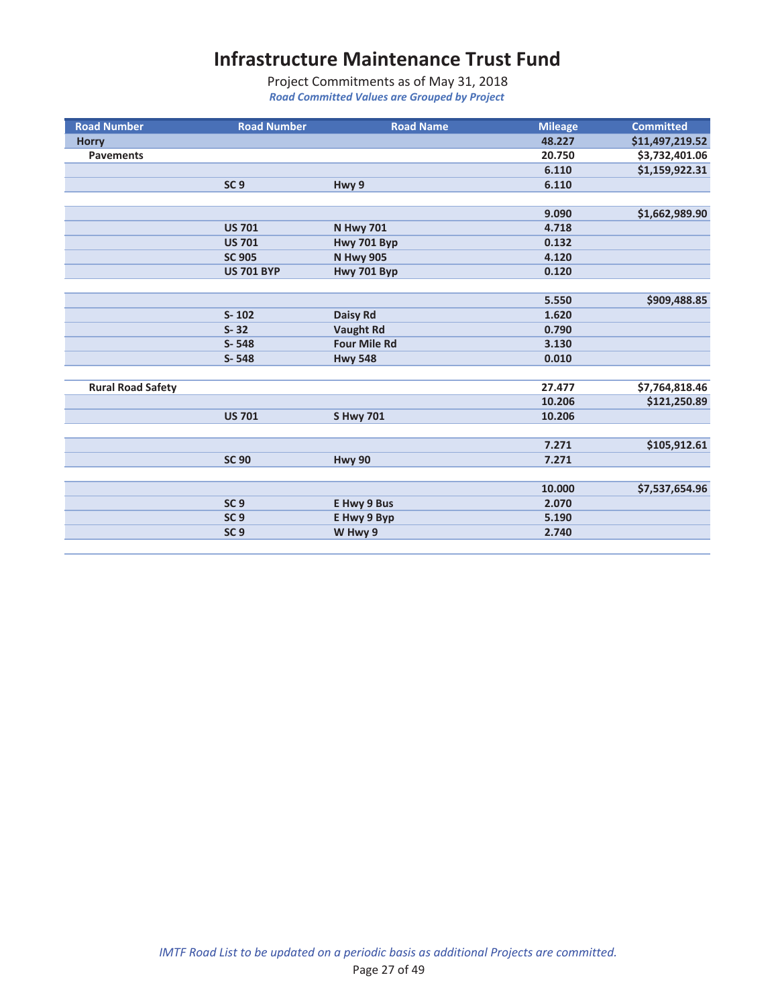| <b>Road Number</b>       | <b>Road Number</b> | <b>Road Name</b>    | <b>Mileage</b> | <b>Committed</b> |
|--------------------------|--------------------|---------------------|----------------|------------------|
| <b>Horry</b>             |                    |                     | 48.227         | \$11,497,219.52  |
| <b>Pavements</b>         |                    |                     | 20.750         | \$3,732,401.06   |
|                          |                    |                     | 6.110          | \$1,159,922.31   |
|                          | SC <sub>9</sub>    | Hwy 9               | 6.110          |                  |
|                          |                    |                     |                |                  |
|                          |                    |                     | 9.090          | \$1,662,989.90   |
|                          | <b>US 701</b>      | <b>N Hwy 701</b>    | 4.718          |                  |
|                          | <b>US 701</b>      | Hwy 701 Byp         | 0.132          |                  |
|                          | <b>SC 905</b>      | <b>N Hwy 905</b>    | 4.120          |                  |
|                          | <b>US 701 BYP</b>  | Hwy 701 Byp         | 0.120          |                  |
|                          |                    |                     |                |                  |
|                          |                    |                     | 5.550          | \$909,488.85     |
|                          | $S - 102$          | Daisy Rd            | 1.620          |                  |
|                          | $S - 32$           | <b>Vaught Rd</b>    | 0.790          |                  |
|                          | $S - 548$          | <b>Four Mile Rd</b> | 3.130          |                  |
|                          | S-548              | <b>Hwy 548</b>      | 0.010          |                  |
|                          |                    |                     |                |                  |
| <b>Rural Road Safety</b> |                    |                     | 27.477         | \$7,764,818.46   |
|                          |                    |                     | 10.206         | \$121,250.89     |
|                          | <b>US 701</b>      | <b>SHwy 701</b>     | 10.206         |                  |
|                          |                    |                     |                |                  |
|                          |                    |                     | 7.271          | \$105,912.61     |
|                          | <b>SC 90</b>       | <b>Hwy 90</b>       | 7.271          |                  |
|                          |                    |                     |                |                  |
|                          |                    |                     | 10.000         | \$7,537,654.96   |
|                          | SC <sub>9</sub>    | E Hwy 9 Bus         | 2.070          |                  |
|                          | SC <sub>9</sub>    | E Hwy 9 Byp         | 5.190          |                  |
|                          | SC <sub>9</sub>    | W Hwy 9             | 2.740          |                  |
|                          |                    |                     |                |                  |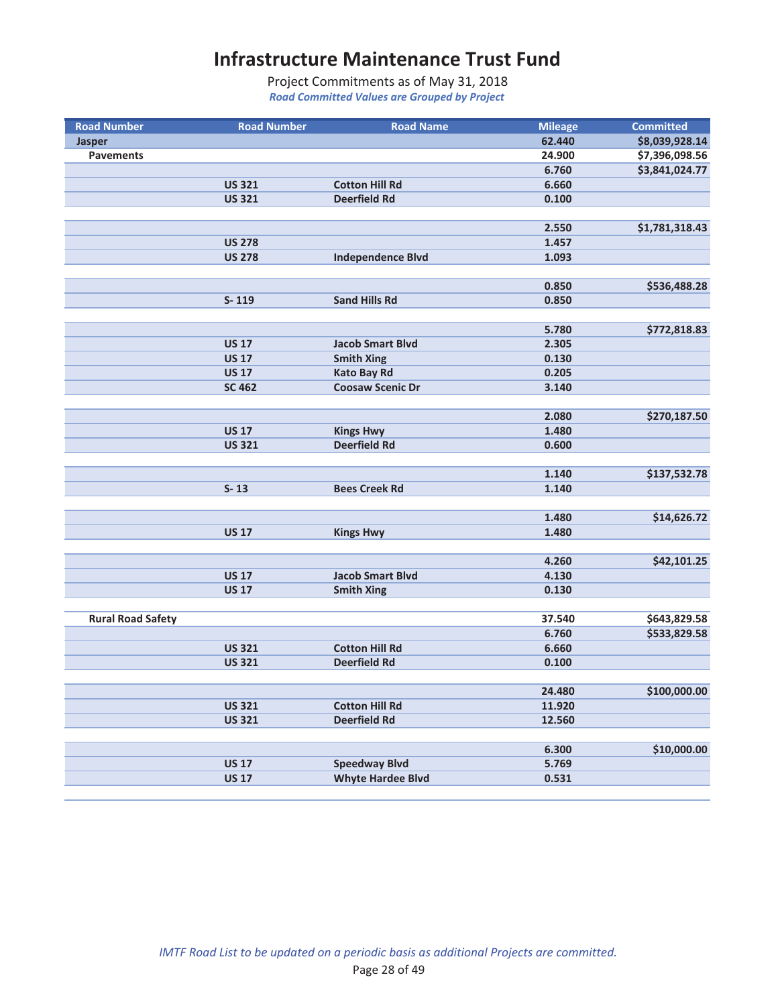| <b>Road Number</b>       | <b>Road Number</b>             | <b>Road Name</b>                             | <b>Mileage</b> | <b>Committed</b> |
|--------------------------|--------------------------------|----------------------------------------------|----------------|------------------|
| <b>Jasper</b>            |                                |                                              | 62.440         | \$8,039,928.14   |
| <b>Pavements</b>         |                                |                                              | 24.900         | \$7,396,098.56   |
|                          |                                |                                              | 6.760          | \$3,841,024.77   |
|                          | <b>US 321</b>                  | <b>Cotton Hill Rd</b>                        | 6.660          |                  |
|                          | <b>US 321</b>                  | <b>Deerfield Rd</b>                          | 0.100          |                  |
|                          |                                |                                              |                |                  |
|                          |                                |                                              | 2.550          | \$1,781,318.43   |
|                          | <b>US 278</b>                  |                                              | 1.457          |                  |
|                          | <b>US 278</b>                  | <b>Independence Blvd</b>                     | 1.093          |                  |
|                          |                                |                                              |                |                  |
|                          |                                |                                              | 0.850          | \$536,488.28     |
|                          | $S-119$                        | <b>Sand Hills Rd</b>                         | 0.850          |                  |
|                          |                                |                                              |                |                  |
|                          | <b>US 17</b>                   | <b>Jacob Smart Blvd</b>                      | 5.780<br>2.305 | \$772,818.83     |
|                          | <b>US 17</b>                   | <b>Smith Xing</b>                            | 0.130          |                  |
|                          | <b>US 17</b>                   | <b>Kato Bay Rd</b>                           | 0.205          |                  |
|                          | <b>SC 462</b>                  | <b>Coosaw Scenic Dr</b>                      | 3.140          |                  |
|                          |                                |                                              |                |                  |
|                          |                                |                                              | 2.080          | \$270,187.50     |
|                          | <b>US 17</b>                   | <b>Kings Hwy</b>                             | 1.480          |                  |
|                          | <b>US 321</b>                  | <b>Deerfield Rd</b>                          | 0.600          |                  |
|                          |                                |                                              |                |                  |
|                          |                                |                                              | 1.140          | \$137,532.78     |
|                          | $S-13$                         | <b>Bees Creek Rd</b>                         | 1.140          |                  |
|                          |                                |                                              |                |                  |
|                          |                                |                                              | 1.480          | \$14,626.72      |
|                          | <b>US 17</b>                   | <b>Kings Hwy</b>                             | 1.480          |                  |
|                          |                                |                                              |                |                  |
|                          |                                |                                              | 4.260          | \$42,101.25      |
|                          | <b>US 17</b>                   | <b>Jacob Smart Blvd</b>                      | 4.130          |                  |
|                          | <b>US 17</b>                   | <b>Smith Xing</b>                            | 0.130          |                  |
|                          |                                |                                              |                |                  |
| <b>Rural Road Safety</b> |                                |                                              | 37.540         | \$643,829.58     |
|                          |                                |                                              | 6.760          | \$533,829.58     |
|                          | <b>US 321</b><br><b>US 321</b> | <b>Cotton Hill Rd</b><br><b>Deerfield Rd</b> | 6.660<br>0.100 |                  |
|                          |                                |                                              |                |                  |
|                          |                                |                                              | 24.480         | \$100,000.00     |
|                          | <b>US 321</b>                  | <b>Cotton Hill Rd</b>                        | 11.920         |                  |
|                          | <b>US 321</b>                  | <b>Deerfield Rd</b>                          | 12.560         |                  |
|                          |                                |                                              |                |                  |
|                          |                                |                                              | 6.300          | \$10,000.00      |
|                          | <b>US 17</b>                   | <b>Speedway Blvd</b>                         | 5.769          |                  |
|                          | <b>US 17</b>                   | <b>Whyte Hardee Blvd</b>                     | 0.531          |                  |
|                          |                                |                                              |                |                  |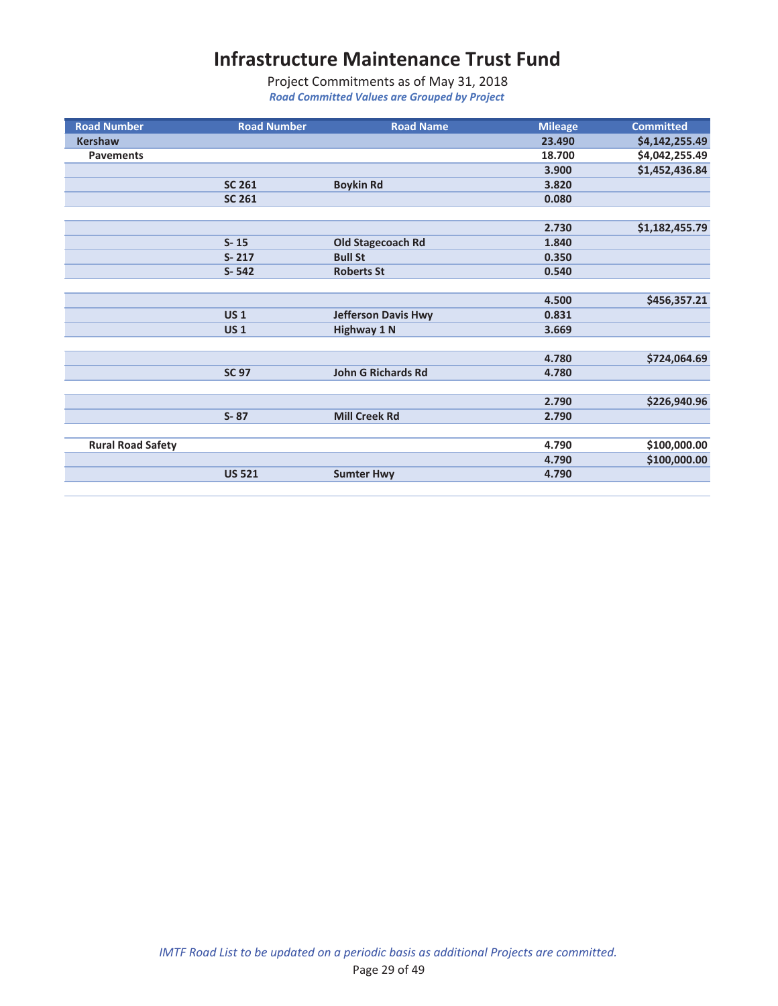| <b>Road Number</b>       | <b>Road Number</b> | <b>Road Name</b>           | <b>Mileage</b> | <b>Committed</b> |
|--------------------------|--------------------|----------------------------|----------------|------------------|
| <b>Kershaw</b>           |                    |                            | 23.490         | \$4,142,255.49   |
| <b>Pavements</b>         |                    |                            | 18.700         | \$4,042,255.49   |
|                          |                    |                            | 3.900          | \$1,452,436.84   |
|                          | <b>SC 261</b>      | <b>Boykin Rd</b>           | 3.820          |                  |
|                          | <b>SC 261</b>      |                            | 0.080          |                  |
|                          |                    |                            |                |                  |
|                          |                    |                            | 2.730          | \$1,182,455.79   |
|                          | $S - 15$           | Old Stagecoach Rd          | 1.840          |                  |
|                          | $S - 217$          | <b>Bull St</b>             | 0.350          |                  |
|                          | $S - 542$          | <b>Roberts St</b>          | 0.540          |                  |
|                          |                    |                            |                |                  |
|                          |                    |                            | 4.500          | \$456,357.21     |
|                          | <b>US1</b>         | <b>Jefferson Davis Hwy</b> | 0.831          |                  |
|                          | <b>US1</b>         | <b>Highway 1 N</b>         | 3.669          |                  |
|                          |                    |                            |                |                  |
|                          |                    |                            | 4.780          | \$724,064.69     |
|                          | <b>SC 97</b>       | <b>John G Richards Rd</b>  | 4.780          |                  |
|                          |                    |                            |                |                  |
|                          |                    |                            | 2.790          | \$226,940.96     |
|                          | $S - 87$           | <b>Mill Creek Rd</b>       | 2.790          |                  |
|                          |                    |                            |                |                  |
| <b>Rural Road Safety</b> |                    |                            | 4.790          | \$100,000.00     |
|                          |                    |                            | 4.790          | \$100,000.00     |
|                          | <b>US 521</b>      | <b>Sumter Hwy</b>          | 4.790          |                  |
|                          |                    |                            |                |                  |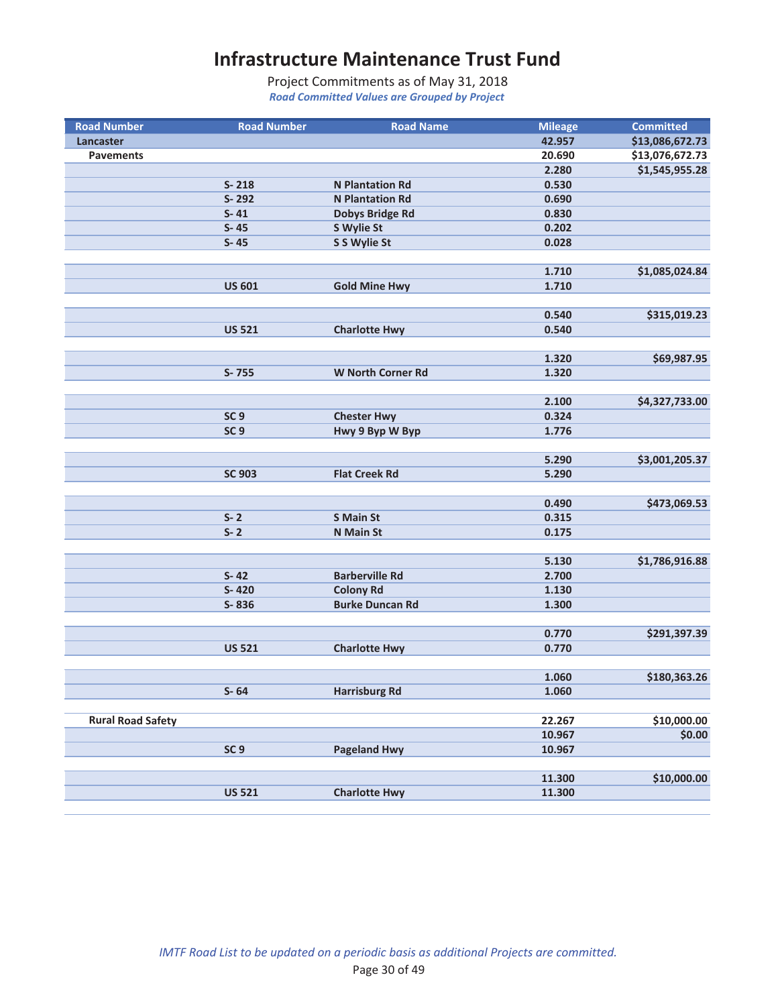| <b>Road Number</b>       | <b>Road Number</b> | <b>Road Name</b>         | <b>Mileage</b> | <b>Committed</b> |
|--------------------------|--------------------|--------------------------|----------------|------------------|
| Lancaster                |                    |                          | 42.957         | \$13,086,672.73  |
| <b>Pavements</b>         |                    |                          | 20.690         | \$13,076,672.73  |
|                          |                    |                          | 2.280          | \$1,545,955.28   |
|                          | $S - 218$          | <b>N</b> Plantation Rd   | 0.530          |                  |
|                          | S-292              | <b>N</b> Plantation Rd   | 0.690          |                  |
|                          | $S - 41$           | <b>Dobys Bridge Rd</b>   | 0.830          |                  |
|                          | $S - 45$           | S Wylie St               | 0.202          |                  |
|                          | $S-45$             | S S Wylie St             | 0.028          |                  |
|                          |                    |                          |                |                  |
|                          |                    |                          | 1.710          | \$1,085,024.84   |
|                          | <b>US 601</b>      | <b>Gold Mine Hwy</b>     | 1.710          |                  |
|                          |                    |                          | 0.540          |                  |
|                          | <b>US 521</b>      |                          | 0.540          | \$315,019.23     |
|                          |                    | <b>Charlotte Hwy</b>     |                |                  |
|                          |                    |                          | 1.320          | \$69,987.95      |
|                          | S-755              | <b>W North Corner Rd</b> | 1.320          |                  |
|                          |                    |                          |                |                  |
|                          |                    |                          | 2.100          | \$4,327,733.00   |
|                          | SC <sub>9</sub>    | <b>Chester Hwy</b>       | 0.324          |                  |
|                          | SC <sub>9</sub>    | Hwy 9 Byp W Byp          | 1.776          |                  |
|                          |                    |                          |                |                  |
|                          |                    |                          | 5.290          | \$3,001,205.37   |
|                          | <b>SC 903</b>      | <b>Flat Creek Rd</b>     | 5.290          |                  |
|                          |                    |                          |                |                  |
|                          |                    |                          | 0.490          | \$473,069.53     |
|                          | $S - 2$            | <b>S Main St</b>         | 0.315          |                  |
|                          | $S - 2$            | <b>N</b> Main St         | 0.175          |                  |
|                          |                    |                          |                |                  |
|                          |                    |                          | 5.130          | \$1,786,916.88   |
|                          | $S - 42$           | <b>Barberville Rd</b>    | 2.700          |                  |
|                          | S-420              | <b>Colony Rd</b>         | 1.130          |                  |
|                          | S-836              | <b>Burke Duncan Rd</b>   | 1.300          |                  |
|                          |                    |                          |                |                  |
|                          |                    |                          | 0.770          | \$291,397.39     |
|                          | <b>US 521</b>      | <b>Charlotte Hwy</b>     | 0.770          |                  |
|                          |                    |                          | 1.060          |                  |
|                          | $S - 64$           | <b>Harrisburg Rd</b>     | 1.060          | \$180,363.26     |
|                          |                    |                          |                |                  |
| <b>Rural Road Safety</b> |                    |                          | 22.267         | \$10,000.00      |
|                          |                    |                          | 10.967         | \$0.00           |
|                          | SC <sub>9</sub>    | <b>Pageland Hwy</b>      | 10.967         |                  |
|                          |                    |                          |                |                  |
|                          |                    |                          | 11.300         | \$10,000.00      |
|                          | <b>US 521</b>      | <b>Charlotte Hwy</b>     | 11.300         |                  |
|                          |                    |                          |                |                  |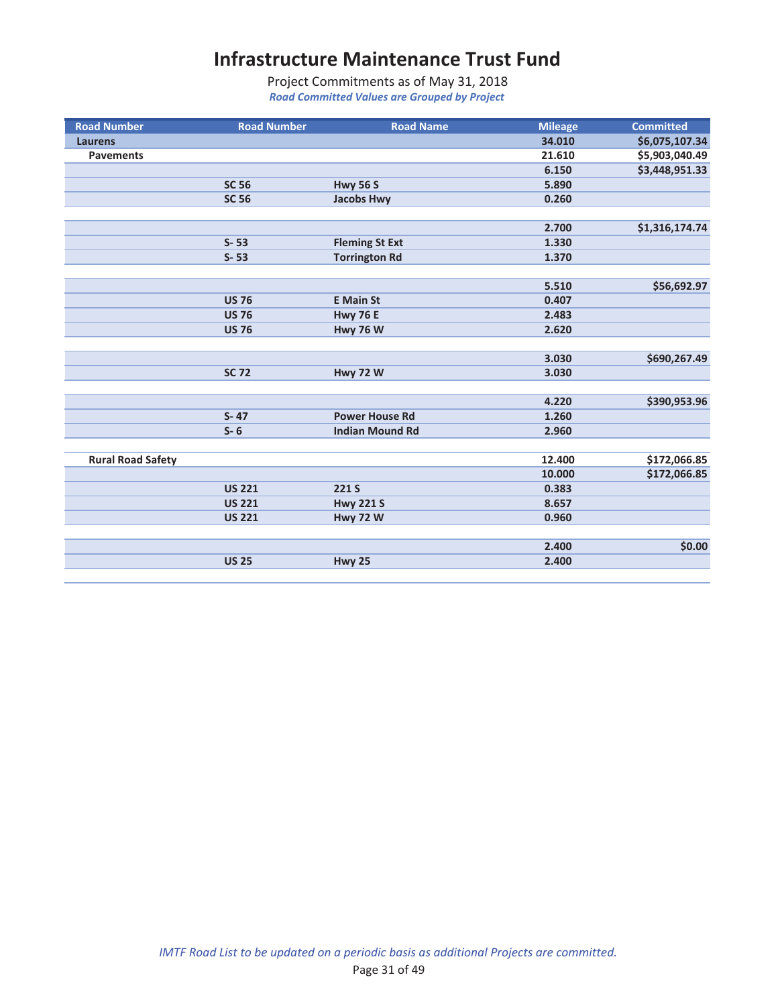| <b>Road Number</b>       | <b>Road Number</b> | <b>Road Name</b>       | <b>Mileage</b> | <b>Committed</b> |
|--------------------------|--------------------|------------------------|----------------|------------------|
| <b>Laurens</b>           |                    |                        | 34.010         | \$6,075,107.34   |
| <b>Pavements</b>         |                    |                        | 21.610         | \$5,903,040.49   |
|                          |                    |                        | 6.150          | \$3,448,951.33   |
|                          | <b>SC 56</b>       | <b>Hwy 56 S</b>        | 5.890          |                  |
|                          | <b>SC 56</b>       | <b>Jacobs Hwy</b>      | 0.260          |                  |
|                          |                    |                        |                |                  |
|                          |                    |                        | 2.700          | \$1,316,174.74   |
|                          | $S - 53$           | <b>Fleming St Ext</b>  | 1.330          |                  |
|                          | $S - 53$           | <b>Torrington Rd</b>   | 1.370          |                  |
|                          |                    |                        |                |                  |
|                          |                    |                        | 5.510          | \$56,692.97      |
|                          | <b>US 76</b>       | <b>E</b> Main St       | 0.407          |                  |
|                          | <b>US 76</b>       | <b>Hwy 76 E</b>        | 2.483          |                  |
|                          | <b>US 76</b>       | <b>Hwy 76 W</b>        | 2.620          |                  |
|                          |                    |                        |                |                  |
|                          |                    |                        | 3.030          | \$690,267.49     |
|                          | <b>SC 72</b>       | <b>Hwy 72 W</b>        | 3.030          |                  |
|                          |                    |                        |                |                  |
|                          |                    |                        | 4.220          | \$390,953.96     |
|                          | $S - 47$           | <b>Power House Rd</b>  | 1.260          |                  |
|                          | $S - 6$            | <b>Indian Mound Rd</b> | 2.960          |                  |
|                          |                    |                        |                |                  |
| <b>Rural Road Safety</b> |                    |                        | 12.400         | \$172,066.85     |
|                          |                    |                        | 10.000         | \$172,066.85     |
|                          | <b>US 221</b>      | 221 S                  | 0.383          |                  |
|                          | <b>US 221</b>      | <b>Hwy 221 S</b>       | 8.657          |                  |
|                          | <b>US 221</b>      | <b>Hwy 72 W</b>        | 0.960          |                  |
|                          |                    |                        |                |                  |
|                          |                    |                        | 2.400          | \$0.00           |
|                          | <b>US 25</b>       | <b>Hwy 25</b>          | 2.400          |                  |
|                          |                    |                        |                |                  |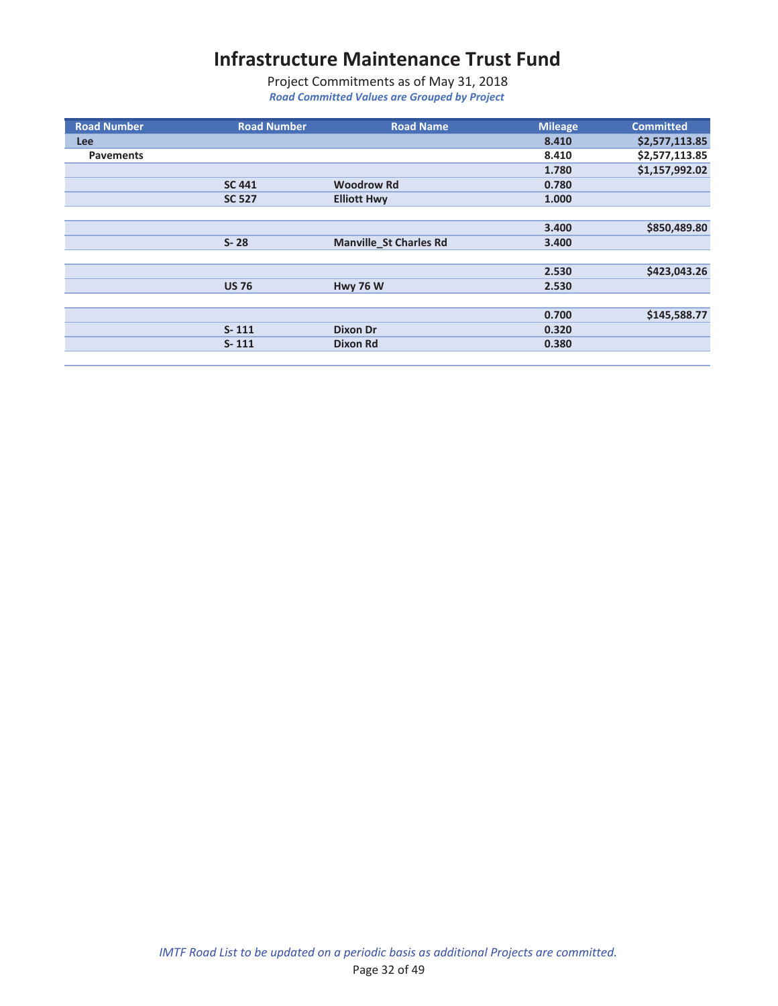| <b>Road Number</b> | <b>Road Number</b> | <b>Road Name</b>              | <b>Mileage</b> | <b>Committed</b> |
|--------------------|--------------------|-------------------------------|----------------|------------------|
| <b>Lee</b>         |                    |                               | 8.410          | \$2,577,113.85   |
| <b>Pavements</b>   |                    |                               | 8.410          | \$2,577,113.85   |
|                    |                    |                               | 1.780          | \$1,157,992.02   |
|                    | <b>SC 441</b>      | <b>Woodrow Rd</b>             | 0.780          |                  |
|                    | <b>SC 527</b>      | <b>Elliott Hwy</b>            | 1.000          |                  |
|                    |                    |                               |                |                  |
|                    |                    |                               | 3.400          | \$850,489.80     |
|                    | $S - 28$           | <b>Manville_St Charles Rd</b> | 3.400          |                  |
|                    |                    |                               |                |                  |
|                    |                    |                               | 2.530          | \$423,043.26     |
|                    | <b>US 76</b>       | <b>Hwy 76 W</b>               | 2.530          |                  |
|                    |                    |                               |                |                  |
|                    |                    |                               | 0.700          | \$145,588.77     |
|                    | $S - 111$          | <b>Dixon Dr</b>               | 0.320          |                  |
|                    | $S - 111$          | Dixon Rd                      | 0.380          |                  |
|                    |                    |                               |                |                  |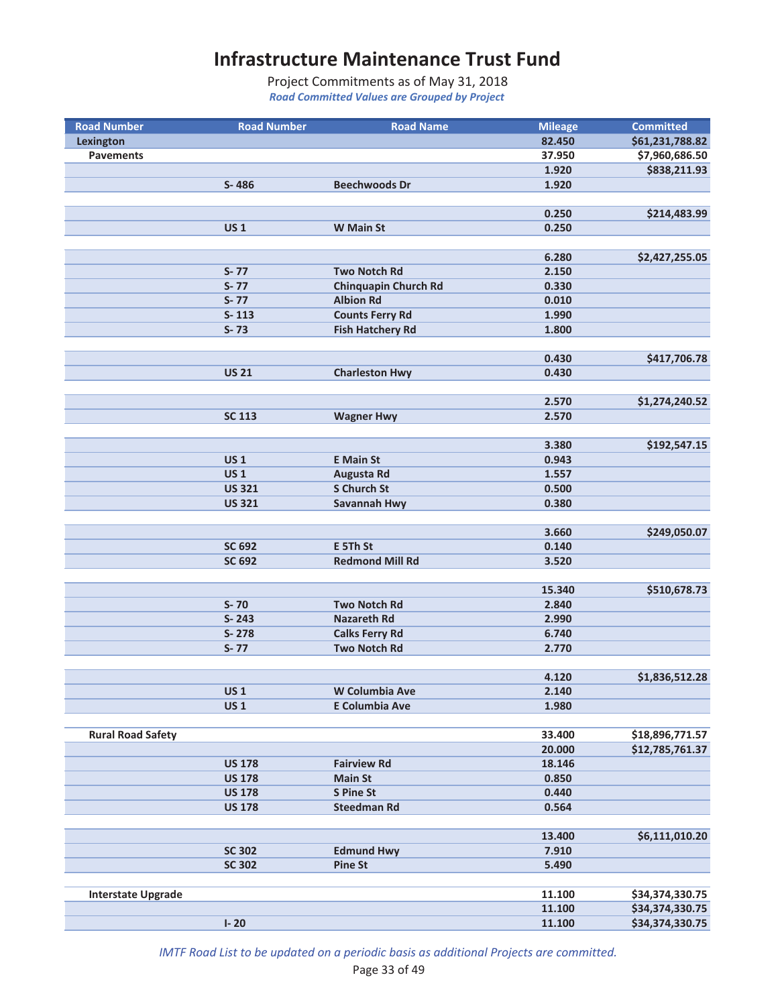*Road Committed Values are Grouped by Project* Project Commitments as of May 31, 2018

| <b>Road Number</b>        | <b>Road Number</b> | <b>Road Name</b>                             | <b>Mileage</b> | <b>Committed</b> |
|---------------------------|--------------------|----------------------------------------------|----------------|------------------|
| <b>Lexington</b>          |                    |                                              | 82.450         | \$61,231,788.82  |
| <b>Pavements</b>          |                    |                                              | 37.950         | \$7,960,686.50   |
|                           |                    |                                              | 1.920          | \$838,211.93     |
|                           | S-486              | <b>Beechwoods Dr</b>                         | 1.920          |                  |
|                           |                    |                                              |                |                  |
|                           |                    |                                              | 0.250          | \$214,483.99     |
|                           | <b>US1</b>         | <b>W</b> Main St                             | 0.250          |                  |
|                           |                    |                                              |                |                  |
|                           |                    |                                              | 6.280          | \$2,427,255.05   |
|                           | $S - 77$           | <b>Two Notch Rd</b>                          | 2.150          |                  |
|                           | $S - 77$           | <b>Chinquapin Church Rd</b>                  | 0.330          |                  |
|                           | $S - 77$           | <b>Albion Rd</b>                             | 0.010          |                  |
|                           | $S-113$            | <b>Counts Ferry Rd</b>                       | 1.990          |                  |
|                           | $S - 73$           | <b>Fish Hatchery Rd</b>                      | 1.800          |                  |
|                           |                    |                                              |                |                  |
|                           |                    |                                              | 0.430          | \$417,706.78     |
|                           | <b>US 21</b>       | <b>Charleston Hwy</b>                        | 0.430          |                  |
|                           |                    |                                              |                |                  |
|                           |                    |                                              | 2.570          | \$1,274,240.52   |
|                           | <b>SC 113</b>      | <b>Wagner Hwy</b>                            | 2.570          |                  |
|                           |                    |                                              |                |                  |
|                           |                    |                                              | 3.380          | \$192,547.15     |
|                           | <b>US1</b>         | <b>E</b> Main St                             | 0.943          |                  |
|                           | <b>US1</b>         | <b>Augusta Rd</b>                            | 1.557          |                  |
|                           | <b>US 321</b>      | <b>S Church St</b>                           | 0.500          |                  |
|                           | <b>US 321</b>      | Savannah Hwy                                 | 0.380          |                  |
|                           |                    |                                              |                |                  |
|                           |                    |                                              | 3.660          | \$249,050.07     |
|                           | SC 692             | E 5Th St                                     | 0.140          |                  |
|                           | SC 692             | <b>Redmond Mill Rd</b>                       | 3.520          |                  |
|                           |                    |                                              | 15.340         | \$510,678.73     |
|                           | $S-70$             | <b>Two Notch Rd</b>                          | 2.840          |                  |
|                           | $S - 243$          | <b>Nazareth Rd</b>                           | 2.990          |                  |
|                           | S-278              |                                              |                |                  |
|                           | $S - 77$           | <b>Calks Ferry Rd</b><br><b>Two Notch Rd</b> | 6.740          |                  |
|                           |                    |                                              | 2.770          |                  |
|                           |                    |                                              | 4.120          | \$1,836,512.28   |
|                           | <b>US1</b>         | W Columbia Ave                               | 2.140          |                  |
|                           | <b>US1</b>         | E Columbia Ave                               | 1.980          |                  |
|                           |                    |                                              |                |                  |
| <b>Rural Road Safety</b>  |                    |                                              | 33.400         | \$18,896,771.57  |
|                           |                    |                                              | 20.000         | \$12,785,761.37  |
|                           | <b>US 178</b>      | <b>Fairview Rd</b>                           | 18.146         |                  |
|                           | <b>US 178</b>      | <b>Main St</b>                               | 0.850          |                  |
|                           | <b>US 178</b>      | <b>S Pine St</b>                             | 0.440          |                  |
|                           | <b>US 178</b>      | <b>Steedman Rd</b>                           | 0.564          |                  |
|                           |                    |                                              |                |                  |
|                           |                    |                                              | 13.400         | \$6,111,010.20   |
|                           | <b>SC 302</b>      | <b>Edmund Hwy</b>                            | 7.910          |                  |
|                           | <b>SC 302</b>      | <b>Pine St</b>                               | 5.490          |                  |
|                           |                    |                                              |                |                  |
| <b>Interstate Upgrade</b> |                    |                                              | 11.100         | \$34,374,330.75  |
|                           |                    |                                              | 11.100         | \$34,374,330.75  |
|                           | $I - 20$           |                                              | 11.100         | \$34,374,330.75  |

*IMTF Road List to be updated on a periodic basis as additional Projects are committed.*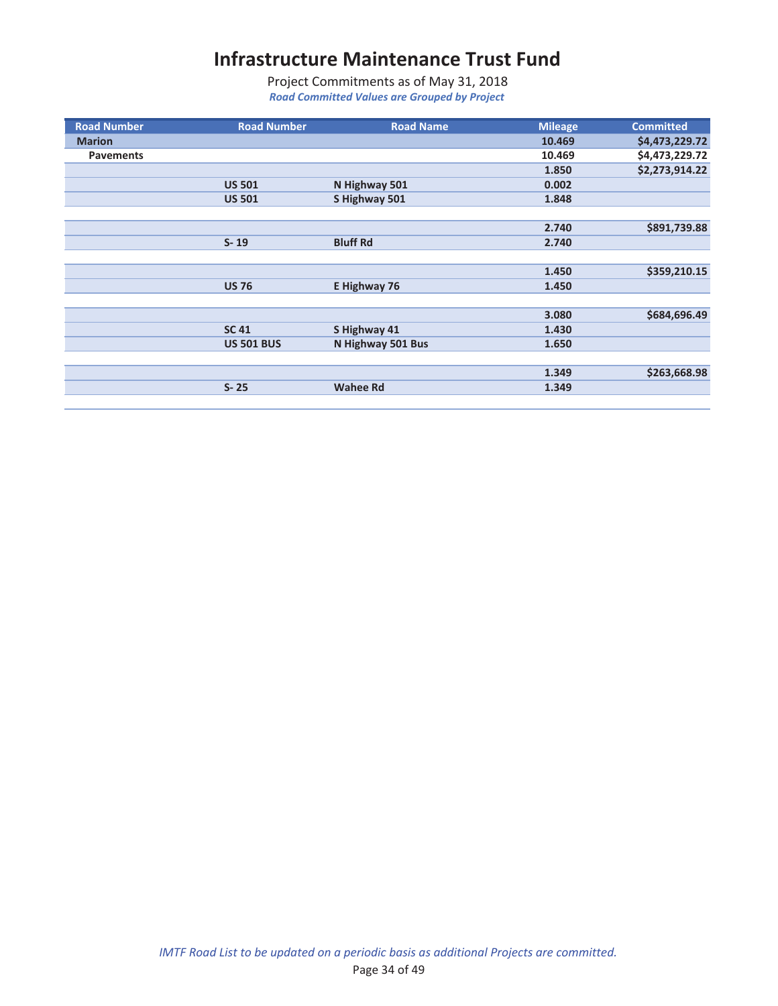| <b>Road Number</b> | <b>Road Number</b> | <b>Road Name</b>  | <b>Mileage</b> | <b>Committed</b> |
|--------------------|--------------------|-------------------|----------------|------------------|
| <b>Marion</b>      |                    |                   | 10.469         | \$4,473,229.72   |
| <b>Pavements</b>   |                    |                   | 10.469         | \$4,473,229.72   |
|                    |                    |                   | 1.850          | \$2,273,914.22   |
|                    | <b>US 501</b>      | N Highway 501     | 0.002          |                  |
|                    | <b>US 501</b>      | S Highway 501     | 1.848          |                  |
|                    |                    |                   |                |                  |
|                    |                    |                   | 2.740          | \$891,739.88     |
|                    | $S - 19$           | <b>Bluff Rd</b>   | 2.740          |                  |
|                    |                    |                   |                |                  |
|                    |                    |                   | 1.450          | \$359,210.15     |
|                    | <b>US 76</b>       | E Highway 76      | 1.450          |                  |
|                    |                    |                   |                |                  |
|                    |                    |                   | 3.080          | \$684,696.49     |
|                    | <b>SC 41</b>       | S Highway 41      | 1.430          |                  |
|                    | <b>US 501 BUS</b>  | N Highway 501 Bus | 1.650          |                  |
|                    |                    |                   |                |                  |
|                    |                    |                   | 1.349          | \$263,668.98     |
|                    | $S - 25$           | <b>Wahee Rd</b>   | 1.349          |                  |
|                    |                    |                   |                |                  |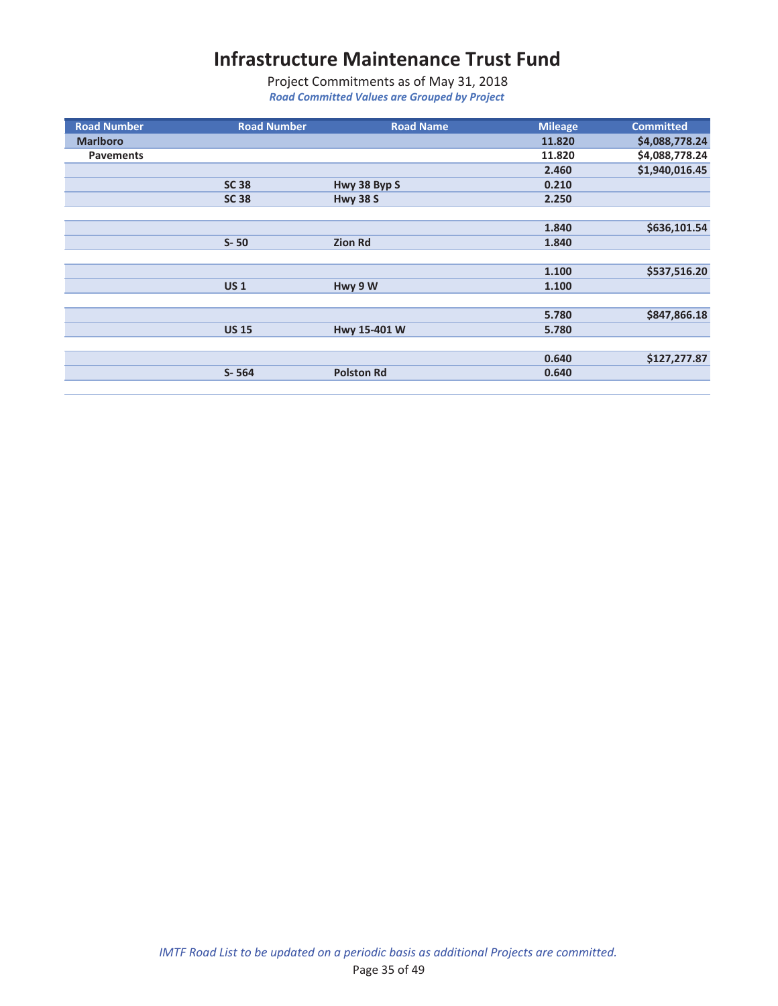| <b>Road Number</b> | <b>Road Number</b> | <b>Road Name</b>  | <b>Mileage</b> | <b>Committed</b> |
|--------------------|--------------------|-------------------|----------------|------------------|
| <b>Marlboro</b>    |                    |                   | 11.820         | \$4,088,778.24   |
| <b>Pavements</b>   |                    |                   | 11.820         | \$4,088,778.24   |
|                    |                    |                   | 2.460          | \$1,940,016.45   |
|                    | <b>SC 38</b>       | Hwy 38 Byp S      | 0.210          |                  |
|                    | <b>SC 38</b>       | <b>Hwy 38 S</b>   | 2.250          |                  |
|                    |                    |                   |                |                  |
|                    |                    |                   | 1.840          | \$636,101.54     |
|                    | $S - 50$           | <b>Zion Rd</b>    | 1.840          |                  |
|                    |                    |                   |                |                  |
|                    |                    |                   | 1.100          | \$537,516.20     |
|                    | US <sub>1</sub>    | Hwy 9 W           | 1.100          |                  |
|                    |                    |                   |                |                  |
|                    |                    |                   | 5.780          | \$847,866.18     |
|                    | <b>US 15</b>       | Hwy 15-401 W      | 5.780          |                  |
|                    |                    |                   |                |                  |
|                    |                    |                   | 0.640          | \$127,277.87     |
|                    | $S - 564$          | <b>Polston Rd</b> | 0.640          |                  |
|                    |                    |                   |                |                  |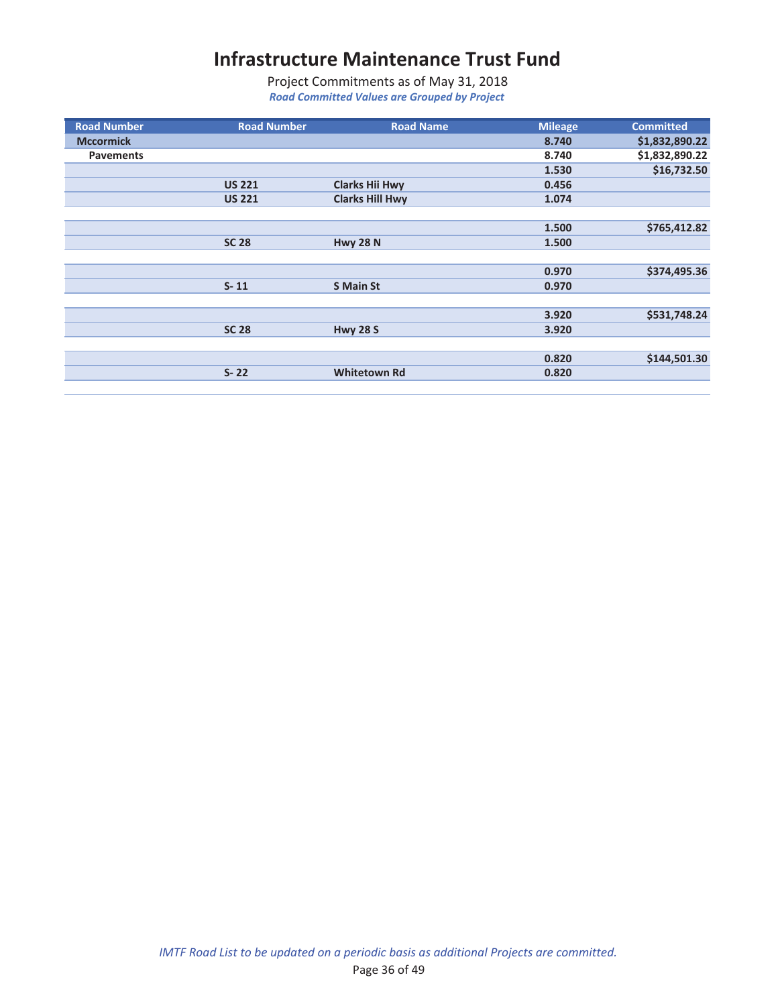| <b>Road Number</b> | <b>Road Number</b> | <b>Road Name</b>       | <b>Mileage</b> | <b>Committed</b> |
|--------------------|--------------------|------------------------|----------------|------------------|
| <b>Mccormick</b>   |                    |                        | 8.740          | \$1,832,890.22   |
| <b>Pavements</b>   |                    |                        | 8.740          | \$1,832,890.22   |
|                    |                    |                        | 1.530          | \$16,732.50      |
|                    | <b>US 221</b>      | <b>Clarks Hii Hwy</b>  | 0.456          |                  |
|                    | <b>US 221</b>      | <b>Clarks Hill Hwy</b> | 1.074          |                  |
|                    |                    |                        |                |                  |
|                    |                    |                        | 1.500          | \$765,412.82     |
|                    | <b>SC 28</b>       | <b>Hwy 28 N</b>        | 1.500          |                  |
|                    |                    |                        |                |                  |
|                    |                    |                        | 0.970          | \$374,495.36     |
|                    | $S - 11$           | <b>S</b> Main St       | 0.970          |                  |
|                    |                    |                        |                |                  |
|                    |                    |                        | 3.920          | \$531,748.24     |
|                    | <b>SC 28</b>       | <b>Hwy 28 S</b>        | 3.920          |                  |
|                    |                    |                        |                |                  |
|                    |                    |                        | 0.820          | \$144,501.30     |
|                    | $S - 22$           | <b>Whitetown Rd</b>    | 0.820          |                  |
|                    |                    |                        |                |                  |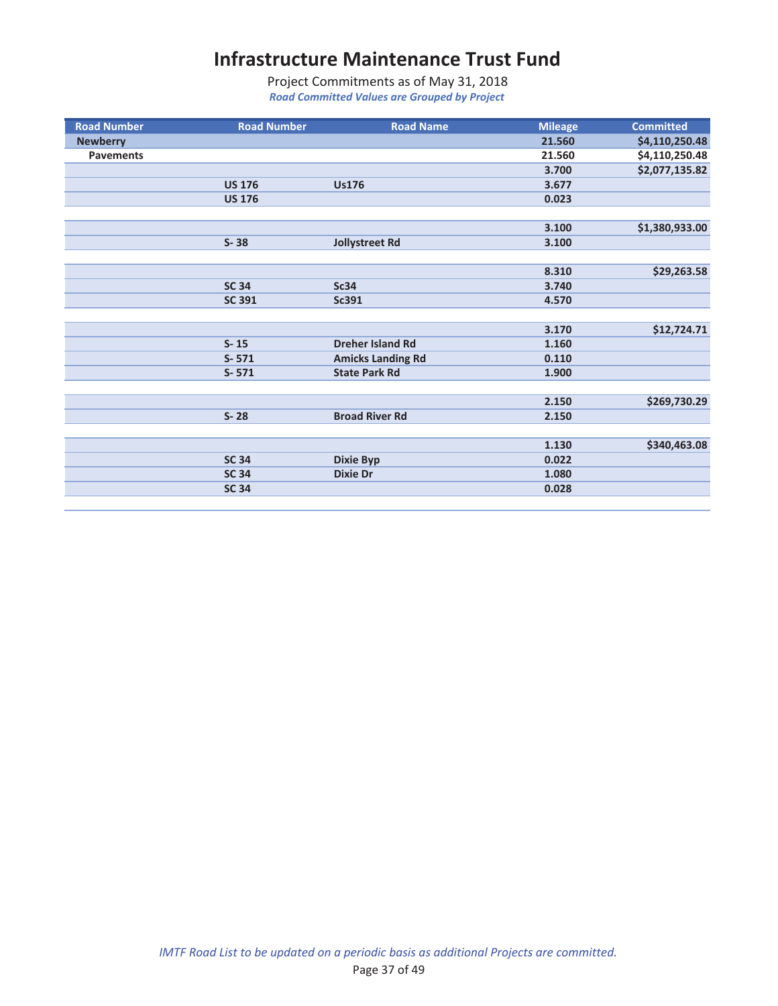| <b>Road Number</b> | <b>Road Number</b> | <b>Road Name</b>         | <b>Mileage</b> | <b>Committed</b> |
|--------------------|--------------------|--------------------------|----------------|------------------|
| <b>Newberry</b>    |                    |                          | 21.560         | \$4,110,250.48   |
| <b>Pavements</b>   |                    |                          | 21.560         | \$4,110,250.48   |
|                    |                    |                          | 3.700          | \$2,077,135.82   |
|                    | <b>US 176</b>      | <b>Us176</b>             | 3.677          |                  |
|                    | <b>US 176</b>      |                          | 0.023          |                  |
|                    |                    |                          |                |                  |
|                    |                    |                          | 3.100          | \$1,380,933.00   |
|                    | $S - 38$           | Jollystreet Rd           | 3.100          |                  |
|                    |                    |                          |                |                  |
|                    |                    |                          | 8.310          | \$29,263.58      |
|                    | <b>SC 34</b>       | <b>Sc34</b>              | 3.740          |                  |
|                    | <b>SC 391</b>      | Sc391                    | 4.570          |                  |
|                    |                    |                          |                |                  |
|                    |                    |                          | 3.170          | \$12,724.71      |
|                    | $S-15$             | <b>Dreher Island Rd</b>  | 1.160          |                  |
|                    | $S - 571$          | <b>Amicks Landing Rd</b> | 0.110          |                  |
|                    | $S - 571$          | <b>State Park Rd</b>     | 1.900          |                  |
|                    |                    |                          |                |                  |
|                    |                    |                          | 2.150          | \$269,730.29     |
|                    | $S - 28$           | <b>Broad River Rd</b>    | 2.150          |                  |
|                    |                    |                          |                |                  |
|                    |                    |                          | 1.130          | \$340,463.08     |
|                    | <b>SC 34</b>       | <b>Dixie Byp</b>         | 0.022          |                  |
|                    | <b>SC 34</b>       | <b>Dixie Dr</b>          | 1.080          |                  |
|                    | <b>SC 34</b>       |                          | 0.028          |                  |
|                    |                    |                          |                |                  |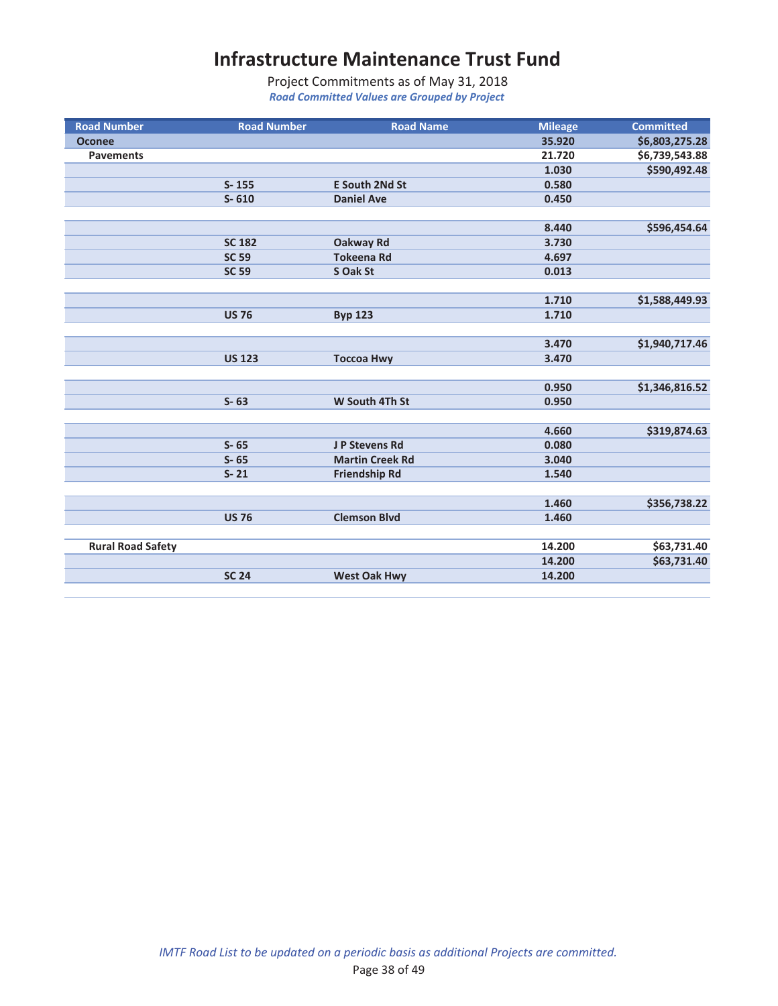| <b>Road Number</b>       | <b>Road Number</b> | <b>Road Name</b>       | <b>Mileage</b> | <b>Committed</b> |
|--------------------------|--------------------|------------------------|----------------|------------------|
| <b>Oconee</b>            |                    |                        | 35.920         | \$6,803,275.28   |
| <b>Pavements</b>         |                    |                        | 21.720         | \$6,739,543.88   |
|                          |                    |                        | 1.030          | \$590,492.48     |
|                          | $S - 155$          | <b>E South 2Nd St</b>  | 0.580          |                  |
|                          | $S - 610$          | <b>Daniel Ave</b>      | 0.450          |                  |
|                          |                    |                        |                |                  |
|                          |                    |                        | 8.440          | \$596,454.64     |
|                          | <b>SC 182</b>      | <b>Oakway Rd</b>       | 3.730          |                  |
|                          | <b>SC 59</b>       | <b>Tokeena Rd</b>      | 4.697          |                  |
|                          | <b>SC 59</b>       | S Oak St               | 0.013          |                  |
|                          |                    |                        |                |                  |
|                          |                    |                        | 1.710          | \$1,588,449.93   |
|                          | <b>US 76</b>       | <b>Byp 123</b>         | 1.710          |                  |
|                          |                    |                        |                |                  |
|                          |                    |                        | 3.470          | \$1,940,717.46   |
|                          | <b>US 123</b>      | <b>Toccoa Hwy</b>      | 3.470          |                  |
|                          |                    |                        |                |                  |
|                          |                    |                        | 0.950          | \$1,346,816.52   |
|                          | $S - 63$           | W South 4Th St         | 0.950          |                  |
|                          |                    |                        |                |                  |
|                          |                    |                        | 4.660          | \$319,874.63     |
|                          | $S - 65$           | J P Stevens Rd         | 0.080          |                  |
|                          | $S - 65$           | <b>Martin Creek Rd</b> | 3.040          |                  |
|                          | $S - 21$           | <b>Friendship Rd</b>   | 1.540          |                  |
|                          |                    |                        |                |                  |
|                          |                    |                        | 1.460          | \$356,738.22     |
|                          | <b>US 76</b>       | <b>Clemson Blvd</b>    | 1.460          |                  |
|                          |                    |                        |                |                  |
| <b>Rural Road Safety</b> |                    |                        | 14.200         | \$63,731.40      |
|                          |                    |                        | 14.200         | \$63,731.40      |
|                          | <b>SC 24</b>       | <b>West Oak Hwy</b>    | 14.200         |                  |
|                          |                    |                        |                |                  |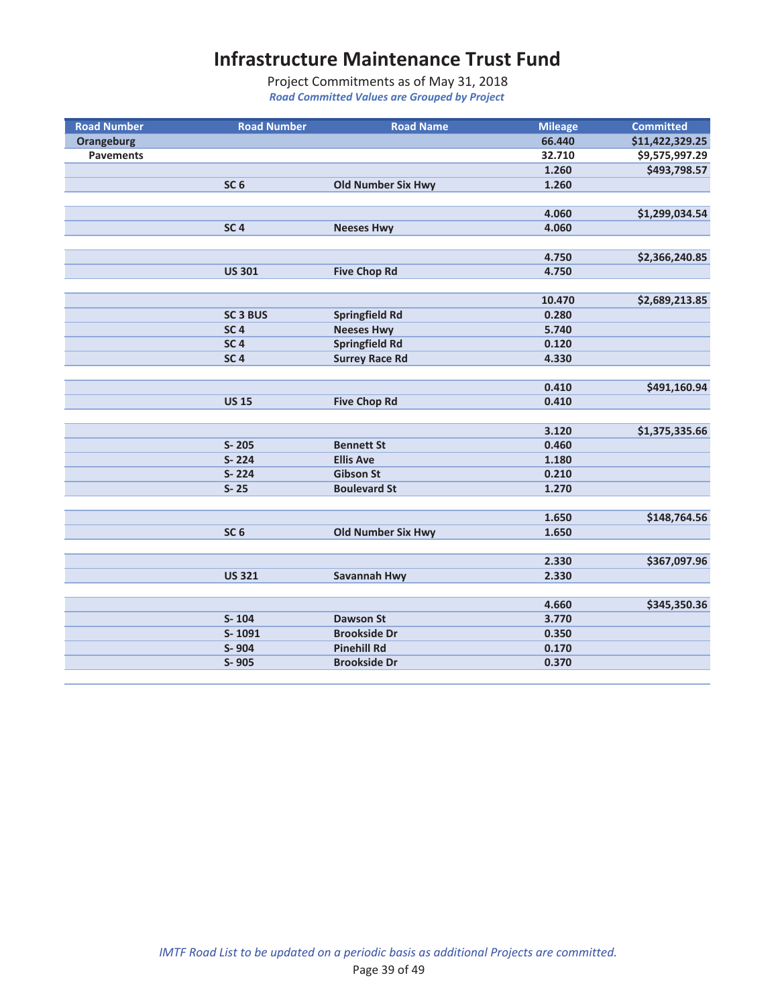| <b>Road Number</b> | <b>Road Number</b>  | <b>Road Name</b>          | <b>Mileage</b> | <b>Committed</b> |
|--------------------|---------------------|---------------------------|----------------|------------------|
| <b>Orangeburg</b>  |                     |                           | 66.440         | \$11,422,329.25  |
| <b>Pavements</b>   |                     |                           | 32.710         | \$9,575,997.29   |
|                    |                     |                           | 1.260          | \$493,798.57     |
|                    | SC <sub>6</sub>     | <b>Old Number Six Hwy</b> | 1.260          |                  |
|                    |                     |                           |                |                  |
|                    |                     |                           | 4.060          | \$1,299,034.54   |
|                    | SC <sub>4</sub>     | <b>Neeses Hwy</b>         | 4.060          |                  |
|                    |                     |                           |                |                  |
|                    |                     |                           | 4.750          | \$2,366,240.85   |
|                    | <b>US 301</b>       | <b>Five Chop Rd</b>       | 4.750          |                  |
|                    |                     |                           |                |                  |
|                    |                     |                           | 10.470         | \$2,689,213.85   |
|                    | SC <sub>3</sub> BUS | <b>Springfield Rd</b>     | 0.280          |                  |
|                    | SC <sub>4</sub>     | <b>Neeses Hwy</b>         | 5.740          |                  |
|                    | SC <sub>4</sub>     | <b>Springfield Rd</b>     | 0.120          |                  |
|                    | SC <sub>4</sub>     | <b>Surrey Race Rd</b>     | 4.330          |                  |
|                    |                     |                           |                |                  |
|                    |                     |                           | 0.410          | \$491,160.94     |
|                    | <b>US 15</b>        | <b>Five Chop Rd</b>       | 0.410          |                  |
|                    |                     |                           |                |                  |
|                    |                     |                           | 3.120          | \$1,375,335.66   |
|                    | $S - 205$           | <b>Bennett St</b>         | 0.460          |                  |
|                    | $S - 224$           | <b>Ellis Ave</b>          | 1.180          |                  |
|                    | S-224               | <b>Gibson St</b>          | 0.210          |                  |
|                    | $S - 25$            | <b>Boulevard St</b>       | 1.270          |                  |
|                    |                     |                           |                |                  |
|                    |                     |                           | 1.650          | \$148,764.56     |
|                    | SC <sub>6</sub>     | <b>Old Number Six Hwy</b> | 1.650          |                  |
|                    |                     |                           |                |                  |
|                    |                     |                           | 2.330          | \$367,097.96     |
|                    | <b>US 321</b>       | Savannah Hwy              | 2.330          |                  |
|                    |                     |                           |                |                  |
|                    |                     |                           | 4.660          | \$345,350.36     |
|                    | $S - 104$           | <b>Dawson St</b>          | 3.770          |                  |
|                    | S-1091              | <b>Brookside Dr</b>       | 0.350          |                  |
|                    | S-904               | <b>Pinehill Rd</b>        | 0.170          |                  |
|                    | S-905               | <b>Brookside Dr</b>       | 0.370          |                  |
|                    |                     |                           |                |                  |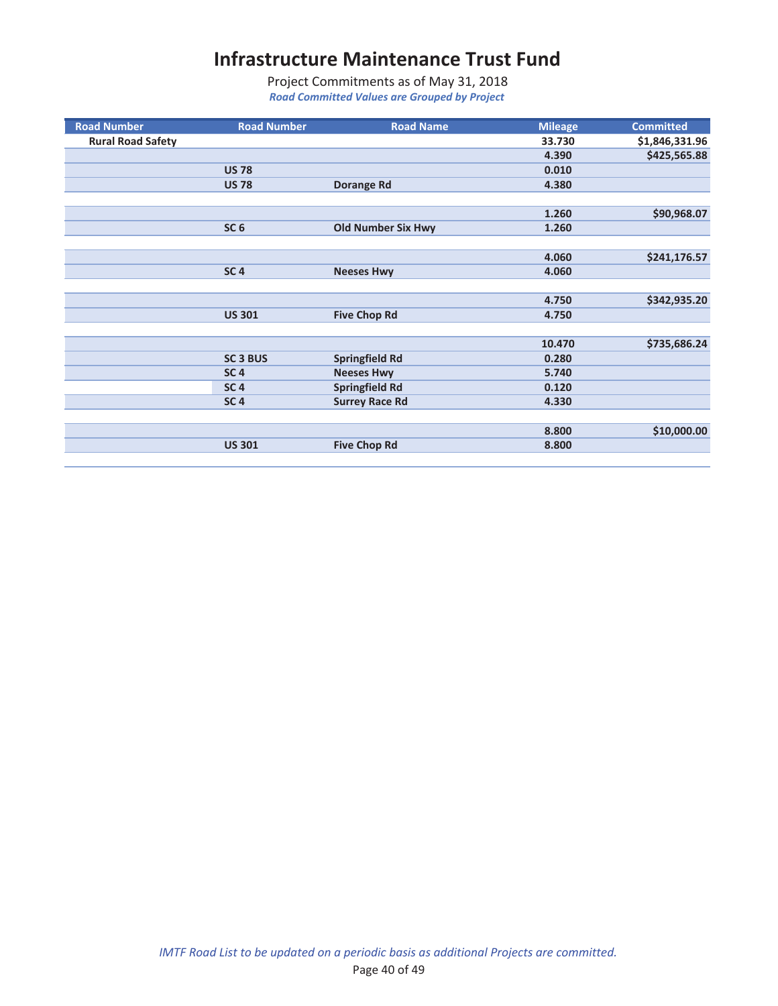| <b>Road Number</b>       | <b>Road Number</b> | <b>Road Name</b>          | <b>Mileage</b> | <b>Committed</b> |
|--------------------------|--------------------|---------------------------|----------------|------------------|
| <b>Rural Road Safety</b> |                    |                           | 33.730         | \$1,846,331.96   |
|                          |                    |                           | 4.390          | \$425,565.88     |
|                          | <b>US 78</b>       |                           | 0.010          |                  |
|                          | <b>US 78</b>       | <b>Dorange Rd</b>         | 4.380          |                  |
|                          |                    |                           |                |                  |
|                          |                    |                           | 1.260          | \$90,968.07      |
|                          | SC <sub>6</sub>    | <b>Old Number Six Hwy</b> | 1.260          |                  |
|                          |                    |                           |                |                  |
|                          |                    |                           | 4.060          | \$241,176.57     |
|                          | SC <sub>4</sub>    | <b>Neeses Hwy</b>         | 4.060          |                  |
|                          |                    |                           |                |                  |
|                          |                    |                           | 4.750          | \$342,935.20     |
|                          | <b>US 301</b>      | <b>Five Chop Rd</b>       | 4.750          |                  |
|                          |                    |                           |                |                  |
|                          |                    |                           | 10.470         | \$735,686.24     |
|                          | <b>SC 3 BUS</b>    | <b>Springfield Rd</b>     | 0.280          |                  |
|                          | SC <sub>4</sub>    | <b>Neeses Hwy</b>         | 5.740          |                  |
|                          | SC <sub>4</sub>    | <b>Springfield Rd</b>     | 0.120          |                  |
|                          | SC <sub>4</sub>    | <b>Surrey Race Rd</b>     | 4.330          |                  |
|                          |                    |                           |                |                  |
|                          |                    |                           | 8.800          | \$10,000.00      |
|                          | <b>US 301</b>      | <b>Five Chop Rd</b>       | 8.800          |                  |
|                          |                    |                           |                |                  |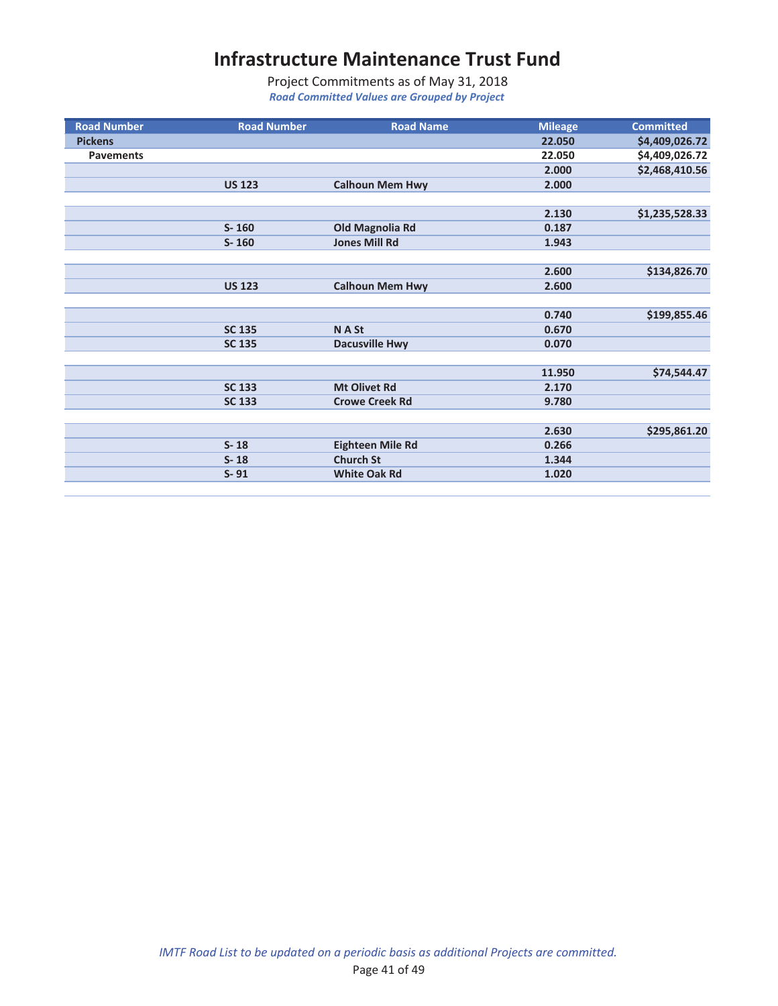| <b>Road Number</b> | <b>Road Number</b> | <b>Road Name</b>        | <b>Mileage</b> | <b>Committed</b> |
|--------------------|--------------------|-------------------------|----------------|------------------|
| <b>Pickens</b>     |                    |                         | 22.050         | \$4,409,026.72   |
| <b>Pavements</b>   |                    |                         | 22.050         | \$4,409,026.72   |
|                    |                    |                         | 2.000          | \$2,468,410.56   |
|                    | <b>US 123</b>      | <b>Calhoun Mem Hwy</b>  | 2.000          |                  |
|                    |                    |                         |                |                  |
|                    |                    |                         | 2.130          | \$1,235,528.33   |
|                    | $S - 160$          | <b>Old Magnolia Rd</b>  | 0.187          |                  |
|                    | $S - 160$          | <b>Jones Mill Rd</b>    | 1.943          |                  |
|                    |                    |                         |                |                  |
|                    |                    |                         | 2.600          | \$134,826.70     |
|                    | <b>US 123</b>      | <b>Calhoun Mem Hwy</b>  | 2.600          |                  |
|                    |                    |                         |                |                  |
|                    |                    |                         | 0.740          | \$199,855.46     |
|                    | <b>SC 135</b>      | N A St                  | 0.670          |                  |
|                    | <b>SC 135</b>      | <b>Dacusville Hwy</b>   | 0.070          |                  |
|                    |                    |                         |                |                  |
|                    |                    |                         | 11.950         | \$74,544.47      |
|                    | <b>SC 133</b>      | <b>Mt Olivet Rd</b>     | 2.170          |                  |
|                    | <b>SC 133</b>      | <b>Crowe Creek Rd</b>   | 9.780          |                  |
|                    |                    |                         |                |                  |
|                    |                    |                         | 2.630          | \$295,861.20     |
|                    | $S - 18$           | <b>Eighteen Mile Rd</b> | 0.266          |                  |
|                    | $S - 18$           | <b>Church St</b>        | 1.344          |                  |
|                    | $S - 91$           | <b>White Oak Rd</b>     | 1.020          |                  |
|                    |                    |                         |                |                  |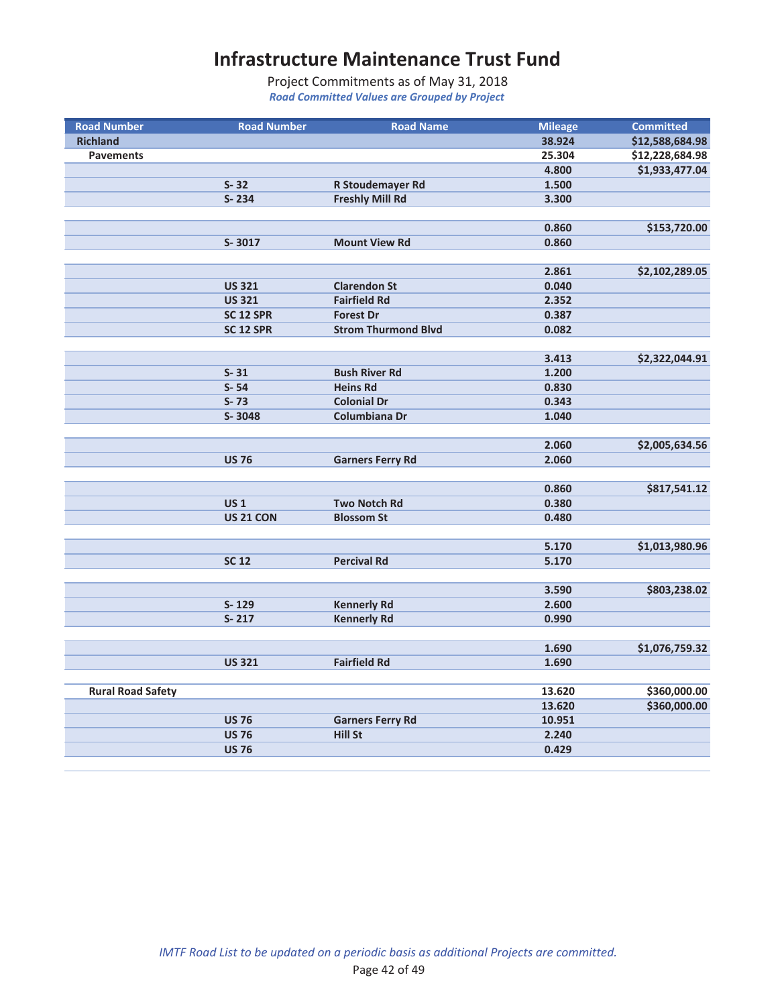| <b>Road Number</b>       | <b>Road Number</b>   | <b>Road Name</b>           | <b>Mileage</b> | <b>Committed</b> |
|--------------------------|----------------------|----------------------------|----------------|------------------|
| <b>Richland</b>          |                      |                            | 38.924         | \$12,588,684.98  |
| <b>Pavements</b>         |                      |                            | 25.304         | \$12,228,684.98  |
|                          |                      |                            | 4.800          | \$1,933,477.04   |
|                          | $S - 32$             | R Stoudemayer Rd           | 1.500          |                  |
|                          | S-234                | <b>Freshly Mill Rd</b>     | 3.300          |                  |
|                          |                      |                            |                |                  |
|                          |                      |                            | 0.860          | \$153,720.00     |
|                          | S-3017               | <b>Mount View Rd</b>       | 0.860          |                  |
|                          |                      |                            |                |                  |
|                          |                      |                            | 2.861          | \$2,102,289.05   |
|                          | <b>US 321</b>        | <b>Clarendon St</b>        | 0.040          |                  |
|                          | <b>US 321</b>        | <b>Fairfield Rd</b>        | 2.352          |                  |
|                          | SC <sub>12</sub> SPR | <b>Forest Dr</b>           | 0.387          |                  |
|                          | SC <sub>12</sub> SPR | <b>Strom Thurmond Blvd</b> | 0.082          |                  |
|                          |                      |                            |                |                  |
|                          |                      |                            | 3.413          | \$2,322,044.91   |
|                          | $S - 31$             | <b>Bush River Rd</b>       | 1.200          |                  |
|                          | $S - 54$             | <b>Heins Rd</b>            | 0.830          |                  |
|                          | $S - 73$             | <b>Colonial Dr</b>         | 0.343          |                  |
|                          | S-3048               | Columbiana Dr              | 1.040          |                  |
|                          |                      |                            |                |                  |
|                          |                      |                            | 2.060          | \$2,005,634.56   |
|                          | <b>US 76</b>         | <b>Garners Ferry Rd</b>    | 2.060          |                  |
|                          |                      |                            |                |                  |
|                          |                      |                            | 0.860          | \$817,541.12     |
|                          | <b>US1</b>           | <b>Two Notch Rd</b>        | 0.380          |                  |
|                          | <b>US 21 CON</b>     | <b>Blossom St</b>          | 0.480          |                  |
|                          |                      |                            |                |                  |
|                          |                      |                            | 5.170          | \$1,013,980.96   |
|                          | <b>SC 12</b>         | <b>Percival Rd</b>         | 5.170          |                  |
|                          |                      |                            |                |                  |
|                          |                      |                            | 3.590          | \$803,238.02     |
|                          | S-129                | <b>Kennerly Rd</b>         | 2.600          |                  |
|                          | $S-217$              | <b>Kennerly Rd</b>         | 0.990          |                  |
|                          |                      |                            |                |                  |
|                          |                      |                            | 1.690          | \$1,076,759.32   |
|                          | <b>US 321</b>        | <b>Fairfield Rd</b>        | 1.690          |                  |
|                          |                      |                            |                |                  |
| <b>Rural Road Safety</b> |                      |                            | 13.620         | \$360,000.00     |
|                          |                      |                            | 13.620         | \$360,000.00     |
|                          | <b>US 76</b>         | <b>Garners Ferry Rd</b>    | 10.951         |                  |
|                          | <b>US 76</b>         | <b>Hill St</b>             | 2.240          |                  |
|                          | <b>US 76</b>         |                            | 0.429          |                  |
|                          |                      |                            |                |                  |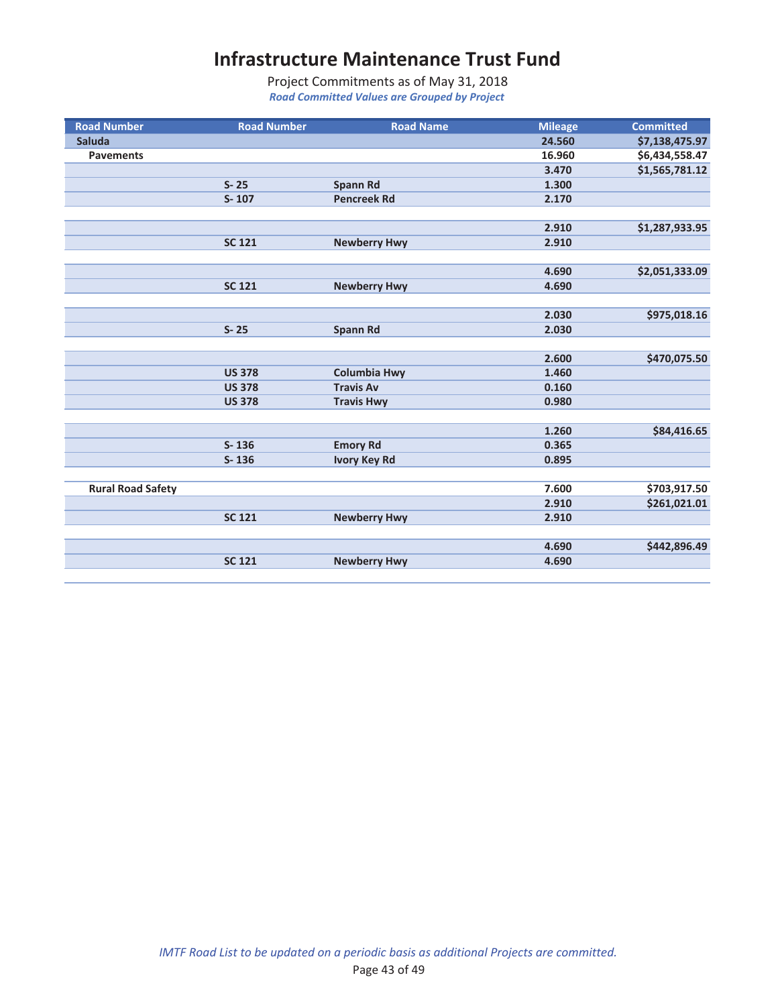| <b>Road Number</b>       | <b>Road Number</b> | <b>Road Name</b>    | <b>Mileage</b> | <b>Committed</b> |
|--------------------------|--------------------|---------------------|----------------|------------------|
| <b>Saluda</b>            |                    |                     | 24.560         | \$7,138,475.97   |
| <b>Pavements</b>         |                    |                     | 16.960         | \$6,434,558.47   |
|                          |                    |                     | 3.470          | \$1,565,781.12   |
|                          | $S - 25$           | <b>Spann Rd</b>     | 1.300          |                  |
|                          | $S - 107$          | <b>Pencreek Rd</b>  | 2.170          |                  |
|                          |                    |                     |                |                  |
|                          |                    |                     | 2.910          | \$1,287,933.95   |
|                          | <b>SC 121</b>      | <b>Newberry Hwy</b> | 2.910          |                  |
|                          |                    |                     |                |                  |
|                          |                    |                     | 4.690          | \$2,051,333.09   |
|                          | <b>SC 121</b>      | <b>Newberry Hwy</b> | 4.690          |                  |
|                          |                    |                     |                |                  |
|                          |                    |                     | 2.030          | \$975,018.16     |
|                          | $S - 25$           | <b>Spann Rd</b>     | 2.030          |                  |
|                          |                    |                     |                |                  |
|                          |                    |                     | 2.600          | \$470,075.50     |
|                          | <b>US 378</b>      | <b>Columbia Hwy</b> | 1.460          |                  |
|                          | <b>US 378</b>      | <b>Travis Av</b>    | 0.160          |                  |
|                          | <b>US 378</b>      | <b>Travis Hwy</b>   | 0.980          |                  |
|                          |                    |                     |                |                  |
|                          |                    |                     | 1.260          | \$84,416.65      |
|                          | $S - 136$          | <b>Emory Rd</b>     | 0.365          |                  |
|                          | $S - 136$          | <b>Ivory Key Rd</b> | 0.895          |                  |
|                          |                    |                     |                |                  |
| <b>Rural Road Safety</b> |                    |                     | 7.600          | \$703,917.50     |
|                          |                    |                     | 2.910          | \$261,021.01     |
|                          | <b>SC 121</b>      | <b>Newberry Hwy</b> | 2.910          |                  |
|                          |                    |                     |                |                  |
|                          |                    |                     | 4.690          | \$442,896.49     |
|                          | <b>SC 121</b>      | <b>Newberry Hwy</b> | 4.690          |                  |
|                          |                    |                     |                |                  |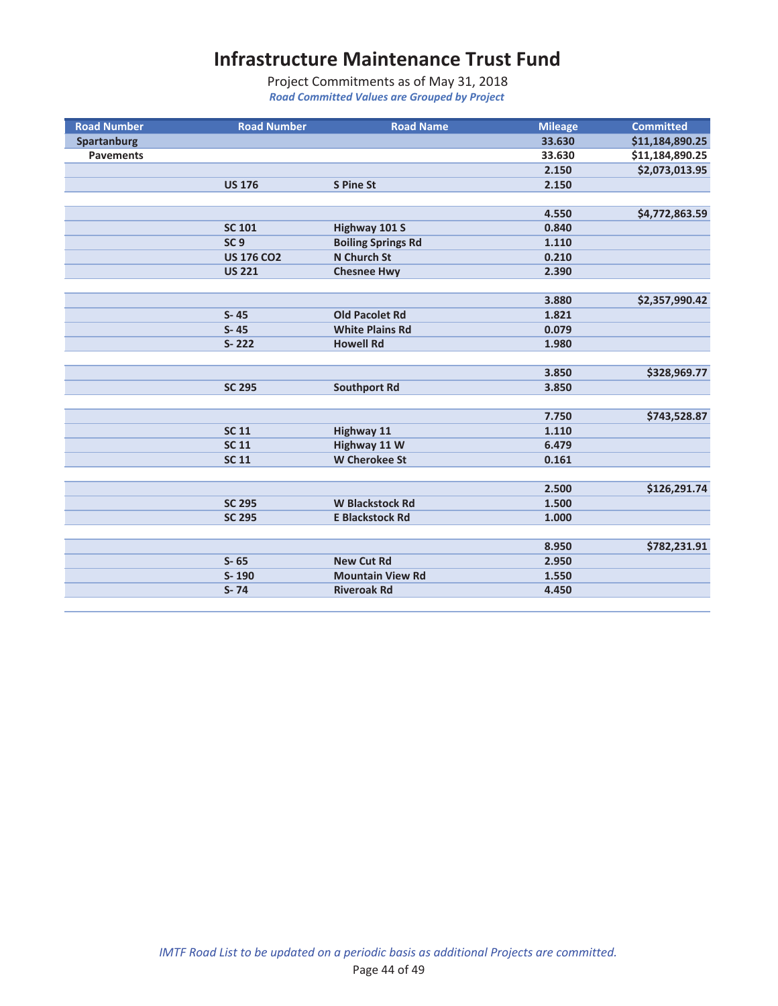| <b>Road Number</b> | <b>Road Number</b> | <b>Road Name</b>          | <b>Mileage</b> | <b>Committed</b> |
|--------------------|--------------------|---------------------------|----------------|------------------|
| <b>Spartanburg</b> |                    |                           | 33.630         | \$11,184,890.25  |
| <b>Pavements</b>   |                    |                           | 33.630         | \$11,184,890.25  |
|                    |                    |                           | 2.150          | \$2,073,013.95   |
|                    | <b>US 176</b>      | <b>S Pine St</b>          | 2.150          |                  |
|                    |                    |                           |                |                  |
|                    |                    |                           | 4.550          | \$4,772,863.59   |
|                    | <b>SC 101</b>      | Highway 101 S             | 0.840          |                  |
|                    | SC <sub>9</sub>    | <b>Boiling Springs Rd</b> | 1.110          |                  |
|                    | <b>US 176 CO2</b>  | <b>N</b> Church St        | 0.210          |                  |
|                    | <b>US 221</b>      | <b>Chesnee Hwy</b>        | 2.390          |                  |
|                    |                    |                           |                |                  |
|                    |                    |                           | 3.880          | \$2,357,990.42   |
|                    | $S - 45$           | <b>Old Pacolet Rd</b>     | 1.821          |                  |
|                    | $S - 45$           | <b>White Plains Rd</b>    | 0.079          |                  |
|                    | $S - 222$          | <b>Howell Rd</b>          | 1.980          |                  |
|                    |                    |                           |                |                  |
|                    |                    |                           | 3.850          | \$328,969.77     |
|                    | <b>SC 295</b>      | <b>Southport Rd</b>       | 3.850          |                  |
|                    |                    |                           |                |                  |
|                    |                    |                           | 7.750          | \$743,528.87     |
|                    | <b>SC 11</b>       | <b>Highway 11</b>         | 1.110          |                  |
|                    | <b>SC 11</b>       | Highway 11 W              | 6.479          |                  |
|                    | <b>SC 11</b>       | <b>W</b> Cherokee St      | 0.161          |                  |
|                    |                    |                           |                |                  |
|                    |                    |                           | 2.500          | \$126,291.74     |
|                    | <b>SC 295</b>      | <b>W Blackstock Rd</b>    | 1.500          |                  |
|                    | <b>SC 295</b>      | <b>E Blackstock Rd</b>    | 1.000          |                  |
|                    |                    |                           |                |                  |
|                    |                    |                           | 8.950          | \$782,231.91     |
|                    | $S - 65$           | <b>New Cut Rd</b>         | 2.950          |                  |
|                    | S-190              | <b>Mountain View Rd</b>   | 1.550          |                  |
|                    | $S - 74$           | <b>Riveroak Rd</b>        | 4.450          |                  |
|                    |                    |                           |                |                  |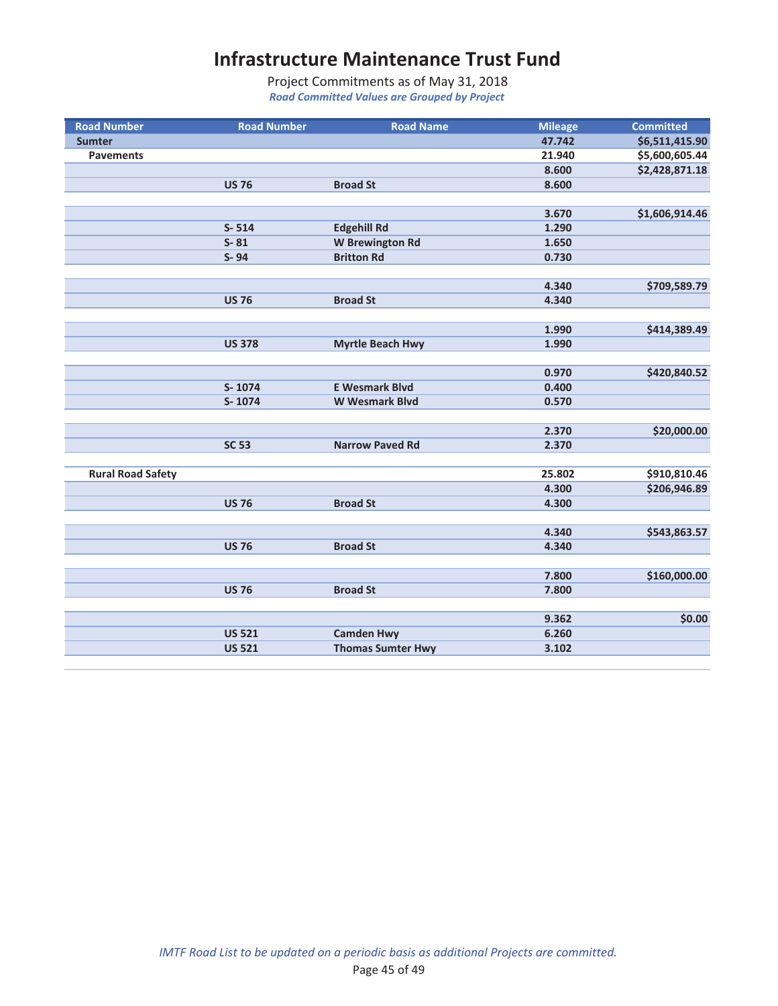| <b>Road Number</b>       | <b>Road Number</b> | <b>Road Name</b>         | <b>Mileage</b> | <b>Committed</b> |
|--------------------------|--------------------|--------------------------|----------------|------------------|
| <b>Sumter</b>            |                    |                          | 47.742         | \$6,511,415.90   |
| <b>Pavements</b>         |                    |                          | 21.940         | \$5,600,605.44   |
|                          |                    |                          | 8.600          | \$2,428,871.18   |
|                          | <b>US 76</b>       | <b>Broad St</b>          | 8.600          |                  |
|                          |                    |                          |                |                  |
|                          |                    |                          | 3.670          | \$1,606,914.46   |
|                          | $S - 514$          | <b>Edgehill Rd</b>       | 1.290          |                  |
|                          | $S - 81$           | <b>W</b> Brewington Rd   | 1.650          |                  |
|                          | S-94               | <b>Britton Rd</b>        | 0.730          |                  |
|                          |                    |                          |                |                  |
|                          |                    |                          | 4.340          | \$709,589.79     |
|                          | <b>US 76</b>       | <b>Broad St</b>          | 4.340          |                  |
|                          |                    |                          |                |                  |
|                          |                    |                          | 1.990          | \$414,389.49     |
|                          | <b>US 378</b>      | <b>Myrtle Beach Hwy</b>  | 1.990          |                  |
|                          |                    |                          |                |                  |
|                          |                    |                          | 0.970          | \$420,840.52     |
|                          | S-1074             | <b>E Wesmark Blvd</b>    | 0.400          |                  |
|                          | S-1074             | <b>W</b> Wesmark Blvd    | 0.570          |                  |
|                          |                    |                          |                |                  |
|                          |                    |                          | 2.370          | \$20,000.00      |
|                          | <b>SC 53</b>       | <b>Narrow Paved Rd</b>   | 2.370          |                  |
|                          |                    |                          |                |                  |
| <b>Rural Road Safety</b> |                    |                          | 25.802         | \$910,810.46     |
|                          |                    |                          | 4.300          | \$206,946.89     |
|                          | <b>US 76</b>       | <b>Broad St</b>          | 4.300          |                  |
|                          |                    |                          |                |                  |
|                          |                    |                          | 4.340          | \$543,863.57     |
|                          | <b>US 76</b>       | <b>Broad St</b>          | 4.340          |                  |
|                          |                    |                          |                |                  |
|                          |                    |                          | 7.800          | \$160,000.00     |
|                          | <b>US 76</b>       | <b>Broad St</b>          | 7.800          |                  |
|                          |                    |                          |                |                  |
|                          |                    |                          | 9.362          | \$0.00           |
|                          | <b>US 521</b>      | <b>Camden Hwy</b>        | 6.260          |                  |
|                          | <b>US 521</b>      | <b>Thomas Sumter Hwy</b> | 3.102          |                  |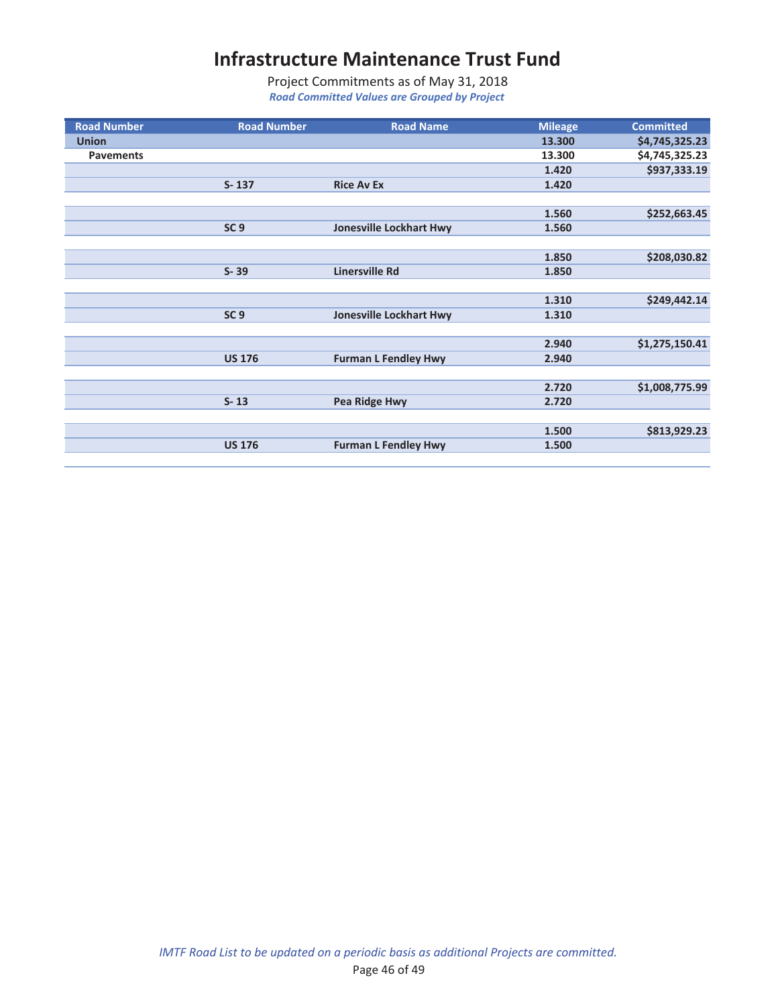| <b>Road Number</b> | <b>Road Number</b> | <b>Road Name</b>               | <b>Mileage</b> | <b>Committed</b> |
|--------------------|--------------------|--------------------------------|----------------|------------------|
| <b>Union</b>       |                    |                                | 13.300         | \$4,745,325.23   |
| <b>Pavements</b>   |                    |                                | 13.300         | \$4,745,325.23   |
|                    |                    |                                | 1.420          | \$937,333.19     |
|                    | $S - 137$          | <b>Rice Av Ex</b>              | 1.420          |                  |
|                    |                    |                                |                |                  |
|                    |                    |                                | 1.560          | \$252,663.45     |
|                    | SC <sub>9</sub>    | <b>Jonesville Lockhart Hwy</b> | 1.560          |                  |
|                    |                    |                                |                |                  |
|                    |                    |                                | 1.850          | \$208,030.82     |
|                    | $S - 39$           | <b>Linersville Rd</b>          | 1.850          |                  |
|                    |                    |                                |                |                  |
|                    |                    |                                | 1.310          | \$249,442.14     |
|                    | SC <sub>9</sub>    | <b>Jonesville Lockhart Hwy</b> | 1.310          |                  |
|                    |                    |                                |                |                  |
|                    |                    |                                | 2.940          | \$1,275,150.41   |
|                    | <b>US 176</b>      | <b>Furman L Fendley Hwy</b>    | 2.940          |                  |
|                    |                    |                                |                |                  |
|                    |                    |                                | 2.720          | \$1,008,775.99   |
|                    | $S - 13$           | Pea Ridge Hwy                  | 2.720          |                  |
|                    |                    |                                |                |                  |
|                    |                    |                                | 1.500          | \$813,929.23     |
|                    | <b>US 176</b>      | <b>Furman L Fendley Hwy</b>    | 1.500          |                  |
|                    |                    |                                |                |                  |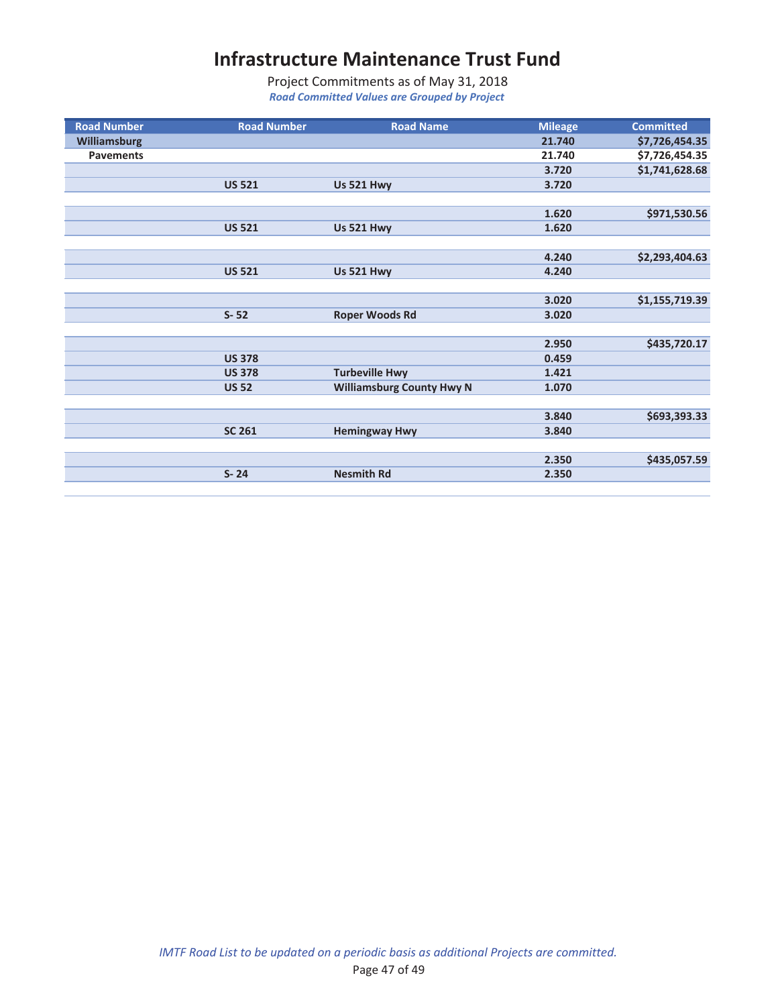| <b>Road Number</b>  | <b>Road Number</b> | <b>Road Name</b>                 | <b>Mileage</b> | <b>Committed</b> |
|---------------------|--------------------|----------------------------------|----------------|------------------|
| <b>Williamsburg</b> |                    |                                  | 21.740         | \$7,726,454.35   |
| <b>Pavements</b>    |                    |                                  | 21.740         | \$7,726,454.35   |
|                     |                    |                                  | 3.720          | \$1,741,628.68   |
|                     | <b>US 521</b>      | <b>Us 521 Hwy</b>                | 3.720          |                  |
|                     |                    |                                  |                |                  |
|                     |                    |                                  | 1.620          | \$971,530.56     |
|                     | <b>US 521</b>      | <b>Us 521 Hwy</b>                | 1.620          |                  |
|                     |                    |                                  |                |                  |
|                     |                    |                                  | 4.240          | \$2,293,404.63   |
|                     | <b>US 521</b>      | <b>Us 521 Hwy</b>                | 4.240          |                  |
|                     |                    |                                  |                |                  |
|                     |                    |                                  | 3.020          | \$1,155,719.39   |
|                     | $S - 52$           | <b>Roper Woods Rd</b>            | 3.020          |                  |
|                     |                    |                                  |                |                  |
|                     |                    |                                  | 2.950          | \$435,720.17     |
|                     | <b>US 378</b>      |                                  | 0.459          |                  |
|                     | <b>US 378</b>      | <b>Turbeville Hwy</b>            | 1.421          |                  |
|                     | <b>US 52</b>       | <b>Williamsburg County Hwy N</b> | 1.070          |                  |
|                     |                    |                                  |                |                  |
|                     |                    |                                  | 3.840          | \$693,393.33     |
|                     | <b>SC 261</b>      | <b>Hemingway Hwy</b>             | 3.840          |                  |
|                     |                    |                                  |                |                  |
|                     |                    |                                  | 2.350          | \$435,057.59     |
|                     | $S - 24$           | <b>Nesmith Rd</b>                | 2.350          |                  |
|                     |                    |                                  |                |                  |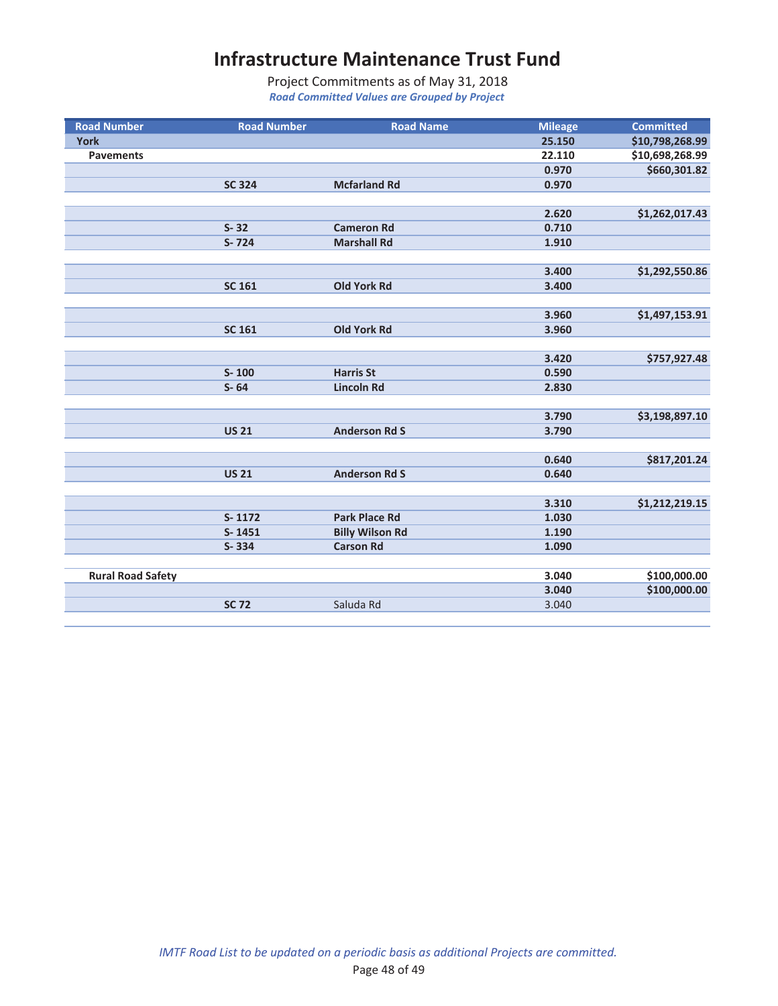| <b>Road Number</b>       | <b>Road Number</b> | <b>Road Name</b>       | <b>Mileage</b> | <b>Committed</b> |
|--------------------------|--------------------|------------------------|----------------|------------------|
| <b>York</b>              |                    |                        | 25.150         | \$10,798,268.99  |
| <b>Pavements</b>         |                    |                        | 22.110         | \$10,698,268.99  |
|                          |                    |                        | 0.970          | \$660,301.82     |
|                          | <b>SC 324</b>      | <b>Mcfarland Rd</b>    | 0.970          |                  |
|                          |                    |                        |                |                  |
|                          |                    |                        | 2.620          | \$1,262,017.43   |
|                          | $S - 32$           | <b>Cameron Rd</b>      | 0.710          |                  |
|                          | $S - 724$          | <b>Marshall Rd</b>     | 1.910          |                  |
|                          |                    |                        |                |                  |
|                          |                    |                        | 3.400          | \$1,292,550.86   |
|                          | <b>SC 161</b>      | <b>Old York Rd</b>     | 3.400          |                  |
|                          |                    |                        |                |                  |
|                          |                    |                        | 3.960          | \$1,497,153.91   |
|                          | <b>SC 161</b>      | <b>Old York Rd</b>     | 3.960          |                  |
|                          |                    |                        |                |                  |
|                          |                    |                        | 3.420          | \$757,927.48     |
|                          | $S - 100$          | <b>Harris St</b>       | 0.590          |                  |
|                          | $S - 64$           | <b>Lincoln Rd</b>      | 2.830          |                  |
|                          |                    |                        |                |                  |
|                          |                    |                        | 3.790          | \$3,198,897.10   |
|                          | <b>US 21</b>       | <b>Anderson Rd S</b>   | 3.790          |                  |
|                          |                    |                        |                |                  |
|                          |                    |                        | 0.640          | \$817,201.24     |
|                          | <b>US 21</b>       | <b>Anderson Rd S</b>   | 0.640          |                  |
|                          |                    |                        |                |                  |
|                          |                    |                        | 3.310          | \$1,212,219.15   |
|                          | S-1172             | <b>Park Place Rd</b>   | 1.030          |                  |
|                          | $S-1451$           | <b>Billy Wilson Rd</b> | 1.190          |                  |
|                          | $S - 334$          | <b>Carson Rd</b>       | 1.090          |                  |
|                          |                    |                        |                |                  |
| <b>Rural Road Safety</b> |                    |                        | 3.040          | \$100,000.00     |
|                          |                    |                        | 3.040          | \$100,000.00     |
|                          | <b>SC 72</b>       | Saluda Rd              | 3.040          |                  |
|                          |                    |                        |                |                  |